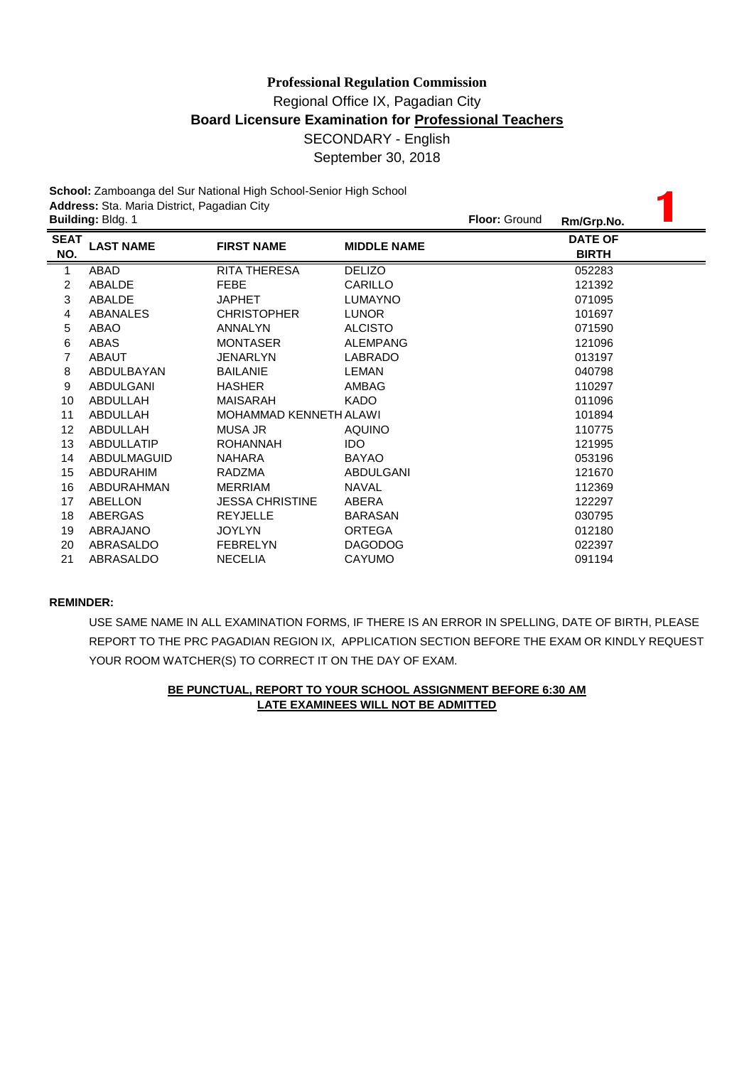**School:** Zamboanga del Sur National High School-Senior High School **Address:** Sta. Maria District, Pagadian City

|             | School: Zamboanga del Sur National High School-Senior High School<br>Address: Sta. Maria District, Pagadian City |                        |                    |                      |                |  |  |  |
|-------------|------------------------------------------------------------------------------------------------------------------|------------------------|--------------------|----------------------|----------------|--|--|--|
|             | Building: Bldg. 1                                                                                                |                        |                    | <b>Floor: Ground</b> | Rm/Grp.No.     |  |  |  |
| <b>SEAT</b> | <b>LAST NAME</b>                                                                                                 | <b>FIRST NAME</b>      | <b>MIDDLE NAME</b> |                      | <b>DATE OF</b> |  |  |  |
| NO.         |                                                                                                                  |                        |                    |                      | <b>BIRTH</b>   |  |  |  |
| 1           | ABAD                                                                                                             | RITA THERESA           | <b>DELIZO</b>      |                      | 052283         |  |  |  |
| 2           | ABALDE                                                                                                           | <b>FEBE</b>            | CARILLO            |                      | 121392         |  |  |  |
| 3           | ABALDE                                                                                                           | <b>JAPHET</b>          | <b>LUMAYNO</b>     |                      | 071095         |  |  |  |
| 4           | ABANALES                                                                                                         | <b>CHRISTOPHER</b>     | <b>LUNOR</b>       |                      | 101697         |  |  |  |
| 5           | ABAO                                                                                                             | <b>ANNALYN</b>         | <b>ALCISTO</b>     |                      | 071590         |  |  |  |
| 6           | ABAS                                                                                                             | <b>MONTASER</b>        | <b>ALEMPANG</b>    |                      | 121096         |  |  |  |
| 7           | <b>ABAUT</b>                                                                                                     | <b>JENARLYN</b>        | <b>LABRADO</b>     |                      | 013197         |  |  |  |
| 8           | ABDULBAYAN                                                                                                       | <b>BAILANIE</b>        | LEMAN              |                      | 040798         |  |  |  |
| 9           | ABDULGANI                                                                                                        | <b>HASHER</b>          | AMBAG              |                      | 110297         |  |  |  |
| 10          | ABDULLAH                                                                                                         | MAISARAH               | <b>KADO</b>        |                      | 011096         |  |  |  |
| 11          | ABDULLAH                                                                                                         | MOHAMMAD KENNETH ALAWI |                    |                      | 101894         |  |  |  |
| 12          | ABDULLAH                                                                                                         | <b>MUSA JR</b>         | <b>AQUINO</b>      |                      | 110775         |  |  |  |
| 13          | <b>ABDULLATIP</b>                                                                                                | <b>ROHANNAH</b>        | <b>IDO</b>         |                      | 121995         |  |  |  |
| 14          | ABDULMAGUID                                                                                                      | <b>NAHARA</b>          | <b>BAYAO</b>       |                      | 053196         |  |  |  |
| 15          | <b>ABDURAHIM</b>                                                                                                 | RADZMA                 | <b>ABDULGANI</b>   |                      | 121670         |  |  |  |
| 16          | ABDURAHMAN                                                                                                       | <b>MERRIAM</b>         | <b>NAVAL</b>       |                      | 112369         |  |  |  |
| 17          | ABELLON                                                                                                          | <b>JESSA CHRISTINE</b> | ABERA              |                      | 122297         |  |  |  |
| 18          | ABERGAS                                                                                                          | <b>REYJELLE</b>        | <b>BARASAN</b>     |                      | 030795         |  |  |  |
| 19          | ABRAJANO                                                                                                         | <b>JOYLYN</b>          | <b>ORTEGA</b>      |                      | 012180         |  |  |  |
| 20          | ABRASALDO                                                                                                        | <b>FEBRELYN</b>        | <b>DAGODOG</b>     |                      | 022397         |  |  |  |
| 21          | ABRASALDO                                                                                                        | <b>NECELIA</b>         | <b>CAYUMO</b>      |                      | 091194         |  |  |  |

# **REMINDER:**

USE SAME NAME IN ALL EXAMINATION FORMS, IF THERE IS AN ERROR IN SPELLING, DATE OF BIRTH, PLEASE REPORT TO THE PRC PAGADIAN REGION IX, APPLICATION SECTION BEFORE THE EXAM OR KINDLY REQUEST YOUR ROOM WATCHER(S) TO CORRECT IT ON THE DAY OF EXAM.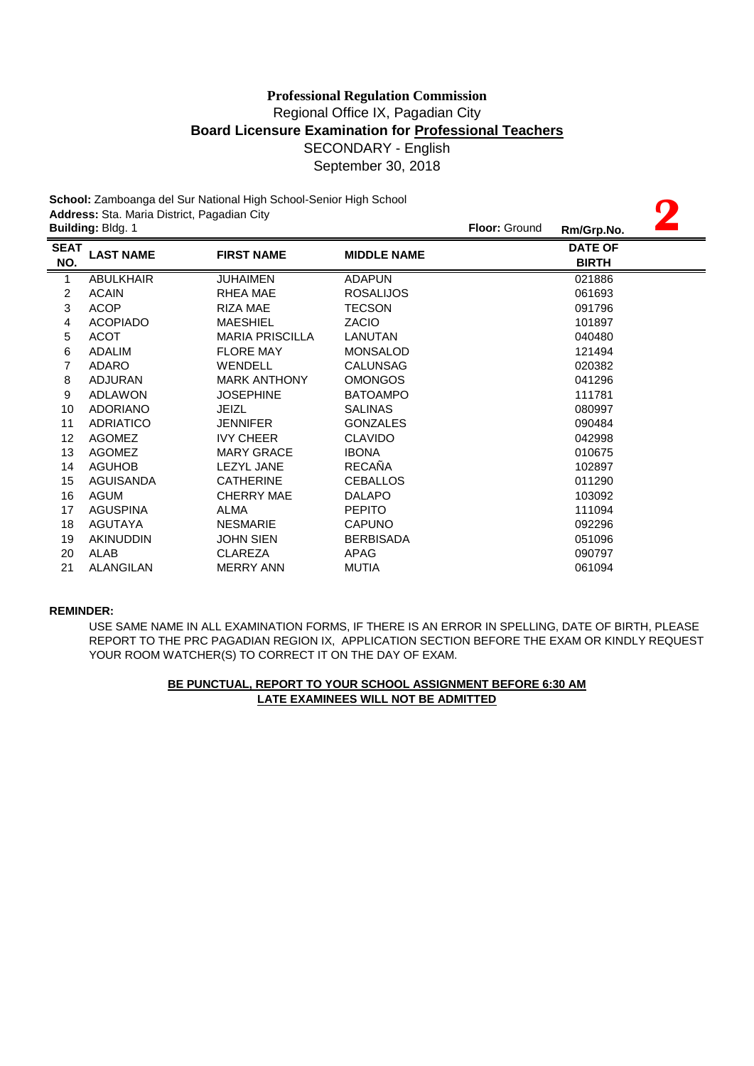**2**

**School:** Zamboanga del Sur National High School-Senior High School **Address:** Sta. Maria District, Pagadian City **Building:** Bldg. 1 **Floor:** Ground **Rm/Grp.No.**

|                    |                  |                        |                    | <b>WILD OF PHACE</b>           |
|--------------------|------------------|------------------------|--------------------|--------------------------------|
| <b>SEAT</b><br>NO. | <b>LAST NAME</b> | <b>FIRST NAME</b>      | <b>MIDDLE NAME</b> | <b>DATE OF</b><br><b>BIRTH</b> |
| 1                  | <b>ABULKHAIR</b> | <b>JUHAIMEN</b>        | <b>ADAPUN</b>      | 021886                         |
| 2                  | <b>ACAIN</b>     | RHEA MAE               | <b>ROSALIJOS</b>   | 061693                         |
| 3                  | <b>ACOP</b>      | <b>RIZA MAE</b>        | <b>TECSON</b>      | 091796                         |
| 4                  | <b>ACOPIADO</b>  | <b>MAESHIEL</b>        | <b>ZACIO</b>       | 101897                         |
| 5                  | <b>ACOT</b>      | <b>MARIA PRISCILLA</b> | LANUTAN            | 040480                         |
| 6                  | <b>ADALIM</b>    | <b>FLORE MAY</b>       | <b>MONSALOD</b>    | 121494                         |
| 7                  | <b>ADARO</b>     | WENDELL                | <b>CALUNSAG</b>    | 020382                         |
| 8                  | <b>ADJURAN</b>   | <b>MARK ANTHONY</b>    | <b>OMONGOS</b>     | 041296                         |
| 9                  | <b>ADLAWON</b>   | <b>JOSEPHINE</b>       | <b>BATOAMPO</b>    | 111781                         |
| 10                 | <b>ADORIANO</b>  | JEIZL                  | <b>SALINAS</b>     | 080997                         |
| 11                 | <b>ADRIATICO</b> | <b>JENNIFER</b>        | <b>GONZALES</b>    | 090484                         |
| 12                 | <b>AGOMEZ</b>    | <b>IVY CHEER</b>       | <b>CLAVIDO</b>     | 042998                         |
| 13                 | <b>AGOMEZ</b>    | <b>MARY GRACE</b>      | <b>IBONA</b>       | 010675                         |
| 14                 | <b>AGUHOB</b>    | <b>LEZYL JANE</b>      | <b>RECAÑA</b>      | 102897                         |
| 15                 | <b>AGUISANDA</b> | <b>CATHERINE</b>       | <b>CEBALLOS</b>    | 011290                         |
| 16                 | AGUM             | <b>CHERRY MAE</b>      | <b>DALAPO</b>      | 103092                         |
| 17                 | <b>AGUSPINA</b>  | <b>ALMA</b>            | <b>PEPITO</b>      | 111094                         |
| 18                 | <b>AGUTAYA</b>   | <b>NESMARIE</b>        | <b>CAPUNO</b>      | 092296                         |
| 19                 | <b>AKINUDDIN</b> | <b>JOHN SIEN</b>       | <b>BERBISADA</b>   | 051096                         |
| 20                 | ALAB             | <b>CLAREZA</b>         | APAG               | 090797                         |
| 21                 | ALANGILAN        | <b>MERRY ANN</b>       | <b>MUTIA</b>       | 061094                         |
|                    |                  |                        |                    |                                |

### **REMINDER:**

REPORT TO THE PRC PAGADIAN REGION IX, APPLICATION SECTION BEFORE THE EXAM OR KINDLY REQUEST YOUR ROOM WATCHER(S) TO CORRECT IT ON THE DAY OF EXAM. USE SAME NAME IN ALL EXAMINATION FORMS, IF THERE IS AN ERROR IN SPELLING, DATE OF BIRTH, PLEASE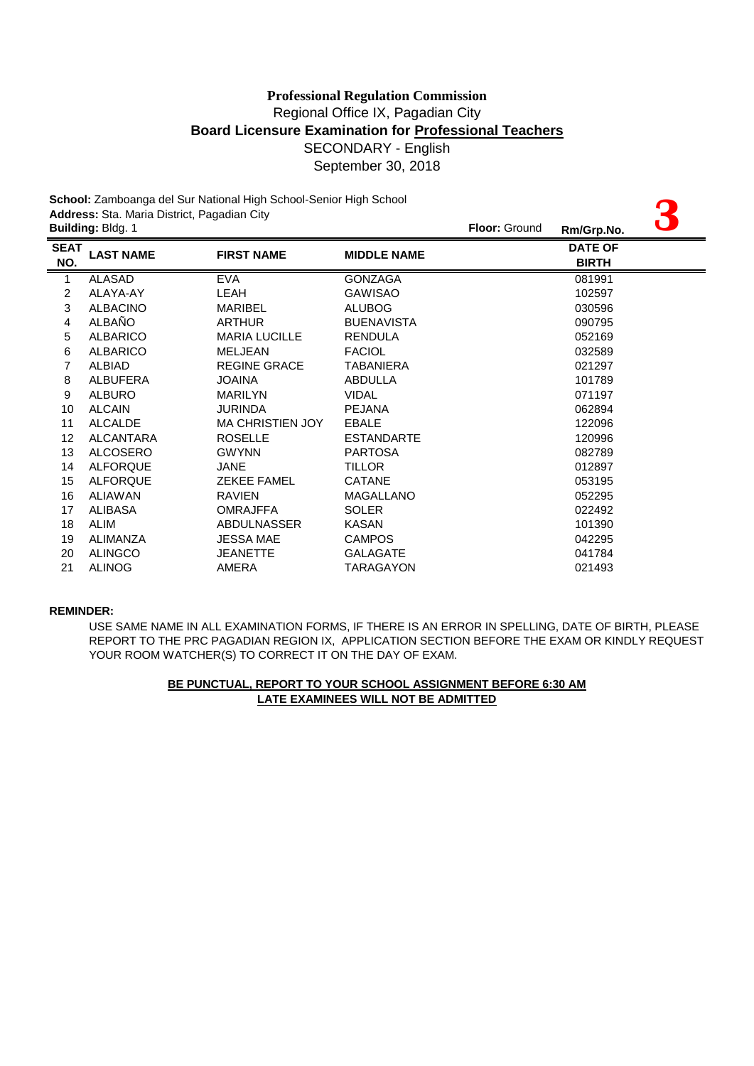| School: Zamboanga del Sur National High School-Senior High School |                                                                  |                      |                    |               |                                |  |  |
|-------------------------------------------------------------------|------------------------------------------------------------------|----------------------|--------------------|---------------|--------------------------------|--|--|
|                                                                   | Address: Sta. Maria District, Pagadian City<br>Building: Bldg. 1 |                      |                    | Floor: Ground | Rm/Grp.No.                     |  |  |
| <b>SEAT</b><br>NO.<br>=                                           | <b>LAST NAME</b>                                                 | <b>FIRST NAME</b>    | <b>MIDDLE NAME</b> |               | <b>DATE OF</b><br><b>BIRTH</b> |  |  |
| $\mathbf{1}$                                                      | <b>ALASAD</b>                                                    | <b>EVA</b>           | <b>GONZAGA</b>     |               | 081991                         |  |  |
| $\overline{c}$                                                    | ALAYA-AY                                                         | LEAH                 | <b>GAWISAO</b>     |               | 102597                         |  |  |
| 3                                                                 | <b>ALBACINO</b>                                                  | <b>MARIBEL</b>       | <b>ALUBOG</b>      |               | 030596                         |  |  |
| 4                                                                 | <b>ALBAÑO</b>                                                    | <b>ARTHUR</b>        | <b>BUENAVISTA</b>  |               | 090795                         |  |  |
| 5                                                                 | <b>ALBARICO</b>                                                  | <b>MARIA LUCILLE</b> | <b>RENDULA</b>     |               | 052169                         |  |  |
| 6                                                                 | <b>ALBARICO</b>                                                  | <b>MELJEAN</b>       | <b>FACIOL</b>      |               | 032589                         |  |  |
| 7                                                                 | <b>ALBIAD</b>                                                    | <b>REGINE GRACE</b>  | TABANIERA          |               | 021297                         |  |  |
| 8                                                                 | <b>ALBUFERA</b>                                                  | <b>JOAINA</b>        | <b>ABDULLA</b>     |               | 101789                         |  |  |
| 9                                                                 | <b>ALBURO</b>                                                    | <b>MARILYN</b>       | <b>VIDAL</b>       |               | 071197                         |  |  |
| 10                                                                | <b>ALCAIN</b>                                                    | <b>JURINDA</b>       | <b>PEJANA</b>      |               | 062894                         |  |  |
| 11                                                                | <b>ALCALDE</b>                                                   | MA CHRISTIEN JOY     | <b>EBALE</b>       |               | 122096                         |  |  |
| 12                                                                | <b>ALCANTARA</b>                                                 | <b>ROSELLE</b>       | <b>ESTANDARTE</b>  |               | 120996                         |  |  |
| 13                                                                | <b>ALCOSERO</b>                                                  | <b>GWYNN</b>         | <b>PARTOSA</b>     |               | 082789                         |  |  |
| 14                                                                | <b>ALFORQUE</b>                                                  | <b>JANE</b>          | <b>TILLOR</b>      |               | 012897                         |  |  |
| 15                                                                | <b>ALFORQUE</b>                                                  | <b>ZEKEE FAMEL</b>   | <b>CATANE</b>      |               | 053195                         |  |  |
| 16                                                                | <b>ALIAWAN</b>                                                   | <b>RAVIEN</b>        | <b>MAGALLANO</b>   |               | 052295                         |  |  |
| 17                                                                | <b>ALIBASA</b>                                                   | <b>OMRAJFFA</b>      | <b>SOLER</b>       |               | 022492                         |  |  |
| 18                                                                | <b>ALIM</b>                                                      | <b>ABDULNASSER</b>   | <b>KASAN</b>       |               | 101390                         |  |  |
| 19                                                                | ALIMANZA                                                         | <b>JESSA MAE</b>     | <b>CAMPOS</b>      |               | 042295                         |  |  |
| 20                                                                | <b>ALINGCO</b>                                                   | <b>JEANETTE</b>      | <b>GALAGATE</b>    |               | 041784                         |  |  |
| 21                                                                | <b>ALINOG</b>                                                    | AMERA                | <b>TARAGAYON</b>   |               | 021493                         |  |  |

### **REMINDER:**

YOUR ROOM WATCHER(S) TO CORRECT IT ON THE DAY OF EXAM. USE SAME NAME IN ALL EXAMINATION FORMS, IF THERE IS AN ERROR IN SPELLING, DATE OF BIRTH, PLEASE REPORT TO THE PRC PAGADIAN REGION IX, APPLICATION SECTION BEFORE THE EXAM OR KINDLY REQUEST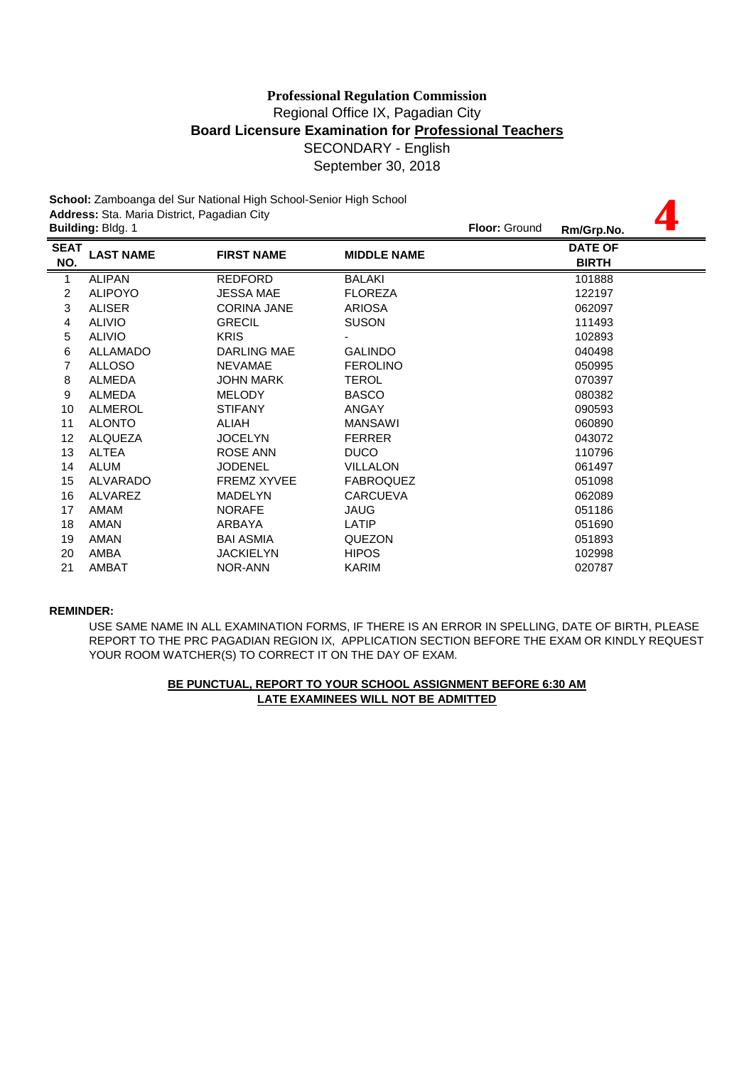**4**

**School:** Zamboanga del Sur National High School-Senior High School **Address:** Sta. Maria District, Pagadian City **Building:** Bldg. 1 **Floor:** Ground **Rm/Grp.No.**

|                    | Dununiyi Diuyi T |                    |                    | KIIVUI P.NO.                   |  |
|--------------------|------------------|--------------------|--------------------|--------------------------------|--|
| <b>SEAT</b><br>NO. | <b>LAST NAME</b> | <b>FIRST NAME</b>  | <b>MIDDLE NAME</b> | <b>DATE OF</b><br><b>BIRTH</b> |  |
| 1                  | <b>ALIPAN</b>    | <b>REDFORD</b>     | <b>BALAKI</b>      | 101888                         |  |
| 2                  | <b>ALIPOYO</b>   | <b>JESSA MAE</b>   | <b>FLOREZA</b>     | 122197                         |  |
| 3                  | <b>ALISER</b>    | <b>CORINA JANE</b> | <b>ARIOSA</b>      | 062097                         |  |
| 4                  | <b>ALIVIO</b>    | <b>GRECIL</b>      | <b>SUSON</b>       | 111493                         |  |
| 5                  | <b>ALIVIO</b>    | <b>KRIS</b>        |                    | 102893                         |  |
| 6                  | <b>ALLAMADO</b>  | DARLING MAE        | <b>GALINDO</b>     | 040498                         |  |
| 7                  | <b>ALLOSO</b>    | <b>NEVAMAE</b>     | <b>FEROLINO</b>    | 050995                         |  |
| 8                  | <b>ALMEDA</b>    | <b>JOHN MARK</b>   | <b>TEROL</b>       | 070397                         |  |
| 9                  | ALMEDA           | <b>MELODY</b>      | <b>BASCO</b>       | 080382                         |  |
| 10                 | ALMEROL          | <b>STIFANY</b>     | <b>ANGAY</b>       | 090593                         |  |
| 11                 | <b>ALONTO</b>    | ALIAH              | <b>MANSAWI</b>     | 060890                         |  |
| 12                 | <b>ALQUEZA</b>   | <b>JOCELYN</b>     | <b>FERRER</b>      | 043072                         |  |
| 13                 | <b>ALTEA</b>     | <b>ROSE ANN</b>    | <b>DUCO</b>        | 110796                         |  |
| 14                 | <b>ALUM</b>      | <b>JODENEL</b>     | <b>VILLALON</b>    | 061497                         |  |
| 15                 | ALVARADO         | <b>FREMZ XYVEE</b> | <b>FABROQUEZ</b>   | 051098                         |  |
| 16                 | ALVAREZ          | <b>MADELYN</b>     | <b>CARCUEVA</b>    | 062089                         |  |
| 17                 | <b>AMAM</b>      | <b>NORAFE</b>      | <b>JAUG</b>        | 051186                         |  |
| 18                 | AMAN             | ARBAYA             | LATIP              | 051690                         |  |
| 19                 | AMAN             | <b>BAI ASMIA</b>   | <b>QUEZON</b>      | 051893                         |  |
| 20                 | AMBA             | <b>JACKIELYN</b>   | <b>HIPOS</b>       | 102998                         |  |
| 21                 | AMBAT            | NOR-ANN            | KARIM              | 020787                         |  |
|                    |                  |                    |                    |                                |  |

### **REMINDER:**

USE SAME NAME IN ALL EXAMINATION FORMS, IF THERE IS AN ERROR IN SPELLING, DATE OF BIRTH, PLEASE REPORT TO THE PRC PAGADIAN REGION IX, APPLICATION SECTION BEFORE THE EXAM OR KINDLY REQUEST YOUR ROOM WATCHER(S) TO CORRECT IT ON THE DAY OF EXAM.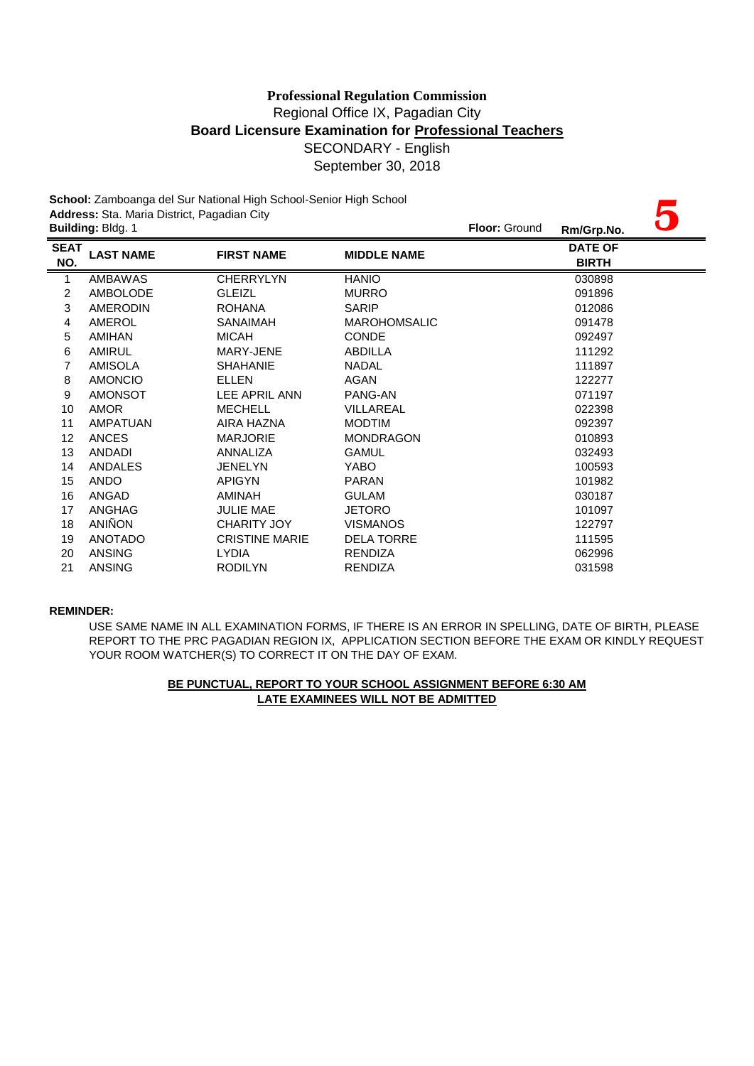|                         | School: Zamboanga del Sur National High School-Senior High School |                       |                     |            |                                |  |  |  |
|-------------------------|-------------------------------------------------------------------|-----------------------|---------------------|------------|--------------------------------|--|--|--|
|                         | Address: Sta. Maria District, Pagadian City<br>Building: Bldg. 1  |                       | Floor: Ground       | Rm/Grp.No. |                                |  |  |  |
| <b>SEAT</b><br>NO.<br>= | <b>LAST NAME</b>                                                  | <b>FIRST NAME</b>     | <b>MIDDLE NAME</b>  |            | <b>DATE OF</b><br><b>BIRTH</b> |  |  |  |
| $\mathbf{1}$            | AMBAWAS                                                           | <b>CHERRYLYN</b>      | <b>HANIO</b>        |            | 030898                         |  |  |  |
| 2                       | <b>AMBOLODE</b>                                                   | <b>GLEIZL</b>         | <b>MURRO</b>        |            | 091896                         |  |  |  |
| 3                       | <b>AMERODIN</b>                                                   | <b>ROHANA</b>         | <b>SARIP</b>        |            | 012086                         |  |  |  |
| 4                       | AMEROL                                                            | <b>SANAIMAH</b>       | <b>MAROHOMSALIC</b> |            | 091478                         |  |  |  |
| 5                       | <b>AMIHAN</b>                                                     | <b>MICAH</b>          | <b>CONDE</b>        |            | 092497                         |  |  |  |
| 6                       | <b>AMIRUL</b>                                                     | MARY-JENE             | ABDILLA             |            | 111292                         |  |  |  |
| 7                       | <b>AMISOLA</b>                                                    | <b>SHAHANIE</b>       | <b>NADAL</b>        |            | 111897                         |  |  |  |
| 8                       | <b>AMONCIO</b>                                                    | <b>ELLEN</b>          | <b>AGAN</b>         |            | 122277                         |  |  |  |
| 9                       | <b>AMONSOT</b>                                                    | LEE APRIL ANN         | PANG-AN             |            | 071197                         |  |  |  |
| 10                      | <b>AMOR</b>                                                       | <b>MECHELL</b>        | VILLAREAL           |            | 022398                         |  |  |  |
| 11                      | AMPATUAN                                                          | AIRA HAZNA            | <b>MODTIM</b>       |            | 092397                         |  |  |  |
| 12                      | <b>ANCES</b>                                                      | <b>MARJORIE</b>       | <b>MONDRAGON</b>    |            | 010893                         |  |  |  |
| 13                      | <b>ANDADI</b>                                                     | <b>ANNALIZA</b>       | <b>GAMUL</b>        |            | 032493                         |  |  |  |
| 14                      | ANDALES                                                           | <b>JENELYN</b>        | YABO                |            | 100593                         |  |  |  |
| 15                      | <b>ANDO</b>                                                       | <b>APIGYN</b>         | <b>PARAN</b>        |            | 101982                         |  |  |  |
| 16                      | ANGAD                                                             | AMINAH                | <b>GULAM</b>        |            | 030187                         |  |  |  |
| 17                      | ANGHAG                                                            | JULIE MAE             | <b>JETORO</b>       |            | 101097                         |  |  |  |
| 18                      | <b>ANIÑON</b>                                                     | <b>CHARITY JOY</b>    | <b>VISMANOS</b>     |            | 122797                         |  |  |  |
| 19                      | <b>ANOTADO</b>                                                    | <b>CRISTINE MARIE</b> | <b>DELA TORRE</b>   |            | 111595                         |  |  |  |
| 20                      | <b>ANSING</b>                                                     | <b>LYDIA</b>          | <b>RENDIZA</b>      |            | 062996                         |  |  |  |
| 21                      | <b>ANSING</b>                                                     | <b>RODILYN</b>        | <b>RENDIZA</b>      |            | 031598                         |  |  |  |

### **REMINDER:**

USE SAME NAME IN ALL EXAMINATION FORMS, IF THERE IS AN ERROR IN SPELLING, DATE OF BIRTH, PLEASE REPORT TO THE PRC PAGADIAN REGION IX, APPLICATION SECTION BEFORE THE EXAM OR KINDLY REQUEST YOUR ROOM WATCHER(S) TO CORRECT IT ON THE DAY OF EXAM.

# **LATE EXAMINEES WILL NOT BE ADMITTED BE PUNCTUAL, REPORT TO YOUR SCHOOL ASSIGNMENT BEFORE 6:30 AM**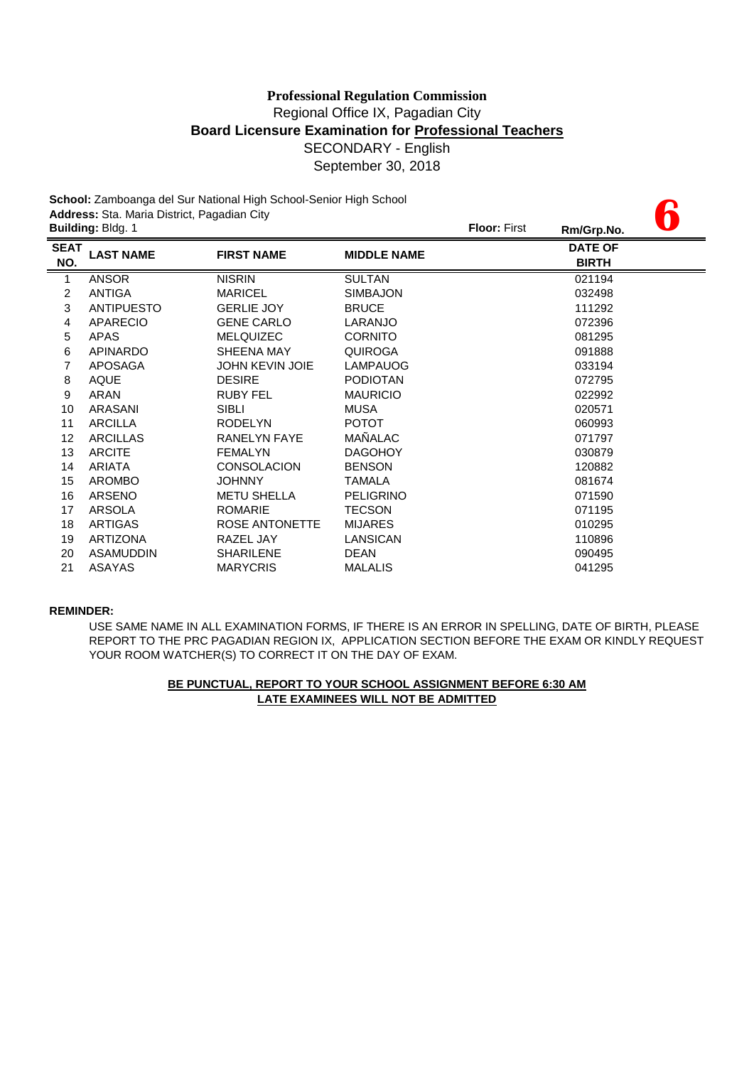**6**

**School:** Zamboanga del Sur National High School-Senior High School **Address:** Sta. Maria District, Pagadian City **Building:** Bldg. 1 **Floor:** First **Rm/Grp.No.**

|                    | Dununiyi Diuyi T  |                        |                    | . <b>.</b> | KIII/Urp.NO.                   |  |
|--------------------|-------------------|------------------------|--------------------|------------|--------------------------------|--|
| <b>SEAT</b><br>NO. | <b>LAST NAME</b>  | <b>FIRST NAME</b>      | <b>MIDDLE NAME</b> |            | <b>DATE OF</b><br><b>BIRTH</b> |  |
| 1                  | <b>ANSOR</b>      | <b>NISRIN</b>          | <b>SULTAN</b>      |            | 021194                         |  |
| 2                  | <b>ANTIGA</b>     | <b>MARICEL</b>         | <b>SIMBAJON</b>    |            | 032498                         |  |
| 3                  | <b>ANTIPUESTO</b> | <b>GERLIE JOY</b>      | <b>BRUCE</b>       |            | 111292                         |  |
| 4                  | <b>APARECIO</b>   | <b>GENE CARLO</b>      | LARANJO            |            | 072396                         |  |
| 5                  | <b>APAS</b>       | <b>MELQUIZEC</b>       | <b>CORNITO</b>     |            | 081295                         |  |
| 6                  | <b>APINARDO</b>   | SHEENA MAY             | <b>QUIROGA</b>     |            | 091888                         |  |
| 7                  | <b>APOSAGA</b>    | <b>JOHN KEVIN JOIE</b> | <b>LAMPAUOG</b>    |            | 033194                         |  |
| 8                  | <b>AQUE</b>       | <b>DESIRE</b>          | <b>PODIOTAN</b>    |            | 072795                         |  |
| 9                  | ARAN              | <b>RUBY FEL</b>        | <b>MAURICIO</b>    |            | 022992                         |  |
| 10                 | ARASANI           | <b>SIBLI</b>           | <b>MUSA</b>        |            | 020571                         |  |
| 11                 | <b>ARCILLA</b>    | <b>RODELYN</b>         | <b>POTOT</b>       |            | 060993                         |  |
| 12                 | <b>ARCILLAS</b>   | <b>RANELYN FAYE</b>    | MAÑALAC            |            | 071797                         |  |
| 13                 | <b>ARCITE</b>     | <b>FEMALYN</b>         | <b>DAGOHOY</b>     |            | 030879                         |  |
| 14                 | <b>ARIATA</b>     | <b>CONSOLACION</b>     | <b>BENSON</b>      |            | 120882                         |  |
| 15                 | <b>AROMBO</b>     | <b>JOHNNY</b>          | <b>TAMALA</b>      |            | 081674                         |  |
| 16                 | ARSENO            | <b>METU SHELLA</b>     | <b>PELIGRINO</b>   |            | 071590                         |  |
| 17                 | ARSOLA            | <b>ROMARIE</b>         | <b>TECSON</b>      |            | 071195                         |  |
| 18                 | <b>ARTIGAS</b>    | ROSE ANTONETTE         | <b>MIJARES</b>     |            | 010295                         |  |
| 19                 | <b>ARTIZONA</b>   | RAZEL JAY              | LANSICAN           |            | 110896                         |  |
| 20                 | <b>ASAMUDDIN</b>  | <b>SHARILENE</b>       | <b>DEAN</b>        |            | 090495                         |  |
| 21                 | ASAYAS            | <b>MARYCRIS</b>        | <b>MALALIS</b>     |            | 041295                         |  |
|                    |                   |                        |                    |            |                                |  |

### **REMINDER:**

USE SAME NAME IN ALL EXAMINATION FORMS, IF THERE IS AN ERROR IN SPELLING, DATE OF BIRTH, PLEASE REPORT TO THE PRC PAGADIAN REGION IX, APPLICATION SECTION BEFORE THE EXAM OR KINDLY REQUEST YOUR ROOM WATCHER(S) TO CORRECT IT ON THE DAY OF EXAM.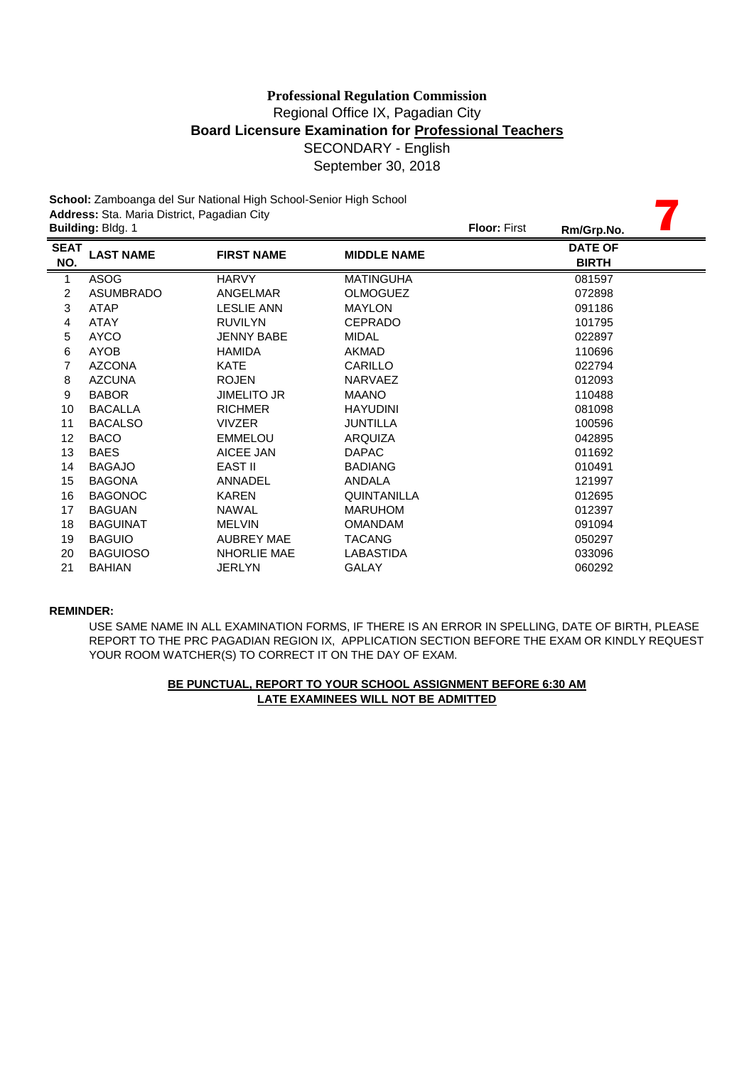|                    | School: Zamboanga del Sur National High School-Senior High School<br>Address: Sta. Maria District, Pagadian City |                    |                    |                     |                                |  |  |  |
|--------------------|------------------------------------------------------------------------------------------------------------------|--------------------|--------------------|---------------------|--------------------------------|--|--|--|
|                    | Building: Bldg. 1                                                                                                |                    |                    | <b>Floor: First</b> | Rm/Grp.No.                     |  |  |  |
| <b>SEAT</b><br>NO. | <b>LAST NAME</b>                                                                                                 | <b>FIRST NAME</b>  | <b>MIDDLE NAME</b> |                     | <b>DATE OF</b><br><b>BIRTH</b> |  |  |  |
| $\mathbf{1}$       | <b>ASOG</b>                                                                                                      | <b>HARVY</b>       | <b>MATINGUHA</b>   |                     | 081597                         |  |  |  |
| $\overline{c}$     | <b>ASUMBRADO</b>                                                                                                 | ANGELMAR           | <b>OLMOGUEZ</b>    |                     | 072898                         |  |  |  |
| 3                  | <b>ATAP</b>                                                                                                      | <b>LESLIE ANN</b>  | <b>MAYLON</b>      |                     | 091186                         |  |  |  |
| 4                  | <b>ATAY</b>                                                                                                      | <b>RUVILYN</b>     | CEPRADO            |                     | 101795                         |  |  |  |
| 5                  | <b>AYCO</b>                                                                                                      | <b>JENNY BABE</b>  | <b>MIDAL</b>       |                     | 022897                         |  |  |  |
| 6                  | <b>AYOB</b>                                                                                                      | <b>HAMIDA</b>      | <b>AKMAD</b>       |                     | 110696                         |  |  |  |
| 7                  | <b>AZCONA</b>                                                                                                    | <b>KATE</b>        | CARILLO            |                     | 022794                         |  |  |  |
| 8                  | <b>AZCUNA</b>                                                                                                    | <b>ROJEN</b>       | <b>NARVAEZ</b>     |                     | 012093                         |  |  |  |
| 9                  | <b>BABOR</b>                                                                                                     | <b>JIMELITO JR</b> | <b>MAANO</b>       |                     | 110488                         |  |  |  |
| 10                 | <b>BACALLA</b>                                                                                                   | <b>RICHMER</b>     | <b>HAYUDINI</b>    |                     | 081098                         |  |  |  |
| 11                 | <b>BACALSO</b>                                                                                                   | <b>VIVZER</b>      | <b>JUNTILLA</b>    |                     | 100596                         |  |  |  |
| 12                 | <b>BACO</b>                                                                                                      | <b>EMMELOU</b>     | ARQUIZA            |                     | 042895                         |  |  |  |
| 13                 | <b>BAES</b>                                                                                                      | AICEE JAN          | <b>DAPAC</b>       |                     | 011692                         |  |  |  |
| 14                 | <b>BAGAJO</b>                                                                                                    | EAST II            | <b>BADIANG</b>     |                     | 010491                         |  |  |  |
| 15                 | <b>BAGONA</b>                                                                                                    | <b>ANNADEL</b>     | <b>ANDALA</b>      |                     | 121997                         |  |  |  |
| 16                 | <b>BAGONOC</b>                                                                                                   | <b>KAREN</b>       | <b>QUINTANILLA</b> |                     | 012695                         |  |  |  |
| 17                 | <b>BAGUAN</b>                                                                                                    | <b>NAWAL</b>       | <b>MARUHOM</b>     |                     | 012397                         |  |  |  |
| 18                 | <b>BAGUINAT</b>                                                                                                  | <b>MELVIN</b>      | <b>OMANDAM</b>     |                     | 091094                         |  |  |  |
| 19                 | <b>BAGUIO</b>                                                                                                    | <b>AUBREY MAE</b>  | <b>TACANG</b>      |                     | 050297                         |  |  |  |
| 20                 | <b>BAGUIOSO</b>                                                                                                  | <b>NHORLIE MAE</b> | LABASTIDA          |                     | 033096                         |  |  |  |
| 21                 | <b>BAHIAN</b>                                                                                                    | <b>JERLYN</b>      | <b>GALAY</b>       |                     | 060292                         |  |  |  |

### **REMINDER:**

USE SAME NAME IN ALL EXAMINATION FORMS, IF THERE IS AN ERROR IN SPELLING, DATE OF BIRTH, PLEASE REPORT TO THE PRC PAGADIAN REGION IX, APPLICATION SECTION BEFORE THE EXAM OR KINDLY REQUEST YOUR ROOM WATCHER(S) TO CORRECT IT ON THE DAY OF EXAM.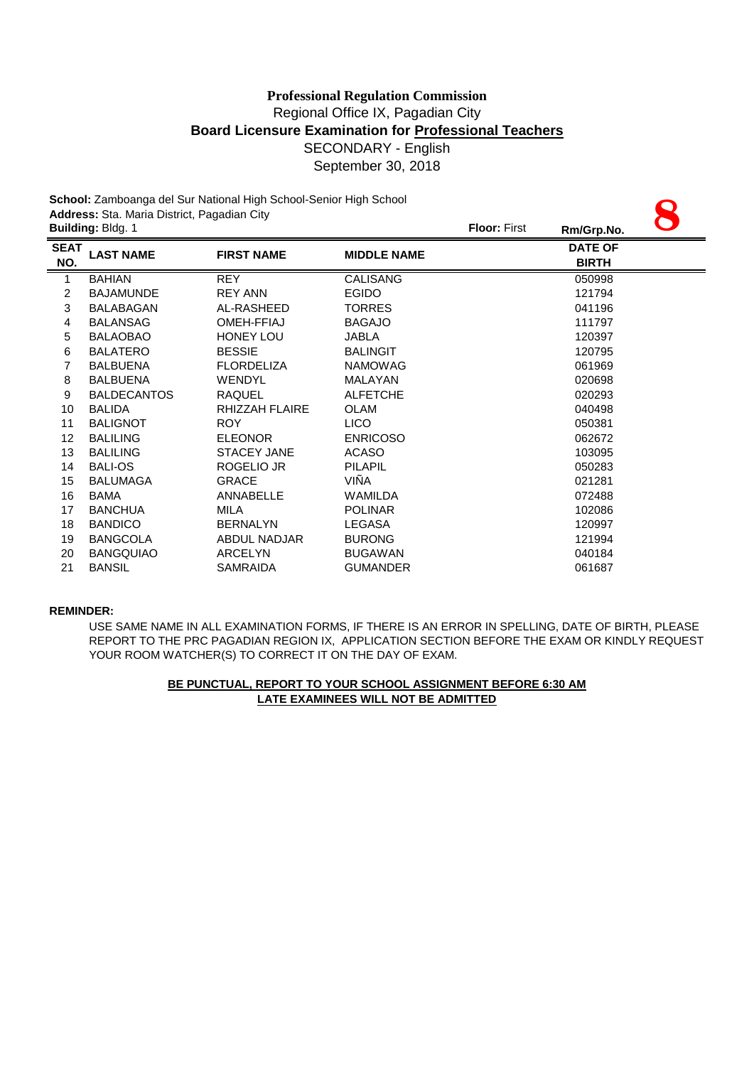# Regional Office IX, Pagadian City **Board Licensure Examination for Professional Teachers** SECONDARY - English September 30, 2018 **Professional Regulation Commission**

| School: Zamboanga del Sur National High School-Senior High School |                                                                  |                       |                    |  |                                |  |  |
|-------------------------------------------------------------------|------------------------------------------------------------------|-----------------------|--------------------|--|--------------------------------|--|--|
|                                                                   | Address: Sta. Maria District, Pagadian City<br>Building: Bldg. 1 |                       |                    |  | Rm/Grp.No.                     |  |  |
| <b>SEAT</b><br>NO.                                                | <b>LAST NAME</b>                                                 | <b>FIRST NAME</b>     | <b>MIDDLE NAME</b> |  | <b>DATE OF</b><br><b>BIRTH</b> |  |  |
| $\mathbf{1}$                                                      | <b>BAHIAN</b>                                                    | <b>REY</b>            | <b>CALISANG</b>    |  | 050998                         |  |  |
| 2                                                                 | <b>BAJAMUNDE</b>                                                 | <b>REY ANN</b>        | <b>EGIDO</b>       |  | 121794                         |  |  |
| 3                                                                 | <b>BALABAGAN</b>                                                 | AL-RASHEED            | <b>TORRES</b>      |  | 041196                         |  |  |
| 4                                                                 | <b>BALANSAG</b>                                                  | OMEH-FFIAJ            | <b>BAGAJO</b>      |  | 111797                         |  |  |
| 5                                                                 | <b>BALAOBAO</b>                                                  | <b>HONEY LOU</b>      | <b>JABLA</b>       |  | 120397                         |  |  |
| 6                                                                 | <b>BALATERO</b>                                                  | <b>BESSIE</b>         | <b>BALINGIT</b>    |  | 120795                         |  |  |
| 7                                                                 | <b>BALBUENA</b>                                                  | <b>FLORDELIZA</b>     | <b>NAMOWAG</b>     |  | 061969                         |  |  |
| 8                                                                 | <b>BALBUENA</b>                                                  | <b>WENDYL</b>         | <b>MALAYAN</b>     |  | 020698                         |  |  |
| 9                                                                 | <b>BALDECANTOS</b>                                               | <b>RAQUEL</b>         | <b>ALFETCHE</b>    |  | 020293                         |  |  |
| 10                                                                | <b>BALIDA</b>                                                    | <b>RHIZZAH FLAIRE</b> | <b>OLAM</b>        |  | 040498                         |  |  |
| 11                                                                | <b>BALIGNOT</b>                                                  | <b>ROY</b>            | <b>LICO</b>        |  | 050381                         |  |  |
| 12                                                                | <b>BALILING</b>                                                  | <b>ELEONOR</b>        | <b>ENRICOSO</b>    |  | 062672                         |  |  |
| 13                                                                | <b>BALILING</b>                                                  | <b>STACEY JANE</b>    | <b>ACASO</b>       |  | 103095                         |  |  |
| 14                                                                | <b>BALI-OS</b>                                                   | ROGELIO JR            | <b>PILAPIL</b>     |  | 050283                         |  |  |
| 15                                                                | <b>BALUMAGA</b>                                                  | <b>GRACE</b>          | VIÑA               |  | 021281                         |  |  |
| 16                                                                | BAMA                                                             | ANNABELLE             | WAMILDA            |  | 072488                         |  |  |
| 17                                                                | <b>BANCHUA</b>                                                   | <b>MILA</b>           | <b>POLINAR</b>     |  | 102086                         |  |  |
| 18                                                                | <b>BANDICO</b>                                                   | <b>BERNALYN</b>       | LEGASA             |  | 120997                         |  |  |
| 19                                                                | <b>BANGCOLA</b>                                                  | <b>ABDUL NADJAR</b>   | <b>BURONG</b>      |  | 121994                         |  |  |
| 20                                                                | <b>BANGQUIAO</b>                                                 | <b>ARCELYN</b>        | <b>BUGAWAN</b>     |  | 040184                         |  |  |
| 21                                                                | <b>BANSIL</b>                                                    | <b>SAMRAIDA</b>       | <b>GUMANDER</b>    |  | 061687                         |  |  |

### **REMINDER:**

USE SAME NAME IN ALL EXAMINATION FORMS, IF THERE IS AN ERROR IN SPELLING, DATE OF BIRTH, PLEASE REPORT TO THE PRC PAGADIAN REGION IX, APPLICATION SECTION BEFORE THE EXAM OR KINDLY REQUEST YOUR ROOM WATCHER(S) TO CORRECT IT ON THE DAY OF EXAM.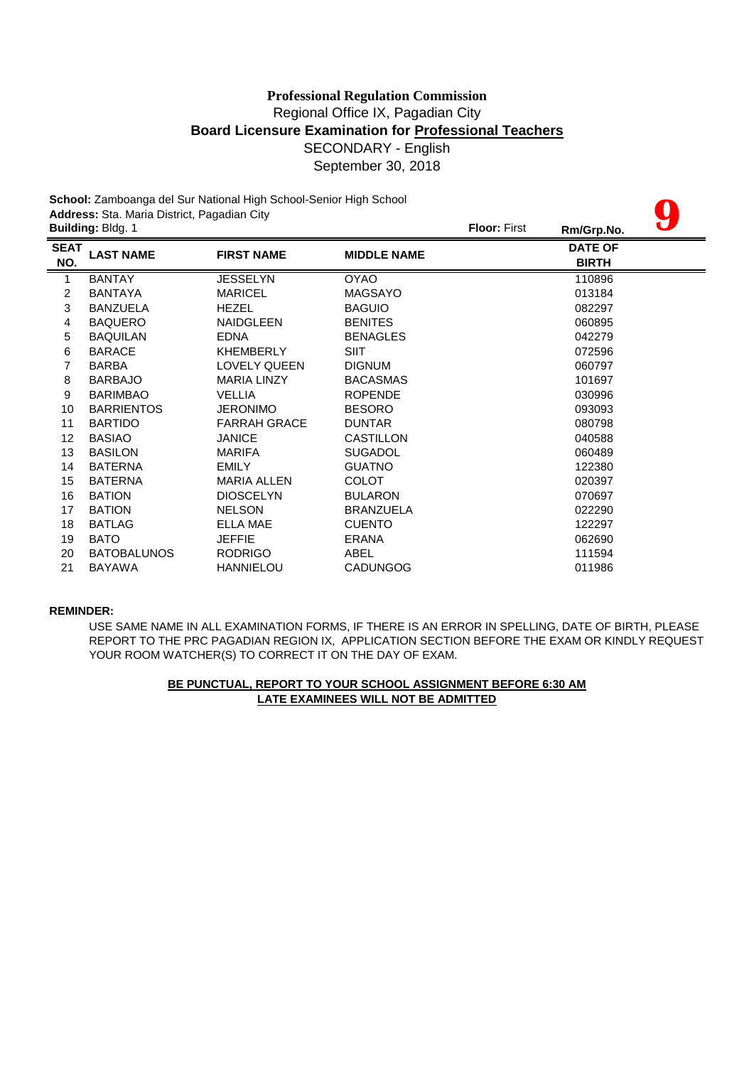# **Board Licensure Examination for Professional Teachers** SECONDARY - English September 30, 2018 **Professional Regulation Commission** Regional Office IX, Pagadian City

| School: Zamboanga del Sur National High School-Senior High School |                                             |                     |                    |                     |                |  |  |
|-------------------------------------------------------------------|---------------------------------------------|---------------------|--------------------|---------------------|----------------|--|--|
|                                                                   | Address: Sta. Maria District, Pagadian City |                     |                    |                     |                |  |  |
|                                                                   | Building: Bldg. 1                           |                     |                    | <b>Floor: First</b> | Rm/Grp.No.     |  |  |
| <b>SEAT</b>                                                       | <b>LAST NAME</b>                            | <b>FIRST NAME</b>   | <b>MIDDLE NAME</b> |                     | <b>DATE OF</b> |  |  |
| NO.                                                               |                                             |                     |                    |                     | <b>BIRTH</b>   |  |  |
| $\mathbf{1}$                                                      | <b>BANTAY</b>                               | <b>JESSELYN</b>     | <b>OYAO</b>        |                     | 110896         |  |  |
| 2                                                                 | <b>BANTAYA</b>                              | <b>MARICEL</b>      | <b>MAGSAYO</b>     |                     | 013184         |  |  |
| 3                                                                 | <b>BANZUELA</b>                             | <b>HEZEL</b>        | <b>BAGUIO</b>      |                     | 082297         |  |  |
| 4                                                                 | <b>BAQUERO</b>                              | <b>NAIDGLEEN</b>    | <b>BENITES</b>     |                     | 060895         |  |  |
| 5                                                                 | <b>BAQUILAN</b>                             | <b>EDNA</b>         | <b>BENAGLES</b>    |                     | 042279         |  |  |
| 6                                                                 | <b>BARACE</b>                               | <b>KHEMBERLY</b>    | <b>SIIT</b>        |                     | 072596         |  |  |
| $\overline{7}$                                                    | <b>BARBA</b>                                | <b>LOVELY QUEEN</b> | <b>DIGNUM</b>      |                     | 060797         |  |  |
| 8                                                                 | <b>BARBAJO</b>                              | <b>MARIA LINZY</b>  | <b>BACASMAS</b>    |                     | 101697         |  |  |
| 9                                                                 | <b>BARIMBAO</b>                             | <b>VELLIA</b>       | <b>ROPENDE</b>     |                     | 030996         |  |  |
| 10                                                                | <b>BARRIENTOS</b>                           | <b>JERONIMO</b>     | <b>BESORO</b>      |                     | 093093         |  |  |
| 11                                                                | <b>BARTIDO</b>                              | <b>FARRAH GRACE</b> | <b>DUNTAR</b>      |                     | 080798         |  |  |
| 12                                                                | <b>BASIAO</b>                               | <b>JANICE</b>       | <b>CASTILLON</b>   |                     | 040588         |  |  |
| 13                                                                | <b>BASILON</b>                              | <b>MARIFA</b>       | <b>SUGADOL</b>     |                     | 060489         |  |  |
| 14                                                                | <b>BATERNA</b>                              | <b>EMILY</b>        | <b>GUATNO</b>      |                     | 122380         |  |  |
| 15                                                                | <b>BATERNA</b>                              | <b>MARIA ALLEN</b>  | <b>COLOT</b>       |                     | 020397         |  |  |
| 16                                                                | <b>BATION</b>                               | <b>DIOSCELYN</b>    | <b>BULARON</b>     |                     | 070697         |  |  |
| 17                                                                | <b>BATION</b>                               | <b>NELSON</b>       | <b>BRANZUELA</b>   |                     | 022290         |  |  |
| 18                                                                | <b>BATLAG</b>                               | ELLA MAE            | <b>CUENTO</b>      |                     | 122297         |  |  |
| 19                                                                | <b>BATO</b>                                 | <b>JEFFIE</b>       | <b>ERANA</b>       |                     | 062690         |  |  |
| 20                                                                | <b>BATOBALUNOS</b>                          | <b>RODRIGO</b>      | ABEL               |                     | 111594         |  |  |
| 21                                                                | <b>BAYAWA</b>                               | <b>HANNIELOU</b>    | <b>CADUNGOG</b>    |                     | 011986         |  |  |

### **REMINDER:**

USE SAME NAME IN ALL EXAMINATION FORMS, IF THERE IS AN ERROR IN SPELLING, DATE OF BIRTH, PLEASE REPORT TO THE PRC PAGADIAN REGION IX, APPLICATION SECTION BEFORE THE EXAM OR KINDLY REQUEST YOUR ROOM WATCHER(S) TO CORRECT IT ON THE DAY OF EXAM.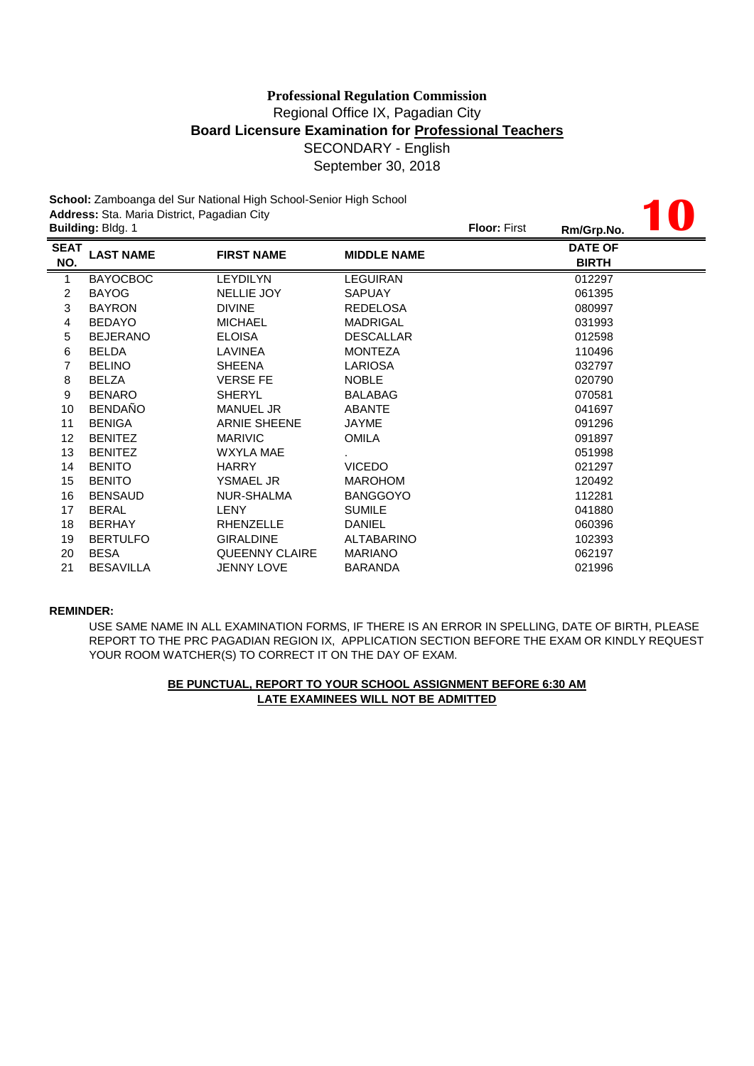# SECONDARY - English September 30, 2018 **Professional Regulation Commission** Regional Office IX, Pagadian City **Board Licensure Examination for Professional Teachers**

**10**

**School:** Zamboanga del Sur National High School-Senior High School **Address:** Sta. Maria District, Pagadian City

|                    | <b>Building: Bldg. 1</b> |                       |                    |  | Rm/Grp.No.                     | $\mathbf{U}$ |
|--------------------|--------------------------|-----------------------|--------------------|--|--------------------------------|--------------|
| <b>SEAT</b><br>NO. | <b>LAST NAME</b>         | <b>FIRST NAME</b>     | <b>MIDDLE NAME</b> |  | <b>DATE OF</b><br><b>BIRTH</b> |              |
| $\mathbf{1}$       | <b>BAYOCBOC</b>          | <b>LEYDILYN</b>       | <b>LEGUIRAN</b>    |  | 012297                         |              |
| $\overline{c}$     | <b>BAYOG</b>             | NELLIE JOY            | <b>SAPUAY</b>      |  | 061395                         |              |
| 3                  | <b>BAYRON</b>            | <b>DIVINE</b>         | <b>REDELOSA</b>    |  | 080997                         |              |
| 4                  | <b>BEDAYO</b>            | <b>MICHAEL</b>        | <b>MADRIGAL</b>    |  | 031993                         |              |
| 5                  | <b>BEJERANO</b>          | <b>ELOISA</b>         | <b>DESCALLAR</b>   |  | 012598                         |              |
| 6                  | <b>BELDA</b>             | LAVINEA               | <b>MONTEZA</b>     |  | 110496                         |              |
| 7                  | <b>BELINO</b>            | <b>SHEENA</b>         | LARIOSA            |  | 032797                         |              |
| 8                  | <b>BELZA</b>             | <b>VERSE FE</b>       | <b>NOBLE</b>       |  | 020790                         |              |
| 9                  | <b>BENARO</b>            | <b>SHERYL</b>         | <b>BALABAG</b>     |  | 070581                         |              |
| 10                 | <b>BENDAÑO</b>           | <b>MANUEL JR</b>      | <b>ABANTE</b>      |  | 041697                         |              |
| 11                 | <b>BENIGA</b>            | <b>ARNIE SHEENE</b>   | JAYME              |  | 091296                         |              |
| 12 <sup>°</sup>    | <b>BENITEZ</b>           | <b>MARIVIC</b>        | <b>OMILA</b>       |  | 091897                         |              |
| 13                 | <b>BENITEZ</b>           | WXYLA MAE             |                    |  | 051998                         |              |
| 14                 | <b>BENITO</b>            | <b>HARRY</b>          | <b>VICEDO</b>      |  | 021297                         |              |
| 15                 | <b>BENITO</b>            | <b>YSMAEL JR</b>      | <b>MAROHOM</b>     |  | 120492                         |              |
| 16                 | <b>BENSAUD</b>           | NUR-SHALMA            | <b>BANGGOYO</b>    |  | 112281                         |              |
| 17                 | <b>BERAL</b>             | LENY                  | <b>SUMILE</b>      |  | 041880                         |              |
| 18                 | <b>BERHAY</b>            | <b>RHENZELLE</b>      | <b>DANIEL</b>      |  | 060396                         |              |
| 19                 | <b>BERTULFO</b>          | <b>GIRALDINE</b>      | <b>ALTABARINO</b>  |  | 102393                         |              |
| 20                 | <b>BESA</b>              | <b>QUEENNY CLAIRE</b> | <b>MARIANO</b>     |  | 062197                         |              |
| 21                 | <b>BESAVILLA</b>         | <b>JENNY LOVE</b>     | BARANDA            |  | 021996                         |              |
|                    |                          |                       |                    |  |                                |              |

### **REMINDER:**

USE SAME NAME IN ALL EXAMINATION FORMS, IF THERE IS AN ERROR IN SPELLING, DATE OF BIRTH, PLEASE REPORT TO THE PRC PAGADIAN REGION IX, APPLICATION SECTION BEFORE THE EXAM OR KINDLY REQUEST YOUR ROOM WATCHER(S) TO CORRECT IT ON THE DAY OF EXAM.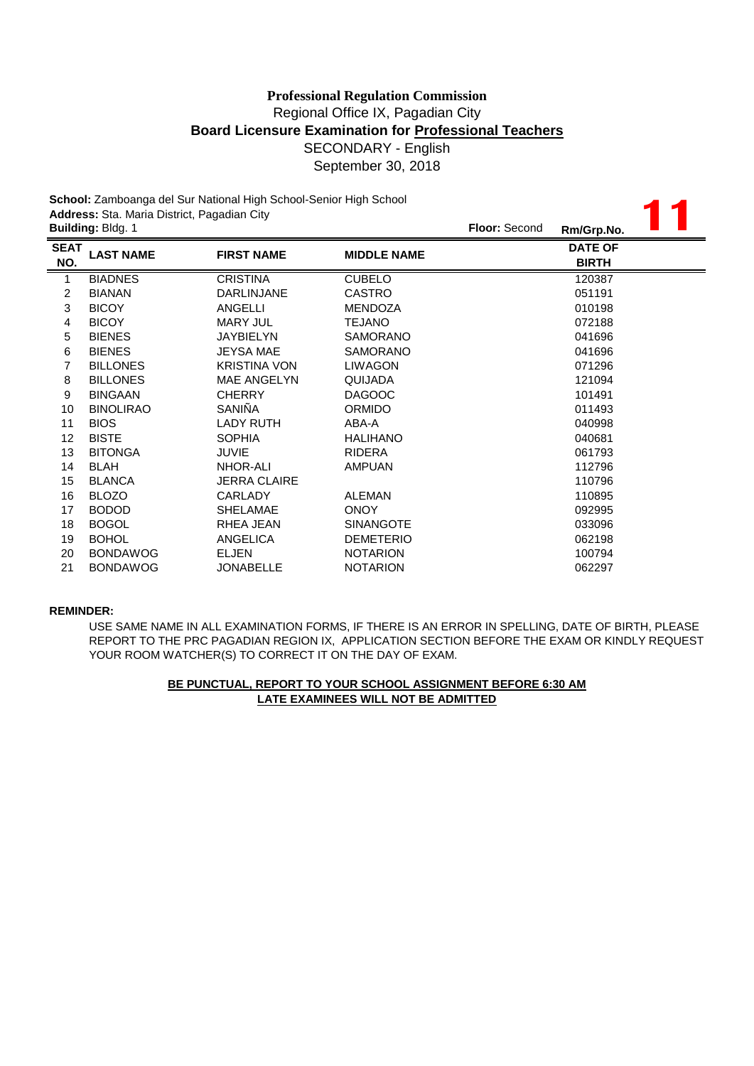**11**

**School:** Zamboanga del Sur National High School-Senior High School **Address:** Sta. Maria District, Pagadian City

| <b>Building: Bldg. 1</b> |                     | <b>Floor: Second</b> | Rm/Grp.No. |                                |  |
|--------------------------|---------------------|----------------------|------------|--------------------------------|--|
| <b>LAST NAME</b>         | <b>FIRST NAME</b>   | <b>MIDDLE NAME</b>   |            | <b>DATE OF</b><br><b>BIRTH</b> |  |
| <b>BIADNES</b>           | <b>CRISTINA</b>     | <b>CUBELO</b>        |            | 120387                         |  |
| <b>BIANAN</b>            | <b>DARLINJANE</b>   | <b>CASTRO</b>        |            | 051191                         |  |
| <b>BICOY</b>             | ANGELLI             | <b>MENDOZA</b>       |            | 010198                         |  |
| <b>BICOY</b>             | <b>MARY JUL</b>     | <b>TEJANO</b>        |            | 072188                         |  |
| <b>BIENES</b>            | JAYBIELYN           | <b>SAMORANO</b>      |            | 041696                         |  |
| <b>BIENES</b>            | JEYSA MAE           | <b>SAMORANO</b>      |            | 041696                         |  |
| <b>BILLONES</b>          | <b>KRISTINA VON</b> | <b>LIWAGON</b>       |            | 071296                         |  |
| <b>BILLONES</b>          | <b>MAE ANGELYN</b>  | QUIJADA              |            | 121094                         |  |
| <b>BINGAAN</b>           | <b>CHERRY</b>       | <b>DAGOOC</b>        |            | 101491                         |  |
| <b>BINOLIRAO</b>         | SANIÑA              | <b>ORMIDO</b>        |            | 011493                         |  |
| <b>BIOS</b>              | LADY RUTH           | ABA-A                |            | 040998                         |  |
| <b>BISTE</b>             | <b>SOPHIA</b>       | <b>HALIHANO</b>      |            | 040681                         |  |
| <b>BITONGA</b>           | JUVIE               | <b>RIDERA</b>        |            | 061793                         |  |
| <b>BLAH</b>              | NHOR-ALI            | <b>AMPUAN</b>        |            | 112796                         |  |
| <b>BLANCA</b>            | <b>JERRA CLAIRE</b> |                      |            | 110796                         |  |
| <b>BLOZO</b>             | CARLADY             | <b>ALEMAN</b>        |            | 110895                         |  |
| <b>BODOD</b>             | <b>SHELAMAE</b>     | <b>ONOY</b>          |            | 092995                         |  |
| <b>BOGOL</b>             | RHEA JEAN           | <b>SINANGOTE</b>     |            | 033096                         |  |
| <b>BOHOL</b>             | ANGELICA            | <b>DEMETERIO</b>     |            | 062198                         |  |
| <b>BONDAWOG</b>          | <b>ELJEN</b>        | <b>NOTARION</b>      |            | 100794                         |  |
| <b>BONDAWOG</b>          | <b>JONABELLE</b>    | <b>NOTARION</b>      |            | 062297                         |  |
|                          |                     |                      |            |                                |  |

### **REMINDER:**

USE SAME NAME IN ALL EXAMINATION FORMS, IF THERE IS AN ERROR IN SPELLING, DATE OF BIRTH, PLEASE REPORT TO THE PRC PAGADIAN REGION IX, APPLICATION SECTION BEFORE THE EXAM OR KINDLY REQUEST YOUR ROOM WATCHER(S) TO CORRECT IT ON THE DAY OF EXAM.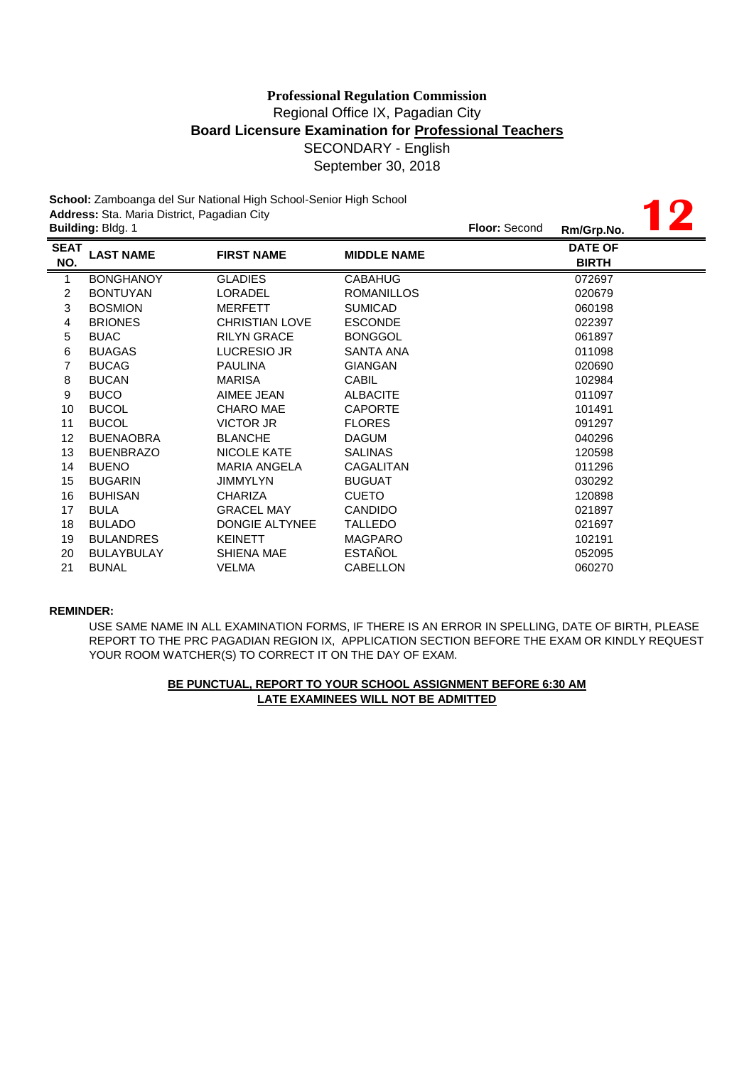|                    | Address: Sta. Maria District, Pagadian City | School: Zamboanga del Sur National High School-Senior High School |                    |               |                                |  |
|--------------------|---------------------------------------------|-------------------------------------------------------------------|--------------------|---------------|--------------------------------|--|
|                    | Building: Bldg. 1                           |                                                                   |                    | Floor: Second | Rm/Grp.No.                     |  |
| <b>SEAT</b><br>NO. | <b>LAST NAME</b>                            | <b>FIRST NAME</b>                                                 | <b>MIDDLE NAME</b> |               | <b>DATE OF</b><br><b>BIRTH</b> |  |
| $\mathbf{1}$       | <b>BONGHANOY</b>                            | <b>GLADIES</b>                                                    | <b>CABAHUG</b>     |               | 072697                         |  |
| $\overline{c}$     | <b>BONTUYAN</b>                             | <b>LORADEL</b>                                                    | <b>ROMANILLOS</b>  |               | 020679                         |  |
| 3                  | <b>BOSMION</b>                              | <b>MERFETT</b>                                                    | <b>SUMICAD</b>     |               | 060198                         |  |
| 4                  | <b>BRIONES</b>                              | <b>CHRISTIAN LOVE</b>                                             | <b>ESCONDE</b>     |               | 022397                         |  |
| 5                  | <b>BUAC</b>                                 | <b>RILYN GRACE</b>                                                | <b>BONGGOL</b>     |               | 061897                         |  |
| 6                  | <b>BUAGAS</b>                               | LUCRESIO JR                                                       | <b>SANTA ANA</b>   |               | 011098                         |  |
| 7                  | <b>BUCAG</b>                                | <b>PAULINA</b>                                                    | <b>GIANGAN</b>     |               | 020690                         |  |
| 8                  | <b>BUCAN</b>                                | <b>MARISA</b>                                                     | CABIL              |               | 102984                         |  |
| 9                  | <b>BUCO</b>                                 | AIMEE JEAN                                                        | <b>ALBACITE</b>    |               | 011097                         |  |
| 10                 | <b>BUCOL</b>                                | <b>CHARO MAE</b>                                                  | <b>CAPORTE</b>     |               | 101491                         |  |
| 11                 | <b>BUCOL</b>                                | VICTOR JR                                                         | <b>FLORES</b>      |               | 091297                         |  |
| 12                 | <b>BUENAOBRA</b>                            | <b>BLANCHE</b>                                                    | <b>DAGUM</b>       |               | 040296                         |  |
| 13                 | <b>BUENBRAZO</b>                            | <b>NICOLE KATE</b>                                                | <b>SALINAS</b>     |               | 120598                         |  |
| 14                 | <b>BUENO</b>                                | <b>MARIA ANGELA</b>                                               | CAGALITAN          |               | 011296                         |  |
| 15                 | <b>BUGARIN</b>                              | <b>JIMMYLYN</b>                                                   | <b>BUGUAT</b>      |               | 030292                         |  |
| 16                 | <b>BUHISAN</b>                              | <b>CHARIZA</b>                                                    | <b>CUETO</b>       |               | 120898                         |  |
| 17                 | <b>BULA</b>                                 | <b>GRACEL MAY</b>                                                 | <b>CANDIDO</b>     |               | 021897                         |  |
| 18                 | <b>BULADO</b>                               | <b>DONGIE ALTYNEE</b>                                             | <b>TALLEDO</b>     |               | 021697                         |  |
| 19                 | <b>BULANDRES</b>                            | <b>KEINETT</b>                                                    | <b>MAGPARO</b>     |               | 102191                         |  |
| 20                 | <b>BULAYBULAY</b>                           | <b>SHIENA MAE</b>                                                 | <b>ESTAÑOL</b>     |               | 052095                         |  |
| 21                 | <b>BUNAL</b>                                | <b>VELMA</b>                                                      | CABELLON           |               | 060270                         |  |

### **REMINDER:**

USE SAME NAME IN ALL EXAMINATION FORMS, IF THERE IS AN ERROR IN SPELLING, DATE OF BIRTH, PLEASE REPORT TO THE PRC PAGADIAN REGION IX, APPLICATION SECTION BEFORE THE EXAM OR KINDLY REQUEST YOUR ROOM WATCHER(S) TO CORRECT IT ON THE DAY OF EXAM.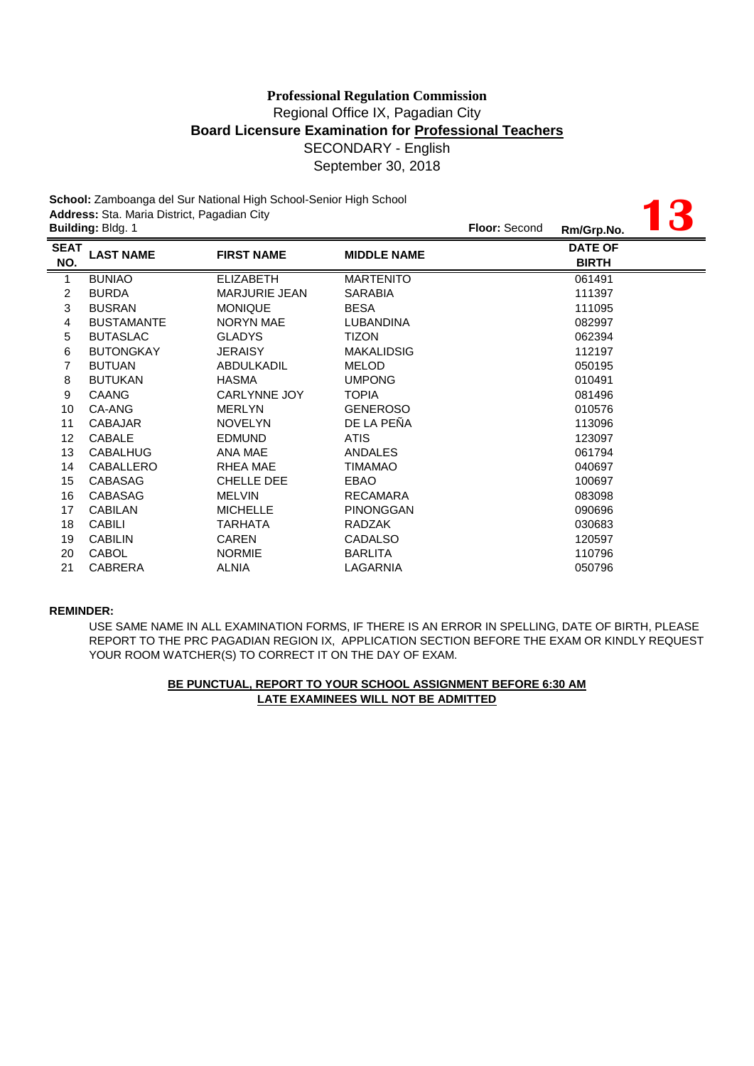|                    | Address: Sta. Maria District, Pagadian City | School: Zamboanga del Sur National High School-Senior High School |                    |               |                                |  |
|--------------------|---------------------------------------------|-------------------------------------------------------------------|--------------------|---------------|--------------------------------|--|
|                    | Building: Bldg. 1                           |                                                                   |                    | Floor: Second | Rm/Grp.No.                     |  |
| <b>SEAT</b><br>NO. | <b>LAST NAME</b>                            | <b>FIRST NAME</b>                                                 | <b>MIDDLE NAME</b> |               | <b>DATE OF</b><br><b>BIRTH</b> |  |
| $\overline{1}$     | <b>BUNIAO</b>                               | <b>ELIZABETH</b>                                                  | <b>MARTENITO</b>   |               | 061491                         |  |
| $\overline{2}$     | <b>BURDA</b>                                | <b>MARJURIE JEAN</b>                                              | <b>SARABIA</b>     |               | 111397                         |  |
| 3                  | <b>BUSRAN</b>                               | <b>MONIQUE</b>                                                    | <b>BESA</b>        |               | 111095                         |  |
| 4                  | <b>BUSTAMANTE</b>                           | <b>NORYN MAE</b>                                                  | <b>LUBANDINA</b>   |               | 082997                         |  |
| 5                  | <b>BUTASLAC</b>                             | <b>GLADYS</b>                                                     | <b>TIZON</b>       |               | 062394                         |  |
| 6                  | <b>BUTONGKAY</b>                            | <b>JERAISY</b>                                                    | <b>MAKALIDSIG</b>  |               | 112197                         |  |
| 7                  | <b>BUTUAN</b>                               | <b>ABDULKADIL</b>                                                 | <b>MELOD</b>       |               | 050195                         |  |
| 8                  | <b>BUTUKAN</b>                              | <b>HASMA</b>                                                      | <b>UMPONG</b>      |               | 010491                         |  |
| 9                  | <b>CAANG</b>                                | <b>CARLYNNE JOY</b>                                               | <b>TOPIA</b>       |               | 081496                         |  |
| 10                 | CA-ANG                                      | <b>MERLYN</b>                                                     | <b>GENEROSO</b>    |               | 010576                         |  |
| 11                 | <b>CABAJAR</b>                              | <b>NOVELYN</b>                                                    | DE LA PEÑA         |               | 113096                         |  |
| 12                 | CABALE                                      | <b>EDMUND</b>                                                     | <b>ATIS</b>        |               | 123097                         |  |
| 13                 | <b>CABALHUG</b>                             | ANA MAE                                                           | <b>ANDALES</b>     |               | 061794                         |  |
| 14                 | CABALLERO                                   | RHEA MAE                                                          | <b>TIMAMAO</b>     |               | 040697                         |  |
| 15                 | <b>CABASAG</b>                              | <b>CHELLE DEE</b>                                                 | EBAO               |               | 100697                         |  |
| 16                 | <b>CABASAG</b>                              | <b>MELVIN</b>                                                     | <b>RECAMARA</b>    |               | 083098                         |  |
| 17                 | <b>CABILAN</b>                              | <b>MICHELLE</b>                                                   | <b>PINONGGAN</b>   |               | 090696                         |  |
| 18                 | <b>CABILI</b>                               | <b>TARHATA</b>                                                    | <b>RADZAK</b>      |               | 030683                         |  |
| 19                 | <b>CABILIN</b>                              | <b>CAREN</b>                                                      | <b>CADALSO</b>     |               | 120597                         |  |
| 20                 | <b>CABOL</b>                                | <b>NORMIE</b>                                                     | <b>BARLITA</b>     |               | 110796                         |  |
| 21                 | <b>CABRERA</b>                              | <b>ALNIA</b>                                                      | LAGARNIA           |               | 050796                         |  |

### **REMINDER:**

USE SAME NAME IN ALL EXAMINATION FORMS, IF THERE IS AN ERROR IN SPELLING, DATE OF BIRTH, PLEASE REPORT TO THE PRC PAGADIAN REGION IX, APPLICATION SECTION BEFORE THE EXAM OR KINDLY REQUEST YOUR ROOM WATCHER(S) TO CORRECT IT ON THE DAY OF EXAM.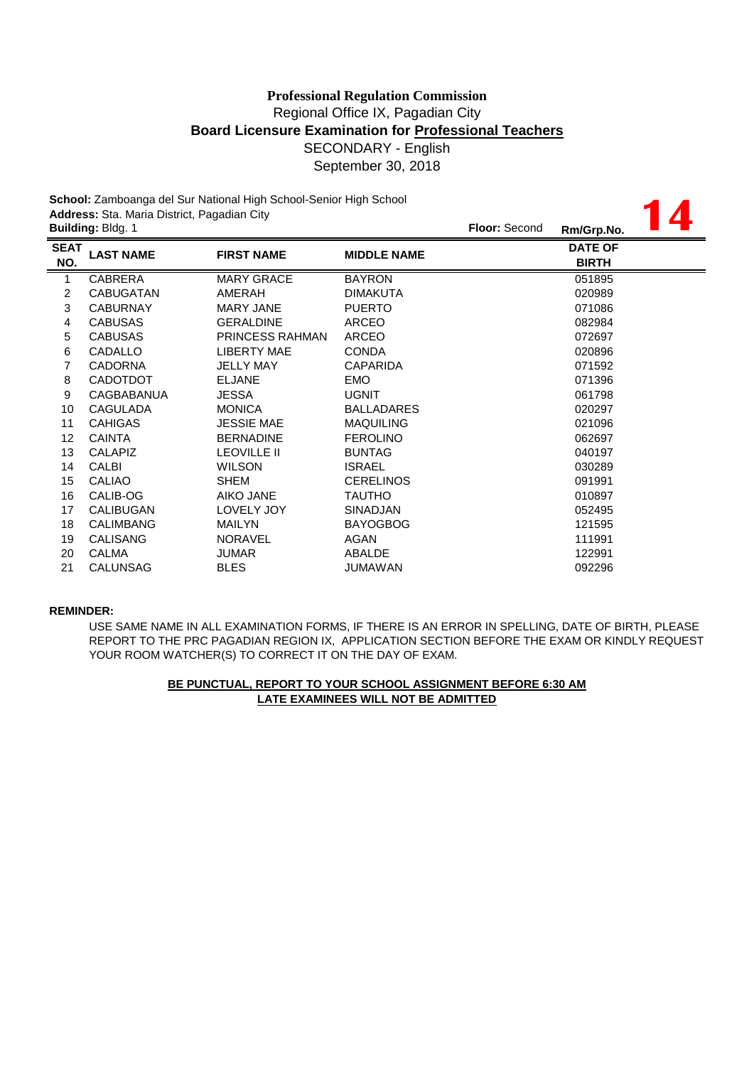**14**

**School:** Zamboanga del Sur National High School-Senior High School **Address:** Sta. Maria District, Pagadian City

| <b>Building: Bldg. 1</b> |                        |                    | <b>Floor: Second</b> | Rm/Grp.No.                     |  |
|--------------------------|------------------------|--------------------|----------------------|--------------------------------|--|
| <b>LAST NAME</b>         | <b>FIRST NAME</b>      | <b>MIDDLE NAME</b> |                      | <b>DATE OF</b><br><b>BIRTH</b> |  |
| <b>CABRERA</b>           | <b>MARY GRACE</b>      | <b>BAYRON</b>      |                      | 051895                         |  |
| <b>CABUGATAN</b>         | AMERAH                 | <b>DIMAKUTA</b>    |                      | 020989                         |  |
| <b>CABURNAY</b>          | MARY JANE              | <b>PUERTO</b>      |                      | 071086                         |  |
| <b>CABUSAS</b>           | <b>GERALDINE</b>       | ARCEO              |                      | 082984                         |  |
| <b>CABUSAS</b>           | <b>PRINCESS RAHMAN</b> | ARCEO              |                      | 072697                         |  |
| CADALLO                  | LIBERTY MAE            | <b>CONDA</b>       |                      | 020896                         |  |
| <b>CADORNA</b>           | <b>JELLY MAY</b>       | CAPARIDA           |                      | 071592                         |  |
| <b>CADOTDOT</b>          | <b>ELJANE</b>          | <b>EMO</b>         |                      | 071396                         |  |
| <b>CAGBABANUA</b>        | JESSA                  | <b>UGNIT</b>       |                      | 061798                         |  |
| <b>CAGULADA</b>          | <b>MONICA</b>          | <b>BALLADARES</b>  |                      | 020297                         |  |
| <b>CAHIGAS</b>           | <b>JESSIE MAE</b>      | <b>MAQUILING</b>   |                      | 021096                         |  |
| <b>CAINTA</b>            | <b>BERNADINE</b>       | <b>FEROLINO</b>    |                      | 062697                         |  |
| <b>CALAPIZ</b>           | <b>LEOVILLE II</b>     | <b>BUNTAG</b>      |                      | 040197                         |  |
| CALBI                    | <b>WILSON</b>          | <b>ISRAEL</b>      |                      | 030289                         |  |
| <b>CALIAO</b>            | SHEM                   | <b>CERELINOS</b>   |                      | 091991                         |  |
| CALIB-OG                 | <b>AIKO JANE</b>       | TAUTHO             |                      | 010897                         |  |
| CALIBUGAN                | LOVELY JOY             | SINADJAN           |                      | 052495                         |  |
| <b>CALIMBANG</b>         | <b>MAILYN</b>          | <b>BAYOGBOG</b>    |                      | 121595                         |  |
| <b>CALISANG</b>          | <b>NORAVEL</b>         | AGAN               |                      | 111991                         |  |
| <b>CALMA</b>             | <b>JUMAR</b>           | ABALDE             |                      | 122991                         |  |
| <b>CALUNSAG</b>          | <b>BLES</b>            | JUMAWAN            |                      | 092296                         |  |
|                          |                        |                    |                      |                                |  |

### **REMINDER:**

REPORT TO THE PRC PAGADIAN REGION IX, APPLICATION SECTION BEFORE THE EXAM OR KINDLY REQUEST YOUR ROOM WATCHER(S) TO CORRECT IT ON THE DAY OF EXAM. USE SAME NAME IN ALL EXAMINATION FORMS, IF THERE IS AN ERROR IN SPELLING, DATE OF BIRTH, PLEASE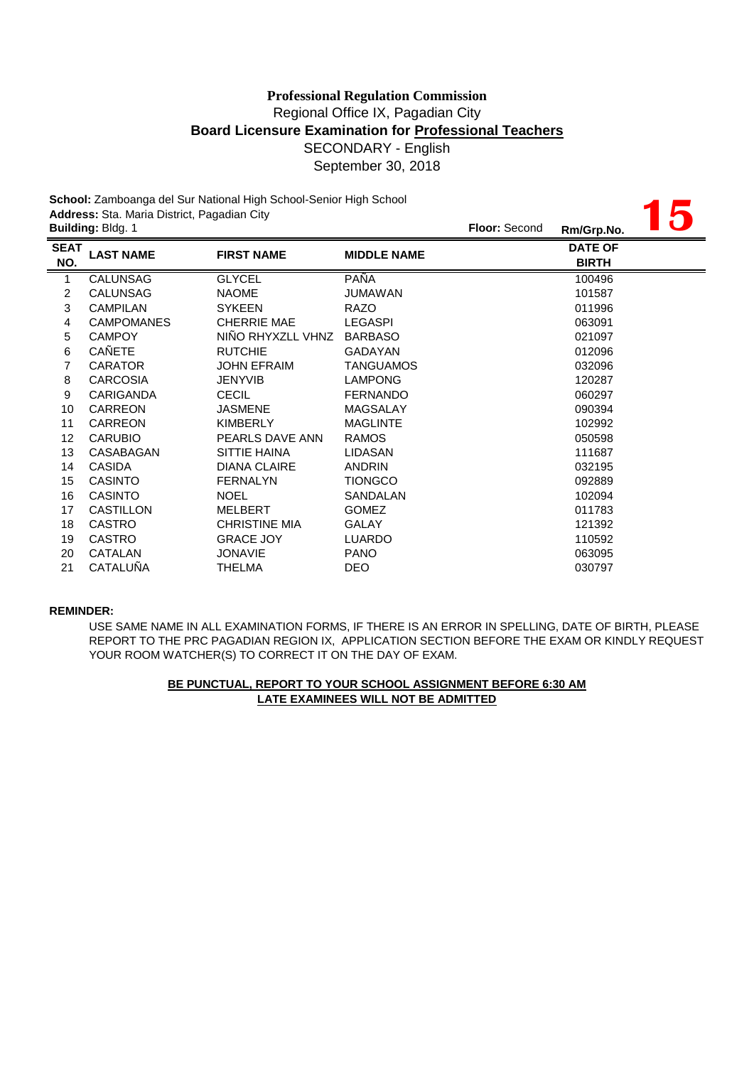**School:** Zamboanga del Sur National High School-Senior High School **Address:** Sta. Maria District, Pagadian City

|                    | Address: Sta. Maria District, Pagadian City | ochool. Zamboanga del our national mgn ochool-oemor mgn ochool |                    |                                |  |
|--------------------|---------------------------------------------|----------------------------------------------------------------|--------------------|--------------------------------|--|
|                    | Building: Bldg. 1                           |                                                                |                    | Floor: Second<br>Rm/Grp.No.    |  |
| <b>SEAT</b><br>NO. | <b>LAST NAME</b>                            | <b>FIRST NAME</b>                                              | <b>MIDDLE NAME</b> | <b>DATE OF</b><br><b>BIRTH</b> |  |
| $\mathbf{1}$       | <b>CALUNSAG</b>                             | <b>GLYCEL</b>                                                  | PAÑA               | 100496                         |  |
| 2                  | <b>CALUNSAG</b>                             | <b>NAOME</b>                                                   | JUMAWAN            | 101587                         |  |
| 3                  | <b>CAMPILAN</b>                             | <b>SYKEEN</b>                                                  | <b>RAZO</b>        | 011996                         |  |
| 4                  | <b>CAMPOMANES</b>                           | <b>CHERRIE MAE</b>                                             | <b>LEGASPI</b>     | 063091                         |  |
| 5                  | <b>CAMPOY</b>                               | NIÑO RHYXZLL VHNZ                                              | <b>BARBASO</b>     | 021097                         |  |
| 6                  | CAÑETE                                      | <b>RUTCHIE</b>                                                 | <b>GADAYAN</b>     | 012096                         |  |
| 7                  | <b>CARATOR</b>                              | <b>JOHN EFRAIM</b>                                             | <b>TANGUAMOS</b>   | 032096                         |  |
| 8                  | <b>CARCOSIA</b>                             | <b>JENYVIB</b>                                                 | <b>LAMPONG</b>     | 120287                         |  |
| 9                  | <b>CARIGANDA</b>                            | <b>CECIL</b>                                                   | <b>FERNANDO</b>    | 060297                         |  |
| 10                 | <b>CARREON</b>                              | <b>JASMENE</b>                                                 | MAGSALAY           | 090394                         |  |
| 11                 | <b>CARREON</b>                              | <b>KIMBERLY</b>                                                | <b>MAGLINTE</b>    | 102992                         |  |
| 12                 | <b>CARUBIO</b>                              | PEARLS DAVE ANN                                                | <b>RAMOS</b>       | 050598                         |  |
| 13                 | CASABAGAN                                   | SITTIE HAINA                                                   | LIDASAN            | 111687                         |  |
| 14                 | <b>CASIDA</b>                               | <b>DIANA CLAIRE</b>                                            | <b>ANDRIN</b>      | 032195                         |  |
| 15                 | <b>CASINTO</b>                              | <b>FERNALYN</b>                                                | <b>TIONGCO</b>     | 092889                         |  |
| 16                 | <b>CASINTO</b>                              | <b>NOEL</b>                                                    | SANDALAN           | 102094                         |  |
| 17                 | CASTILLON                                   | <b>MELBERT</b>                                                 | <b>GOMEZ</b>       | 011783                         |  |
| 18                 | <b>CASTRO</b>                               | <b>CHRISTINE MIA</b>                                           | <b>GALAY</b>       | 121392                         |  |
| 19                 | <b>CASTRO</b>                               | <b>GRACE JOY</b>                                               | <b>LUARDO</b>      | 110592                         |  |
| 20                 | CATALAN                                     | <b>JONAVIE</b>                                                 | <b>PANO</b>        | 063095                         |  |
| 21                 | CATALUÑA                                    | <b>THELMA</b>                                                  | <b>DEO</b>         | 030797                         |  |

### **REMINDER:**

YOUR ROOM WATCHER(S) TO CORRECT IT ON THE DAY OF EXAM. USE SAME NAME IN ALL EXAMINATION FORMS, IF THERE IS AN ERROR IN SPELLING, DATE OF BIRTH, PLEASE REPORT TO THE PRC PAGADIAN REGION IX, APPLICATION SECTION BEFORE THE EXAM OR KINDLY REQUEST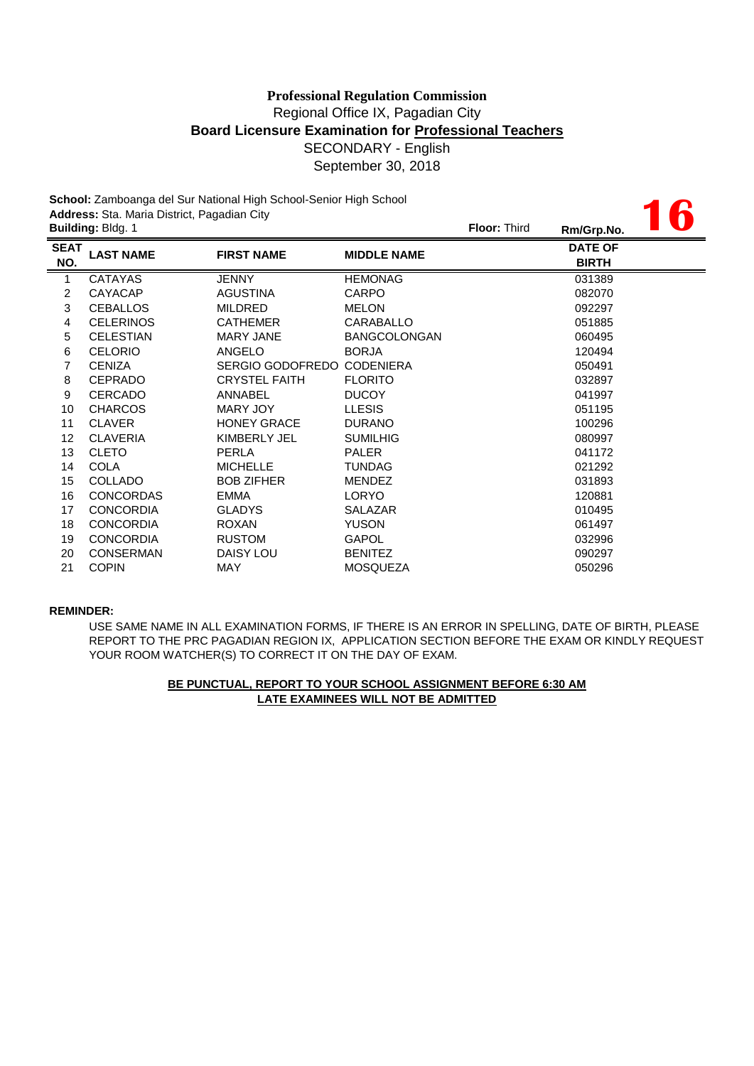**16**

**School:** Zamboanga del Sur National High School-Senior High School **Address:** Sta. Maria District, Pagadian City

|                    | <b>Building: Bldg. 1</b> |                      |                     |  | Rm/Grp.No.                     | W |
|--------------------|--------------------------|----------------------|---------------------|--|--------------------------------|---|
| <b>SEAT</b><br>NO. | <b>LAST NAME</b>         | <b>FIRST NAME</b>    | <b>MIDDLE NAME</b>  |  | <b>DATE OF</b><br><b>BIRTH</b> |   |
| 1                  | <b>CATAYAS</b>           | JENNY                | <b>HEMONAG</b>      |  | 031389                         |   |
| 2                  | CAYACAP                  | <b>AGUSTINA</b>      | <b>CARPO</b>        |  | 082070                         |   |
| 3                  | <b>CEBALLOS</b>          | <b>MILDRED</b>       | <b>MELON</b>        |  | 092297                         |   |
| 4                  | <b>CELERINOS</b>         | <b>CATHEMER</b>      | CARABALLO           |  | 051885                         |   |
| 5                  | <b>CELESTIAN</b>         | <b>MARY JANE</b>     | <b>BANGCOLONGAN</b> |  | 060495                         |   |
| 6                  | <b>CELORIO</b>           | ANGELO               | <b>BORJA</b>        |  | 120494                         |   |
| 7                  | <b>CENIZA</b>            | SERGIO GODOFREDO     | <b>CODENIERA</b>    |  | 050491                         |   |
| 8                  | <b>CEPRADO</b>           | <b>CRYSTEL FAITH</b> | <b>FLORITO</b>      |  | 032897                         |   |
| 9                  | <b>CERCADO</b>           | ANNABEL              | <b>DUCOY</b>        |  | 041997                         |   |
| 10                 | <b>CHARCOS</b>           | MARY JOY             | <b>LLESIS</b>       |  | 051195                         |   |
| 11                 | <b>CLAVER</b>            | <b>HONEY GRACE</b>   | <b>DURANO</b>       |  | 100296                         |   |
| 12                 | <b>CLAVERIA</b>          | KIMBERLY JEL         | <b>SUMILHIG</b>     |  | 080997                         |   |
| 13                 | <b>CLETO</b>             | PERLA                | <b>PALER</b>        |  | 041172                         |   |
| 14                 | <b>COLA</b>              | <b>MICHELLE</b>      | <b>TUNDAG</b>       |  | 021292                         |   |
| 15                 | <b>COLLADO</b>           | <b>BOB ZIFHER</b>    | <b>MENDEZ</b>       |  | 031893                         |   |
| 16                 | <b>CONCORDAS</b>         | <b>EMMA</b>          | <b>LORYO</b>        |  | 120881                         |   |
| 17                 | <b>CONCORDIA</b>         | <b>GLADYS</b>        | <b>SALAZAR</b>      |  | 010495                         |   |
| 18                 | <b>CONCORDIA</b>         | <b>ROXAN</b>         | <b>YUSON</b>        |  | 061497                         |   |
| 19                 | <b>CONCORDIA</b>         | <b>RUSTOM</b>        | <b>GAPOL</b>        |  | 032996                         |   |
| 20                 | <b>CONSERMAN</b>         | <b>DAISY LOU</b>     | <b>BENITEZ</b>      |  | 090297                         |   |
| 21                 | <b>COPIN</b>             | <b>MAY</b>           | <b>MOSQUEZA</b>     |  | 050296                         |   |
|                    |                          |                      |                     |  |                                |   |

### **REMINDER:**

USE SAME NAME IN ALL EXAMINATION FORMS, IF THERE IS AN ERROR IN SPELLING, DATE OF BIRTH, PLEASE REPORT TO THE PRC PAGADIAN REGION IX, APPLICATION SECTION BEFORE THE EXAM OR KINDLY REQUEST YOUR ROOM WATCHER(S) TO CORRECT IT ON THE DAY OF EXAM.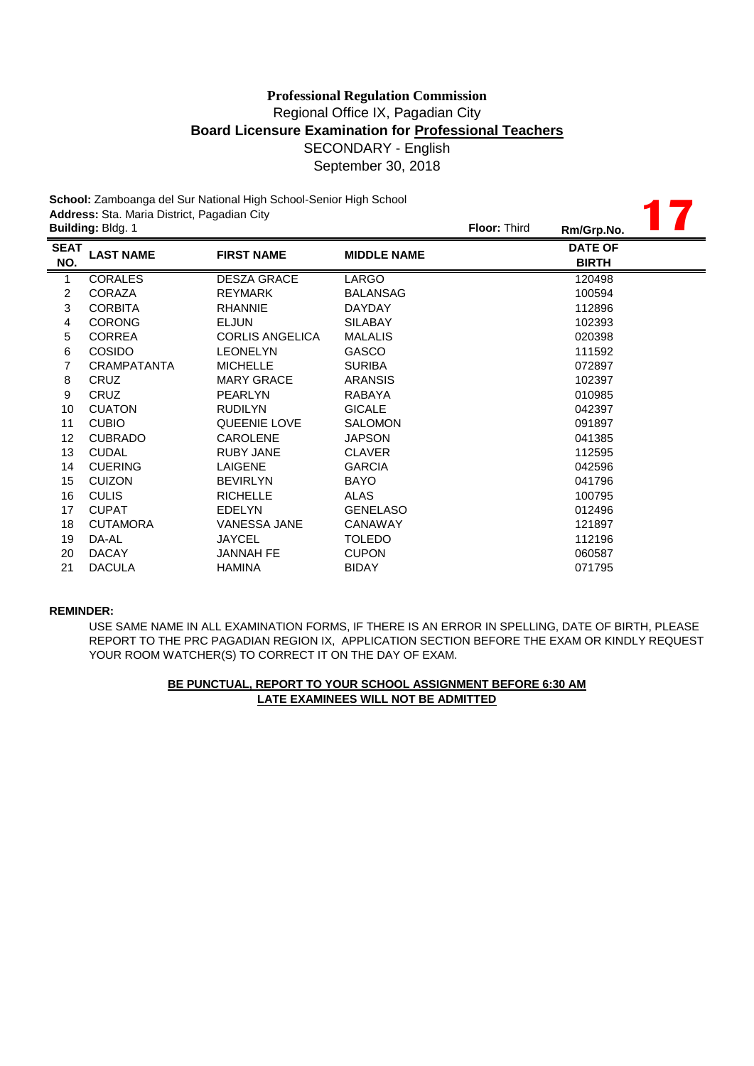**17**

**School:** Zamboanga del Sur National High School-Senior High School **Address:** Sta. Maria District, Pagadian City

|                    | <b>Building: Bldg. 1</b> |                        |                    | <b>Floor: Third</b> | Rm/Grp.No.                     |  |
|--------------------|--------------------------|------------------------|--------------------|---------------------|--------------------------------|--|
| <b>SEAT</b><br>NO. | <b>LAST NAME</b>         | <b>FIRST NAME</b>      | <b>MIDDLE NAME</b> |                     | <b>DATE OF</b><br><b>BIRTH</b> |  |
| 1                  | <b>CORALES</b>           | <b>DESZA GRACE</b>     | LARGO              |                     | 120498                         |  |
| 2                  | CORAZA                   | <b>REYMARK</b>         | <b>BALANSAG</b>    |                     | 100594                         |  |
| 3                  | <b>CORBITA</b>           | <b>RHANNIE</b>         | <b>DAYDAY</b>      |                     | 112896                         |  |
| 4                  | <b>CORONG</b>            | <b>ELJUN</b>           | <b>SILABAY</b>     |                     | 102393                         |  |
| 5                  | <b>CORREA</b>            | <b>CORLIS ANGELICA</b> | <b>MALALIS</b>     |                     | 020398                         |  |
| 6                  | <b>COSIDO</b>            | <b>LEONELYN</b>        | <b>GASCO</b>       |                     | 111592                         |  |
| 7                  | <b>CRAMPATANTA</b>       | <b>MICHELLE</b>        | <b>SURIBA</b>      |                     | 072897                         |  |
| 8                  | <b>CRUZ</b>              | <b>MARY GRACE</b>      | <b>ARANSIS</b>     |                     | 102397                         |  |
| 9                  | <b>CRUZ</b>              | <b>PEARLYN</b>         | <b>RABAYA</b>      |                     | 010985                         |  |
| 10                 | <b>CUATON</b>            | <b>RUDILYN</b>         | <b>GICALE</b>      |                     | 042397                         |  |
| 11                 | <b>CUBIO</b>             | QUEENIE LOVE           | <b>SALOMON</b>     |                     | 091897                         |  |
| 12                 | <b>CUBRADO</b>           | <b>CAROLENE</b>        | <b>JAPSON</b>      |                     | 041385                         |  |
| 13                 | <b>CUDAL</b>             | <b>RUBY JANE</b>       | <b>CLAVER</b>      |                     | 112595                         |  |
| 14                 | <b>CUERING</b>           | LAIGENE                | <b>GARCIA</b>      |                     | 042596                         |  |
| 15                 | <b>CUIZON</b>            | <b>BEVIRLYN</b>        | <b>BAYO</b>        |                     | 041796                         |  |
| 16                 | <b>CULIS</b>             | <b>RICHELLE</b>        | ALAS               |                     | 100795                         |  |
| 17                 | <b>CUPAT</b>             | <b>EDELYN</b>          | <b>GENELASO</b>    |                     | 012496                         |  |
| 18                 | <b>CUTAMORA</b>          | VANESSA JANE           | <b>CANAWAY</b>     |                     | 121897                         |  |
| 19                 | DA-AL                    | <b>JAYCEL</b>          | <b>TOLEDO</b>      |                     | 112196                         |  |
| 20                 | <b>DACAY</b>             | <b>JANNAH FE</b>       | <b>CUPON</b>       |                     | 060587                         |  |
| 21                 | <b>DACULA</b>            | <b>HAMINA</b>          | <b>BIDAY</b>       |                     | 071795                         |  |
|                    |                          |                        |                    |                     |                                |  |

### **REMINDER:**

USE SAME NAME IN ALL EXAMINATION FORMS, IF THERE IS AN ERROR IN SPELLING, DATE OF BIRTH, PLEASE REPORT TO THE PRC PAGADIAN REGION IX, APPLICATION SECTION BEFORE THE EXAM OR KINDLY REQUEST YOUR ROOM WATCHER(S) TO CORRECT IT ON THE DAY OF EXAM.

# **LATE EXAMINEES WILL NOT BE ADMITTED BE PUNCTUAL, REPORT TO YOUR SCHOOL ASSIGNMENT BEFORE 6:30 AM**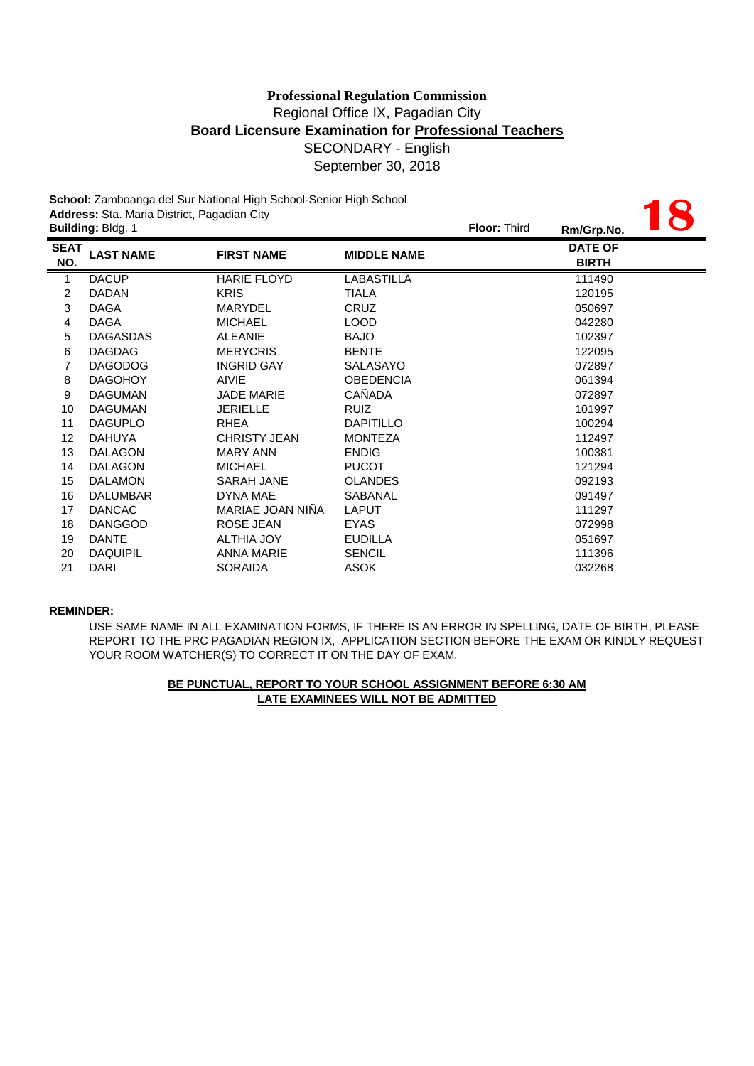|                         | Address: Sta. Maria District, Pagadian City | School: Zamboanga del Sur National High School-Senior High School |                    |  |                                |  |
|-------------------------|---------------------------------------------|-------------------------------------------------------------------|--------------------|--|--------------------------------|--|
|                         | Building: Bldg. 1                           |                                                                   |                    |  | Rm/Grp.No.                     |  |
| <b>SEAT</b><br>NO.      | <b>LAST NAME</b>                            | <b>FIRST NAME</b>                                                 | <b>MIDDLE NAME</b> |  | <b>DATE OF</b><br><b>BIRTH</b> |  |
| $\mathbf{1}$            | <b>DACUP</b>                                | <b>HARIE FLOYD</b>                                                | <b>LABASTILLA</b>  |  | 111490                         |  |
| 2                       | <b>DADAN</b>                                | <b>KRIS</b>                                                       | <b>TIALA</b>       |  | 120195                         |  |
| $\mathfrak{S}$          | <b>DAGA</b>                                 | <b>MARYDEL</b>                                                    | CRUZ               |  | 050697                         |  |
| $\overline{\mathbf{4}}$ | <b>DAGA</b>                                 | <b>MICHAEL</b>                                                    | <b>LOOD</b>        |  | 042280                         |  |
| 5                       | <b>DAGASDAS</b>                             | <b>ALEANIE</b>                                                    | <b>BAJO</b>        |  | 102397                         |  |
| 6                       | <b>DAGDAG</b>                               | <b>MERYCRIS</b>                                                   | <b>BENTE</b>       |  | 122095                         |  |
| 7                       | <b>DAGODOG</b>                              | <b>INGRID GAY</b>                                                 | <b>SALASAYO</b>    |  | 072897                         |  |
| 8                       | <b>DAGOHOY</b>                              | <b>AIVIE</b>                                                      | <b>OBEDENCIA</b>   |  | 061394                         |  |
| 9                       | <b>DAGUMAN</b>                              | <b>JADE MARIE</b>                                                 | CAÑADA             |  | 072897                         |  |
| 10                      | <b>DAGUMAN</b>                              | <b>JERIELLE</b>                                                   | <b>RUIZ</b>        |  | 101997                         |  |
| 11                      | <b>DAGUPLO</b>                              | <b>RHEA</b>                                                       | <b>DAPITILLO</b>   |  | 100294                         |  |
| 12                      | <b>DAHUYA</b>                               | <b>CHRISTY JEAN</b>                                               | <b>MONTEZA</b>     |  | 112497                         |  |
| 13                      | <b>DALAGON</b>                              | <b>MARY ANN</b>                                                   | <b>ENDIG</b>       |  | 100381                         |  |
| 14                      | <b>DALAGON</b>                              | <b>MICHAEL</b>                                                    | <b>PUCOT</b>       |  | 121294                         |  |
| 15                      | <b>DALAMON</b>                              | <b>SARAH JANE</b>                                                 | <b>OLANDES</b>     |  | 092193                         |  |
| 16                      | <b>DALUMBAR</b>                             | <b>DYNA MAE</b>                                                   | <b>SABANAL</b>     |  | 091497                         |  |
| 17                      | <b>DANCAC</b>                               | MARIAE JOAN NIÑA                                                  | <b>LAPUT</b>       |  | 111297                         |  |
| 18                      | <b>DANGGOD</b>                              | <b>ROSE JEAN</b>                                                  | <b>EYAS</b>        |  | 072998                         |  |
| 19                      | <b>DANTE</b>                                | ALTHIA JOY                                                        | <b>EUDILLA</b>     |  | 051697                         |  |
| 20                      | <b>DAQUIPIL</b>                             | <b>ANNA MARIE</b>                                                 | <b>SENCIL</b>      |  | 111396                         |  |
| 21                      | <b>DARI</b>                                 | <b>SORAIDA</b>                                                    | <b>ASOK</b>        |  | 032268                         |  |

#### **REMINDER:**

USE SAME NAME IN ALL EXAMINATION FORMS, IF THERE IS AN ERROR IN SPELLING, DATE OF BIRTH, PLEASE REPORT TO THE PRC PAGADIAN REGION IX, APPLICATION SECTION BEFORE THE EXAM OR KINDLY REQUEST YOUR ROOM WATCHER(S) TO CORRECT IT ON THE DAY OF EXAM.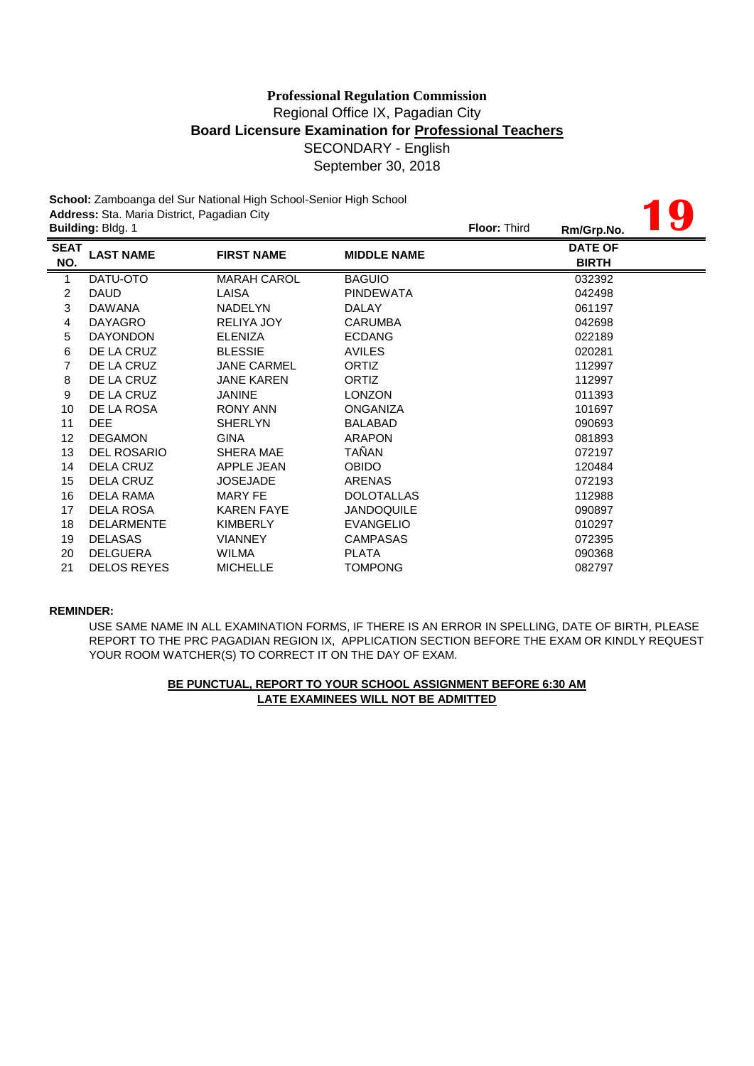**19**

**School:** Zamboanga del Sur National High School-Senior High School **Address:** Sta. Maria District, Pagadian City

|                    | <b>Building: Bldg. 1</b> |                    |                    | <b>Floor: Third</b> | Rm/Grp.No.                     | $\mathbf{U}$ |
|--------------------|--------------------------|--------------------|--------------------|---------------------|--------------------------------|--------------|
| <b>SEAT</b><br>NO. | <b>LAST NAME</b>         | <b>FIRST NAME</b>  | <b>MIDDLE NAME</b> |                     | <b>DATE OF</b><br><b>BIRTH</b> |              |
| $\mathbf{1}$       | DATU-OTO                 | <b>MARAH CAROL</b> | <b>BAGUIO</b>      |                     | 032392                         |              |
| 2                  | <b>DAUD</b>              | LAISA              | <b>PINDEWATA</b>   |                     | 042498                         |              |
| 3                  | <b>DAWANA</b>            | <b>NADELYN</b>     | <b>DALAY</b>       |                     | 061197                         |              |
| 4                  | <b>DAYAGRO</b>           | RELIYA JOY         | <b>CARUMBA</b>     |                     | 042698                         |              |
| 5                  | <b>DAYONDON</b>          | <b>ELENIZA</b>     | <b>ECDANG</b>      |                     | 022189                         |              |
| 6                  | DE LA CRUZ               | <b>BLESSIE</b>     | <b>AVILES</b>      |                     | 020281                         |              |
| 7                  | DE LA CRUZ               | <b>JANE CARMEL</b> | <b>ORTIZ</b>       |                     | 112997                         |              |
| 8                  | DE LA CRUZ               | <b>JANE KAREN</b>  | ORTIZ              |                     | 112997                         |              |
| 9                  | DE LA CRUZ               | <b>JANINE</b>      | <b>LONZON</b>      |                     | 011393                         |              |
| 10                 | DE LA ROSA               | <b>RONY ANN</b>    | <b>ONGANIZA</b>    |                     | 101697                         |              |
| 11                 | DEE.                     | <b>SHERLYN</b>     | <b>BALABAD</b>     |                     | 090693                         |              |
| 12                 | <b>DEGAMON</b>           | <b>GINA</b>        | <b>ARAPON</b>      |                     | 081893                         |              |
| 13                 | <b>DEL ROSARIO</b>       | SHERA MAE          | TAÑAN              |                     | 072197                         |              |
| 14                 | DELA CRUZ                | APPLE JEAN         | <b>OBIDO</b>       |                     | 120484                         |              |
| 15                 | DELA CRUZ                | <b>JOSEJADE</b>    | <b>ARENAS</b>      |                     | 072193                         |              |
| 16                 | DELA RAMA                | MARY FE            | <b>DOLOTALLAS</b>  |                     | 112988                         |              |
| 17                 | <b>DELA ROSA</b>         | <b>KAREN FAYE</b>  | <b>JANDOQUILE</b>  |                     | 090897                         |              |
| 18                 | <b>DELARMENTE</b>        | <b>KIMBERLY</b>    | <b>EVANGELIO</b>   |                     | 010297                         |              |
| 19                 | <b>DELASAS</b>           | <b>VIANNEY</b>     | <b>CAMPASAS</b>    |                     | 072395                         |              |
| 20                 | <b>DELGUERA</b>          | <b>WILMA</b>       | <b>PLATA</b>       |                     | 090368                         |              |
| 21                 | <b>DELOS REYES</b>       | <b>MICHELLE</b>    | TOMPONG            |                     | 082797                         |              |

### **REMINDER:**

USE SAME NAME IN ALL EXAMINATION FORMS, IF THERE IS AN ERROR IN SPELLING, DATE OF BIRTH, PLEASE REPORT TO THE PRC PAGADIAN REGION IX, APPLICATION SECTION BEFORE THE EXAM OR KINDLY REQUEST YOUR ROOM WATCHER(S) TO CORRECT IT ON THE DAY OF EXAM.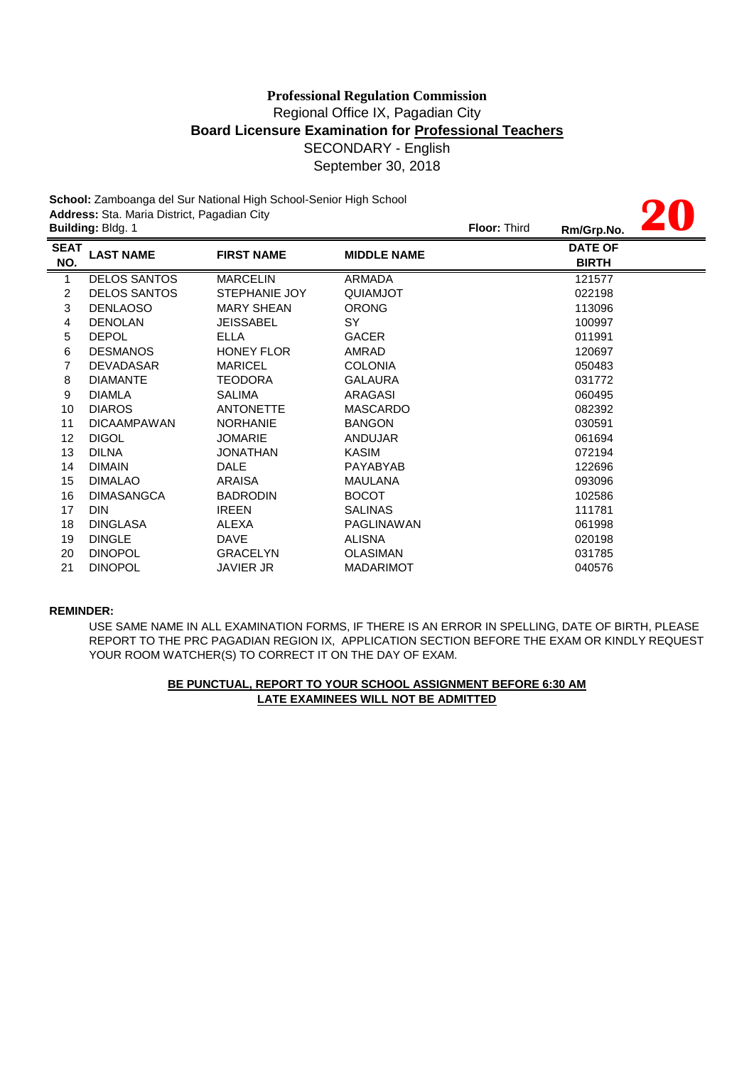# Regional Office IX, Pagadian City **Board Licensure Examination for Professional Teachers** SECONDARY - English September 30, 2018 **Professional Regulation Commission**

**20**

**School:** Zamboanga del Sur National High School-Senior High School **Address:** Sta. Maria District, Pagadian City

| <b>TIME</b><br><b>Floor: Third</b><br>Rm/Grp.No. |                    | <b>Building: Bldg. 1</b> |                     |                    |
|--------------------------------------------------|--------------------|--------------------------|---------------------|--------------------|
| <b>DATE OF</b><br><b>BIRTH</b>                   | <b>MIDDLE NAME</b> | <b>FIRST NAME</b>        | <b>LAST NAME</b>    | <b>SEAT</b><br>NO. |
| 121577                                           | <b>ARMADA</b>      | <b>MARCELIN</b>          | <b>DELOS SANTOS</b> | 1                  |
| 022198                                           | QUIAMJOT           | STEPHANIE JOY            | <b>DELOS SANTOS</b> | 2                  |
| 113096                                           | <b>ORONG</b>       | <b>MARY SHEAN</b>        | <b>DENLAOSO</b>     | 3                  |
| 100997                                           | SY                 | JEISSABEL                | <b>DENOLAN</b>      | 4                  |
| 011991                                           | <b>GACER</b>       | <b>ELLA</b>              | <b>DEPOL</b>        | 5                  |
| 120697                                           | AMRAD              | <b>HONEY FLOR</b>        | <b>DESMANOS</b>     | 6                  |
| 050483                                           | <b>COLONIA</b>     | <b>MARICEL</b>           | <b>DEVADASAR</b>    | 7                  |
| 031772                                           | <b>GALAURA</b>     | <b>TEODORA</b>           | <b>DIAMANTE</b>     | 8                  |
| 060495                                           | ARAGASI            | <b>SALIMA</b>            | <b>DIAMLA</b>       | 9                  |
| 082392                                           | <b>MASCARDO</b>    | <b>ANTONETTE</b>         | <b>DIAROS</b>       | 10                 |
| 030591                                           | <b>BANGON</b>      | <b>NORHANIE</b>          | <b>DICAAMPAWAN</b>  | 11                 |
| 061694                                           | <b>ANDUJAR</b>     | <b>JOMARIE</b>           | <b>DIGOL</b>        | 12                 |
| 072194                                           | KASIM              | JONATHAN                 | <b>DILNA</b>        | 13                 |
| 122696                                           | <b>PAYABYAB</b>    | <b>DALE</b>              | <b>DIMAIN</b>       | 14                 |
| 093096                                           | <b>MAULANA</b>     | ARAISA                   | <b>DIMALAO</b>      | 15                 |
| 102586                                           | <b>BOCOT</b>       | <b>BADRODIN</b>          | <b>DIMASANGCA</b>   | 16                 |
| 111781                                           | <b>SALINAS</b>     | <b>IREEN</b>             | <b>DIN</b>          | 17                 |
| 061998                                           | PAGLINAWAN         | ALEXA                    | <b>DINGLASA</b>     | 18                 |
| 020198                                           | <b>ALISNA</b>      | <b>DAVE</b>              | <b>DINGLE</b>       | 19                 |
| 031785                                           | <b>OLASIMAN</b>    | <b>GRACELYN</b>          | <b>DINOPOL</b>      | 20                 |
| 040576                                           | <b>MADARIMOT</b>   | JAVIER JR                | <b>DINOPOL</b>      | 21                 |
|                                                  |                    |                          |                     |                    |

### **REMINDER:**

USE SAME NAME IN ALL EXAMINATION FORMS, IF THERE IS AN ERROR IN SPELLING, DATE OF BIRTH, PLEASE REPORT TO THE PRC PAGADIAN REGION IX, APPLICATION SECTION BEFORE THE EXAM OR KINDLY REQUEST YOUR ROOM WATCHER(S) TO CORRECT IT ON THE DAY OF EXAM.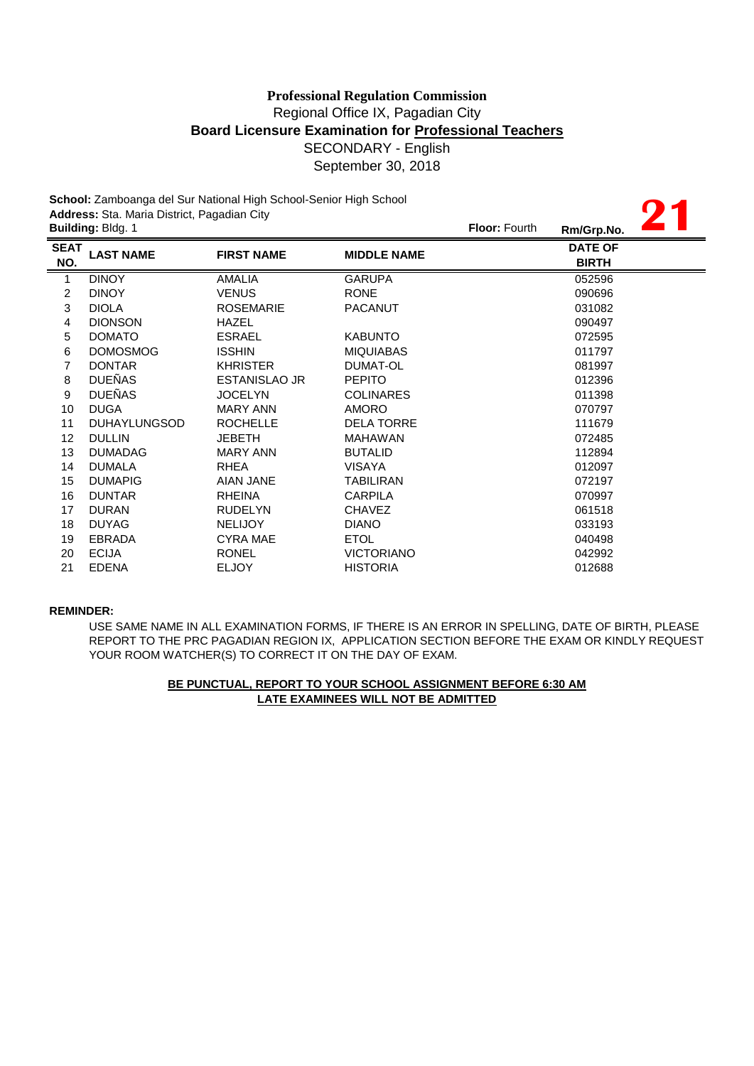# **Board Licensure Examination for Professional Teachers** SECONDARY - English September 30, 2018 **Professional Regulation Commission** Regional Office IX, Pagadian City

**21**

**School:** Zamboanga del Sur National High School-Senior High School **Address:** Sta. Maria District, Pagadian City

|                    | <b>Building: Bldg. 1</b> |                      |                    | <b>Floor: Fourth</b> | Rm/Grp.No.                     |
|--------------------|--------------------------|----------------------|--------------------|----------------------|--------------------------------|
| <b>SEAT</b><br>NO. | <b>LAST NAME</b>         | <b>FIRST NAME</b>    | <b>MIDDLE NAME</b> |                      | <b>DATE OF</b><br><b>BIRTH</b> |
| $\mathbf{1}$       | <b>DINOY</b>             | <b>AMALIA</b>        | <b>GARUPA</b>      |                      | 052596                         |
| $\overline{c}$     | <b>DINOY</b>             | <b>VENUS</b>         | <b>RONE</b>        |                      | 090696                         |
| 3                  | <b>DIOLA</b>             | <b>ROSEMARIE</b>     | <b>PACANUT</b>     |                      | 031082                         |
| 4                  | <b>DIONSON</b>           | <b>HAZEL</b>         |                    |                      | 090497                         |
| 5                  | <b>DOMATO</b>            | <b>ESRAEL</b>        | <b>KABUNTO</b>     |                      | 072595                         |
| 6                  | <b>DOMOSMOG</b>          | <b>ISSHIN</b>        | <b>MIQUIABAS</b>   |                      | 011797                         |
| 7                  | <b>DONTAR</b>            | <b>KHRISTER</b>      | DUMAT-OL           |                      | 081997                         |
| 8                  | <b>DUEÑAS</b>            | <b>ESTANISLAO JR</b> | <b>PEPITO</b>      |                      | 012396                         |
| 9                  | <b>DUEÑAS</b>            | <b>JOCELYN</b>       | <b>COLINARES</b>   |                      | 011398                         |
| 10                 | <b>DUGA</b>              | MARY ANN             | <b>AMORO</b>       |                      | 070797                         |
| 11                 | DUHAYLUNGSOD             | <b>ROCHELLE</b>      | <b>DELA TORRE</b>  |                      | 111679                         |
| 12 <sup>°</sup>    | <b>DULLIN</b>            | <b>JEBETH</b>        | <b>MAHAWAN</b>     |                      | 072485                         |
| 13                 | <b>DUMADAG</b>           | <b>MARY ANN</b>      | <b>BUTALID</b>     |                      | 112894                         |
| 14                 | <b>DUMALA</b>            | <b>RHEA</b>          | <b>VISAYA</b>      |                      | 012097                         |
| 15                 | <b>DUMAPIG</b>           | <b>AIAN JANE</b>     | <b>TABILIRAN</b>   |                      | 072197                         |
| 16                 | <b>DUNTAR</b>            | <b>RHEINA</b>        | <b>CARPILA</b>     |                      | 070997                         |
| 17                 | <b>DURAN</b>             | <b>RUDELYN</b>       | <b>CHAVEZ</b>      |                      | 061518                         |
| 18                 | <b>DUYAG</b>             | <b>NELIJOY</b>       | <b>DIANO</b>       |                      | 033193                         |
| 19                 | <b>EBRADA</b>            | <b>CYRA MAE</b>      | <b>ETOL</b>        |                      | 040498                         |
| 20                 | <b>ECIJA</b>             | <b>RONEL</b>         | <b>VICTORIANO</b>  |                      | 042992                         |
| 21                 | <b>EDENA</b>             | <b>ELJOY</b>         | <b>HISTORIA</b>    |                      | 012688                         |
|                    |                          |                      |                    |                      |                                |

### **REMINDER:**

USE SAME NAME IN ALL EXAMINATION FORMS, IF THERE IS AN ERROR IN SPELLING, DATE OF BIRTH, PLEASE REPORT TO THE PRC PAGADIAN REGION IX, APPLICATION SECTION BEFORE THE EXAM OR KINDLY REQUEST YOUR ROOM WATCHER(S) TO CORRECT IT ON THE DAY OF EXAM.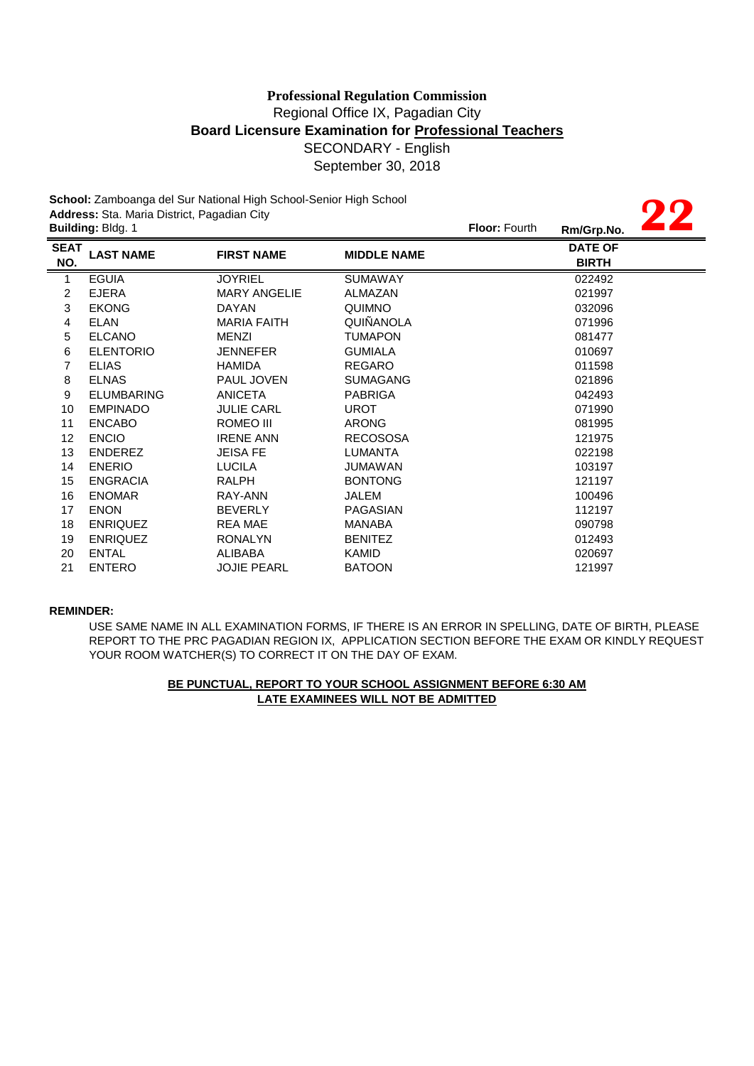# SECONDARY - English September 30, 2018 **Professional Regulation Commission** Regional Office IX, Pagadian City **Board Licensure Examination for Professional Teachers**

**School:** Zamboanga del Sur National High School-Senior High School **Address:** Sta. Maria District, Pagadian City

|                    | Address: Sta. Maria District, Pagadian City | <b>OCHOOI.</b> Lamboanga del Odi Tradonial High Ochool-Oehior High Ochool |                    |                      |                                |  |
|--------------------|---------------------------------------------|---------------------------------------------------------------------------|--------------------|----------------------|--------------------------------|--|
|                    | Building: Bldg. 1                           |                                                                           |                    | <b>Floor: Fourth</b> | Rm/Grp.No.                     |  |
| <b>SEAT</b><br>NO. | <b>LAST NAME</b>                            | <b>FIRST NAME</b>                                                         | <b>MIDDLE NAME</b> |                      | <b>DATE OF</b><br><b>BIRTH</b> |  |
| $\mathbf{1}$       | <b>EGUIA</b>                                | <b>JOYRIEL</b>                                                            | <b>SUMAWAY</b>     |                      | 022492                         |  |
| 2                  | <b>EJERA</b>                                | <b>MARY ANGELIE</b>                                                       | ALMAZAN            |                      | 021997                         |  |
| 3                  | <b>EKONG</b>                                | <b>DAYAN</b>                                                              | QUIMNO             |                      | 032096                         |  |
| 4                  | <b>ELAN</b>                                 | <b>MARIA FAITH</b>                                                        | <b>QUIÑANOLA</b>   |                      | 071996                         |  |
| 5                  | <b>ELCANO</b>                               | <b>MENZI</b>                                                              | <b>TUMAPON</b>     |                      | 081477                         |  |
| 6                  | <b>ELENTORIO</b>                            | <b>JENNEFER</b>                                                           | <b>GUMIALA</b>     |                      | 010697                         |  |
| 7                  | <b>ELIAS</b>                                | <b>HAMIDA</b>                                                             | <b>REGARO</b>      |                      | 011598                         |  |
| 8                  | <b>ELNAS</b>                                | <b>PAUL JOVEN</b>                                                         | <b>SUMAGANG</b>    |                      | 021896                         |  |
| 9                  | <b>ELUMBARING</b>                           | <b>ANICETA</b>                                                            | <b>PABRIGA</b>     |                      | 042493                         |  |
| 10                 | <b>EMPINADO</b>                             | <b>JULIE CARL</b>                                                         | <b>UROT</b>        |                      | 071990                         |  |
| 11                 | <b>ENCABO</b>                               | ROMEO III                                                                 | <b>ARONG</b>       |                      | 081995                         |  |
| 12                 | <b>ENCIO</b>                                | <b>IRENE ANN</b>                                                          | <b>RECOSOSA</b>    |                      | 121975                         |  |
| 13                 | ENDEREZ                                     | <b>JEISA FE</b>                                                           | <b>LUMANTA</b>     |                      | 022198                         |  |
| 14                 | <b>ENERIO</b>                               | <b>LUCILA</b>                                                             | JUMAWAN            |                      | 103197                         |  |
| 15                 | <b>ENGRACIA</b>                             | RALPH                                                                     | <b>BONTONG</b>     |                      | 121197                         |  |
| 16                 | <b>ENOMAR</b>                               | RAY-ANN                                                                   | JALEM              |                      | 100496                         |  |
| 17                 | <b>ENON</b>                                 | <b>BEVERLY</b>                                                            | PAGASIAN           |                      | 112197                         |  |
| 18                 | <b>ENRIQUEZ</b>                             | <b>REA MAE</b>                                                            | MANABA             |                      | 090798                         |  |
| 19                 | <b>ENRIQUEZ</b>                             | <b>RONALYN</b>                                                            | <b>BENITEZ</b>     |                      | 012493                         |  |
| 20                 | <b>ENTAL</b>                                | <b>ALIBABA</b>                                                            | <b>KAMID</b>       |                      | 020697                         |  |
| 21                 | <b>ENTERO</b>                               | <b>JOJIE PEARL</b>                                                        | <b>BATOON</b>      |                      | 121997                         |  |

### **REMINDER:**

USE SAME NAME IN ALL EXAMINATION FORMS, IF THERE IS AN ERROR IN SPELLING, DATE OF BIRTH, PLEASE REPORT TO THE PRC PAGADIAN REGION IX, APPLICATION SECTION BEFORE THE EXAM OR KINDLY REQUEST YOUR ROOM WATCHER(S) TO CORRECT IT ON THE DAY OF EXAM.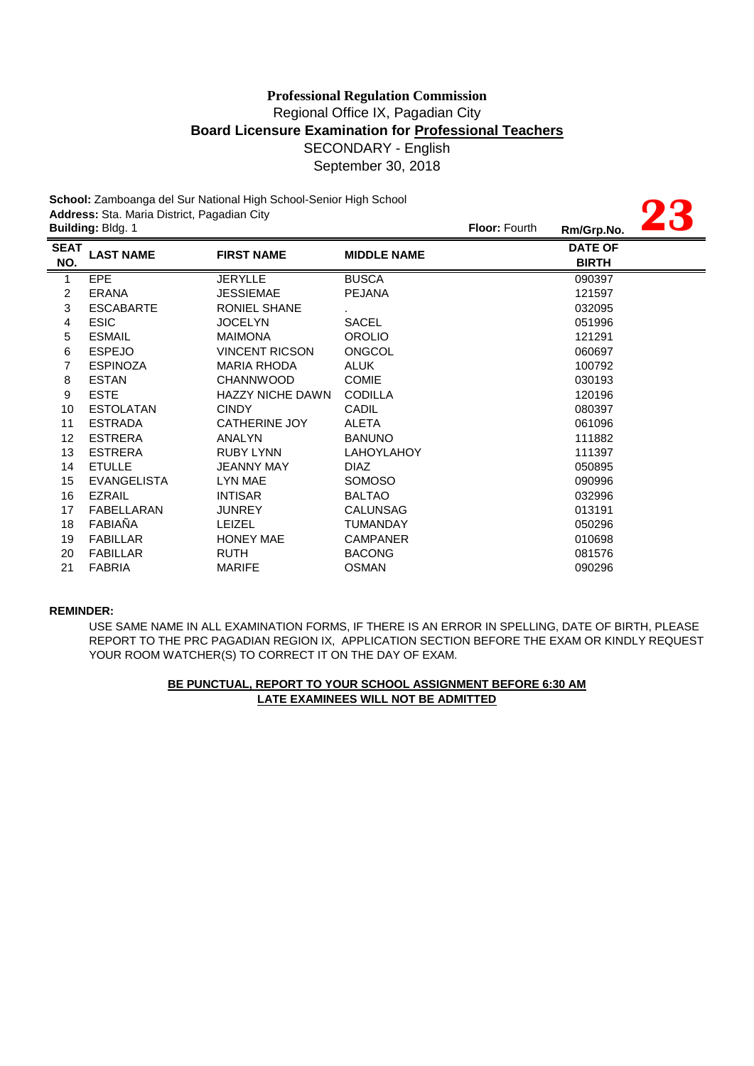**23**

**School:** Zamboanga del Sur National High School-Senior High School **Address:** Sta. Maria District, Pagadian City

|                    | <b>Building: Bldg. 1</b> |                         |                    | <b>Floor: Fourth</b> | Rm/Grp.No.                     | <b>TU</b> |
|--------------------|--------------------------|-------------------------|--------------------|----------------------|--------------------------------|-----------|
| <b>SEAT</b><br>NO. | <b>LAST NAME</b>         | <b>FIRST NAME</b>       | <b>MIDDLE NAME</b> |                      | <b>DATE OF</b><br><b>BIRTH</b> |           |
| $\mathbf{1}$       | <b>EPE</b>               | <b>JERYLLE</b>          | <b>BUSCA</b>       |                      | 090397                         |           |
| 2                  | <b>ERANA</b>             | <b>JESSIEMAE</b>        | <b>PEJANA</b>      |                      | 121597                         |           |
| 3                  | <b>ESCABARTE</b>         | RONIEL SHANE            |                    |                      | 032095                         |           |
| 4                  | <b>ESIC</b>              | <b>JOCELYN</b>          | <b>SACEL</b>       |                      | 051996                         |           |
| 5                  | <b>ESMAIL</b>            | <b>MAIMONA</b>          | <b>OROLIO</b>      |                      | 121291                         |           |
| 6                  | <b>ESPEJO</b>            | <b>VINCENT RICSON</b>   | <b>ONGCOL</b>      |                      | 060697                         |           |
| 7                  | <b>ESPINOZA</b>          | <b>MARIA RHODA</b>      | <b>ALUK</b>        |                      | 100792                         |           |
| 8                  | <b>ESTAN</b>             | <b>CHANNWOOD</b>        | <b>COMIE</b>       |                      | 030193                         |           |
| $\boldsymbol{9}$   | <b>ESTE</b>              | <b>HAZZY NICHE DAWN</b> | <b>CODILLA</b>     |                      | 120196                         |           |
| 10                 | <b>ESTOLATAN</b>         | <b>CINDY</b>            | <b>CADIL</b>       |                      | 080397                         |           |
| 11                 | <b>ESTRADA</b>           | <b>CATHERINE JOY</b>    | <b>ALETA</b>       |                      | 061096                         |           |
| 12 <sup>°</sup>    | <b>ESTRERA</b>           | <b>ANALYN</b>           | <b>BANUNO</b>      |                      | 111882                         |           |
| 13                 | <b>ESTRERA</b>           | <b>RUBY LYNN</b>        | <b>LAHOYLAHOY</b>  |                      | 111397                         |           |
| 14                 | <b>ETULLE</b>            | <b>JEANNY MAY</b>       | <b>DIAZ</b>        |                      | 050895                         |           |
| 15                 | <b>EVANGELISTA</b>       | LYN MAE                 | <b>SOMOSO</b>      |                      | 090996                         |           |
| 16                 | <b>EZRAIL</b>            | <b>INTISAR</b>          | <b>BALTAO</b>      |                      | 032996                         |           |
| 17                 | FABELLARAN               | <b>JUNREY</b>           | <b>CALUNSAG</b>    |                      | 013191                         |           |
| 18                 | FABIAÑA                  | <b>LEIZEL</b>           | <b>TUMANDAY</b>    |                      | 050296                         |           |
| 19                 | <b>FABILLAR</b>          | <b>HONEY MAE</b>        | <b>CAMPANER</b>    |                      | 010698                         |           |
| 20                 | <b>FABILLAR</b>          | <b>RUTH</b>             | <b>BACONG</b>      |                      | 081576                         |           |
| 21                 | <b>FABRIA</b>            | <b>MARIFE</b>           | <b>OSMAN</b>       |                      | 090296                         |           |
|                    |                          |                         |                    |                      |                                |           |

### **REMINDER:**

USE SAME NAME IN ALL EXAMINATION FORMS, IF THERE IS AN ERROR IN SPELLING, DATE OF BIRTH, PLEASE REPORT TO THE PRC PAGADIAN REGION IX, APPLICATION SECTION BEFORE THE EXAM OR KINDLY REQUEST YOUR ROOM WATCHER(S) TO CORRECT IT ON THE DAY OF EXAM.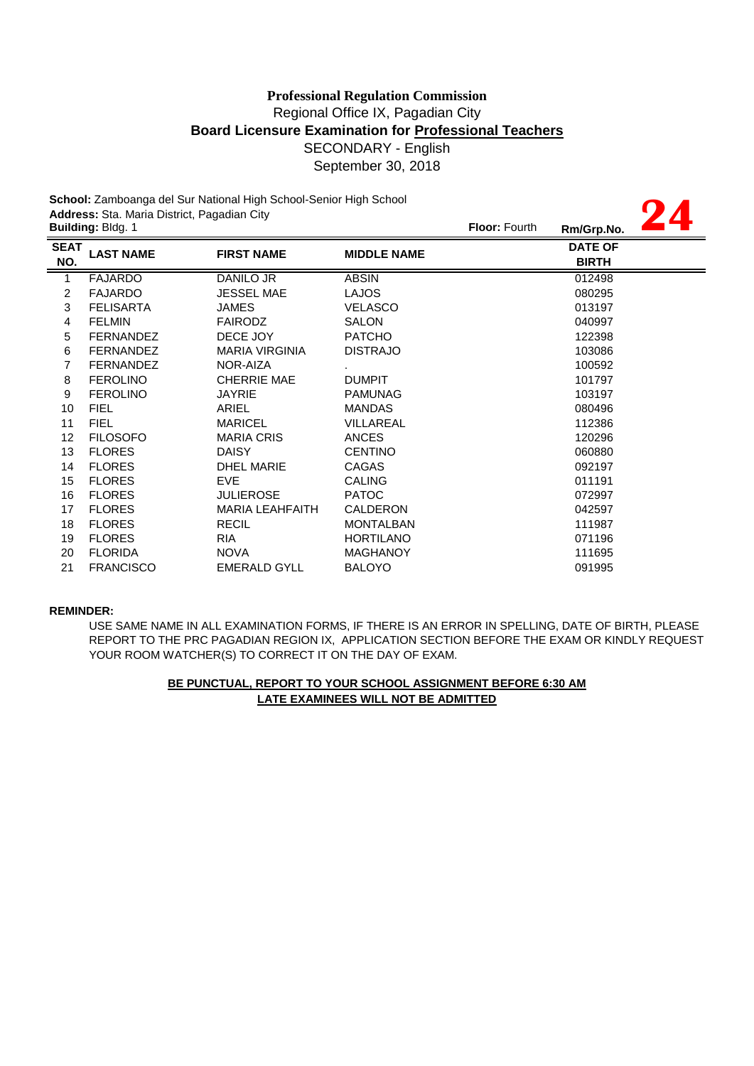**24**

**School:** Zamboanga del Sur National High School-Senior High School **Address:** Sta. Maria District, Pagadian City

|                    | Building: Bldg. 1 |                        |                    | Floor: Fourth | Rm/Grp.No.                     |  |
|--------------------|-------------------|------------------------|--------------------|---------------|--------------------------------|--|
| <b>SEAT</b><br>NO. | <b>LAST NAME</b>  | <b>FIRST NAME</b>      | <b>MIDDLE NAME</b> |               | <b>DATE OF</b><br><b>BIRTH</b> |  |
| $\mathbf{1}$       | <b>FAJARDO</b>    | DANILO JR              | <b>ABSIN</b>       |               | 012498                         |  |
| 2                  | <b>FAJARDO</b>    | <b>JESSEL MAE</b>      | <b>LAJOS</b>       |               | 080295                         |  |
| 3                  | <b>FELISARTA</b>  | JAMES                  | <b>VELASCO</b>     |               | 013197                         |  |
| 4                  | <b>FELMIN</b>     | <b>FAIRODZ</b>         | <b>SALON</b>       |               | 040997                         |  |
| 5                  | <b>FERNANDEZ</b>  | DECE JOY               | <b>PATCHO</b>      |               | 122398                         |  |
| 6                  | <b>FERNANDEZ</b>  | <b>MARIA VIRGINIA</b>  | <b>DISTRAJO</b>    |               | 103086                         |  |
| 7                  | <b>FERNANDEZ</b>  | NOR-AIZA               |                    |               | 100592                         |  |
| 8                  | <b>FEROLINO</b>   | <b>CHERRIE MAE</b>     | <b>DUMPIT</b>      |               | 101797                         |  |
| $\boldsymbol{9}$   | <b>FEROLINO</b>   | <b>JAYRIE</b>          | <b>PAMUNAG</b>     |               | 103197                         |  |
| 10                 | <b>FIEL</b>       | ARIEL                  | <b>MANDAS</b>      |               | 080496                         |  |
| 11                 | <b>FIEL</b>       | <b>MARICEL</b>         | <b>VILLAREAL</b>   |               | 112386                         |  |
| 12                 | <b>FILOSOFO</b>   | <b>MARIA CRIS</b>      | <b>ANCES</b>       |               | 120296                         |  |
| 13                 | <b>FLORES</b>     | <b>DAISY</b>           | <b>CENTINO</b>     |               | 060880                         |  |
| 14                 | <b>FLORES</b>     | <b>DHEL MARIE</b>      | CAGAS              |               | 092197                         |  |
| 15                 | <b>FLORES</b>     | <b>EVE</b>             | <b>CALING</b>      |               | 011191                         |  |
| 16                 | <b>FLORES</b>     | <b>JULIEROSE</b>       | <b>PATOC</b>       |               | 072997                         |  |
| 17                 | <b>FLORES</b>     | <b>MARIA LEAHFAITH</b> | CALDERON           |               | 042597                         |  |
| 18                 | <b>FLORES</b>     | <b>RECIL</b>           | <b>MONTALBAN</b>   |               | 111987                         |  |
| 19                 | <b>FLORES</b>     | <b>RIA</b>             | <b>HORTILANO</b>   |               | 071196                         |  |
| 20                 | <b>FLORIDA</b>    | <b>NOVA</b>            | <b>MAGHANOY</b>    |               | 111695                         |  |
| 21                 | <b>FRANCISCO</b>  | <b>EMERALD GYLL</b>    | <b>BALOYO</b>      |               | 091995                         |  |
|                    |                   |                        |                    |               |                                |  |

### **REMINDER:**

USE SAME NAME IN ALL EXAMINATION FORMS, IF THERE IS AN ERROR IN SPELLING, DATE OF BIRTH, PLEASE REPORT TO THE PRC PAGADIAN REGION IX, APPLICATION SECTION BEFORE THE EXAM OR KINDLY REQUEST YOUR ROOM WATCHER(S) TO CORRECT IT ON THE DAY OF EXAM.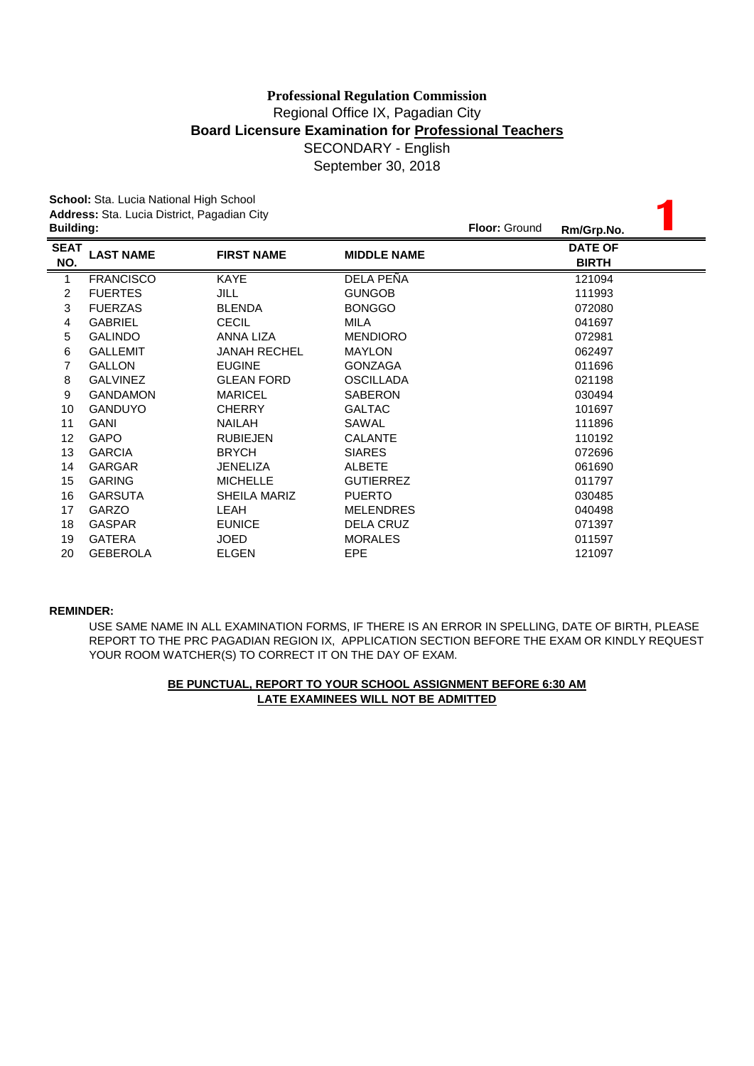September 30, 2018

| School: Sta. Lucia National High School |                                                                 |                     |                    |  |                                |  |
|-----------------------------------------|-----------------------------------------------------------------|---------------------|--------------------|--|--------------------------------|--|
|                                         | Address: Sta. Lucia District, Pagadian City<br><b>Building:</b> |                     |                    |  | Rm/Grp.No.                     |  |
| <b>SEAT</b><br>NO.                      | <b>LAST NAME</b>                                                | <b>FIRST NAME</b>   | <b>MIDDLE NAME</b> |  | <b>DATE OF</b><br><b>BIRTH</b> |  |
| 1                                       | <b>FRANCISCO</b>                                                | KAYE                | DELA PEÑA          |  | 121094                         |  |
| 2                                       | <b>FUERTES</b>                                                  | JILL                | <b>GUNGOB</b>      |  | 111993                         |  |
| 3                                       | <b>FUERZAS</b>                                                  | <b>BLENDA</b>       | <b>BONGGO</b>      |  | 072080                         |  |
| 4                                       | <b>GABRIEL</b>                                                  | <b>CECIL</b>        | <b>MILA</b>        |  | 041697                         |  |
| 5                                       | <b>GALINDO</b>                                                  | <b>ANNA LIZA</b>    | <b>MENDIORO</b>    |  | 072981                         |  |
| 6                                       | <b>GALLEMIT</b>                                                 | <b>JANAH RECHEL</b> | <b>MAYLON</b>      |  | 062497                         |  |
| 7                                       | <b>GALLON</b>                                                   | <b>EUGINE</b>       | <b>GONZAGA</b>     |  | 011696                         |  |
| 8                                       | <b>GALVINEZ</b>                                                 | <b>GLEAN FORD</b>   | <b>OSCILLADA</b>   |  | 021198                         |  |
| 9                                       | <b>GANDAMON</b>                                                 | <b>MARICEL</b>      | <b>SABERON</b>     |  | 030494                         |  |
| 10                                      | <b>GANDUYO</b>                                                  | <b>CHERRY</b>       | <b>GALTAC</b>      |  | 101697                         |  |
| 11                                      | <b>GANI</b>                                                     | <b>NAILAH</b>       | SAWAL              |  | 111896                         |  |
| 12                                      | <b>GAPO</b>                                                     | <b>RUBIEJEN</b>     | <b>CALANTE</b>     |  | 110192                         |  |
| 13                                      | <b>GARCIA</b>                                                   | <b>BRYCH</b>        | <b>SIARES</b>      |  | 072696                         |  |
| 14                                      | <b>GARGAR</b>                                                   | <b>JENELIZA</b>     | <b>ALBETE</b>      |  | 061690                         |  |
| 15                                      | <b>GARING</b>                                                   | <b>MICHELLE</b>     | <b>GUTIERREZ</b>   |  | 011797                         |  |
| 16                                      | <b>GARSUTA</b>                                                  | SHEILA MARIZ        | <b>PUERTO</b>      |  | 030485                         |  |
| 17                                      | <b>GARZO</b>                                                    | LEAH                | <b>MELENDRES</b>   |  | 040498                         |  |
| 18                                      | <b>GASPAR</b>                                                   | <b>EUNICE</b>       | <b>DELA CRUZ</b>   |  | 071397                         |  |
| 19                                      | <b>GATERA</b>                                                   | <b>JOED</b>         | <b>MORALES</b>     |  | 011597                         |  |
| 20                                      | <b>GEBEROLA</b>                                                 | <b>ELGEN</b>        | <b>EPE</b>         |  | 121097                         |  |

### **REMINDER:**

USE SAME NAME IN ALL EXAMINATION FORMS, IF THERE IS AN ERROR IN SPELLING, DATE OF BIRTH, PLEASE REPORT TO THE PRC PAGADIAN REGION IX, APPLICATION SECTION BEFORE THE EXAM OR KINDLY REQUEST YOUR ROOM WATCHER(S) TO CORRECT IT ON THE DAY OF EXAM.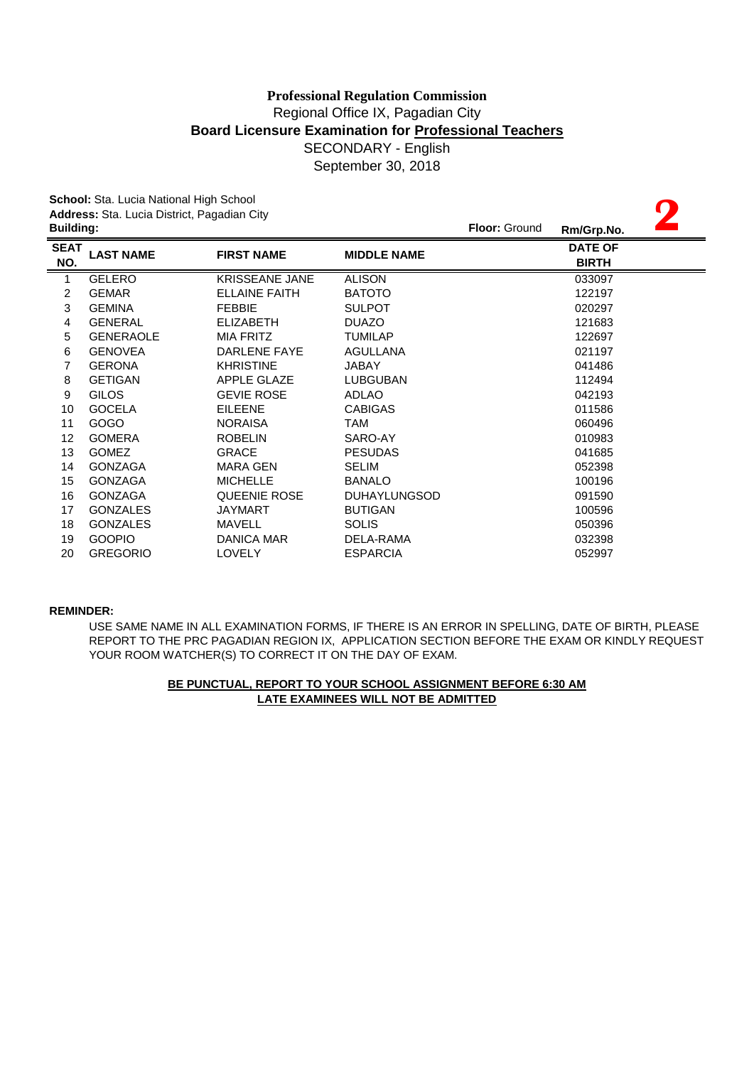**2**

**School:** Sta. Lucia National High School **Address:** Sta. Lucia District, Pagadian City

| <b>Building:</b> |                       |                     | <b>Floor: Ground</b> | Rm/Grp.No.                     |  |
|------------------|-----------------------|---------------------|----------------------|--------------------------------|--|
| <b>LAST NAME</b> | <b>FIRST NAME</b>     | <b>MIDDLE NAME</b>  |                      | <b>DATE OF</b><br><b>BIRTH</b> |  |
| <b>GELERO</b>    | <b>KRISSEANE JANE</b> | <b>ALISON</b>       |                      | 033097                         |  |
| <b>GEMAR</b>     | <b>ELLAINE FAITH</b>  | <b>BATOTO</b>       |                      | 122197                         |  |
| <b>GEMINA</b>    | <b>FEBBIE</b>         | <b>SULPOT</b>       |                      | 020297                         |  |
| <b>GENERAL</b>   | <b>ELIZABETH</b>      | <b>DUAZO</b>        |                      | 121683                         |  |
| <b>GENERAOLE</b> | <b>MIA FRITZ</b>      | <b>TUMILAP</b>      |                      | 122697                         |  |
| <b>GENOVEA</b>   | DARLENE FAYE          | AGULLANA            |                      | 021197                         |  |
| <b>GERONA</b>    | <b>KHRISTINE</b>      | JABAY               |                      | 041486                         |  |
| <b>GETIGAN</b>   | APPLE GLAZE           | <b>LUBGUBAN</b>     |                      | 112494                         |  |
| <b>GILOS</b>     | <b>GEVIE ROSE</b>     | ADLAO               |                      | 042193                         |  |
| <b>GOCELA</b>    | <b>EILEENE</b>        | <b>CABIGAS</b>      |                      | 011586                         |  |
| GOGO             | <b>NORAISA</b>        | TAM                 |                      | 060496                         |  |
| <b>GOMERA</b>    | <b>ROBELIN</b>        | SARO-AY             |                      | 010983                         |  |
| <b>GOMEZ</b>     | <b>GRACE</b>          | <b>PESUDAS</b>      |                      | 041685                         |  |
| <b>GONZAGA</b>   | <b>MARA GEN</b>       | SELIM               |                      | 052398                         |  |
| <b>GONZAGA</b>   | <b>MICHELLE</b>       | <b>BANALO</b>       |                      | 100196                         |  |
| <b>GONZAGA</b>   | QUEENIE ROSE          | <b>DUHAYLUNGSOD</b> |                      | 091590                         |  |
| <b>GONZALES</b>  | <b>JAYMART</b>        | <b>BUTIGAN</b>      |                      | 100596                         |  |
| <b>GONZALES</b>  | <b>MAVELL</b>         | <b>SOLIS</b>        |                      | 050396                         |  |
| <b>GOOPIO</b>    | DANICA MAR            | DELA-RAMA           |                      | 032398                         |  |
| <b>GREGORIO</b>  | <b>LOVELY</b>         | <b>ESPARCIA</b>     |                      | 052997                         |  |
|                  |                       |                     |                      |                                |  |

### **REMINDER:**

REPORT TO THE PRC PAGADIAN REGION IX, APPLICATION SECTION BEFORE THE EXAM OR KINDLY REQUEST YOUR ROOM WATCHER(S) TO CORRECT IT ON THE DAY OF EXAM. USE SAME NAME IN ALL EXAMINATION FORMS, IF THERE IS AN ERROR IN SPELLING, DATE OF BIRTH, PLEASE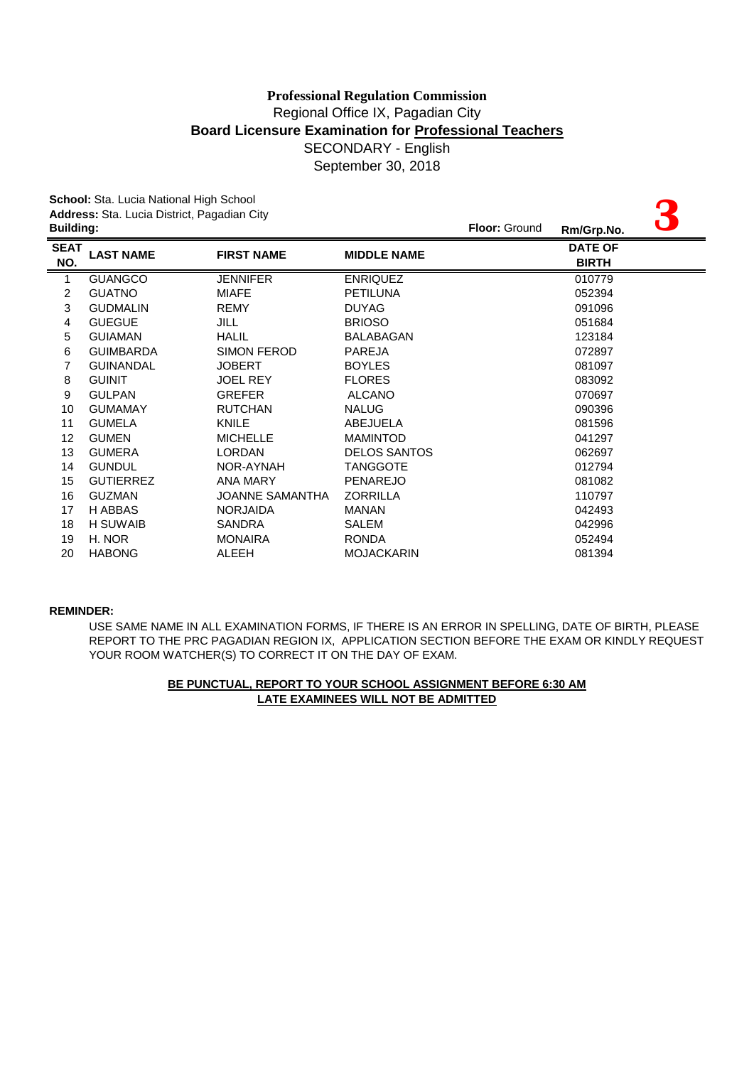|                  | School: Sta. Lucia National High School     |                    |                     |               |                |  |
|------------------|---------------------------------------------|--------------------|---------------------|---------------|----------------|--|
|                  | Address: Sta. Lucia District, Pagadian City |                    |                     |               |                |  |
| <b>Building:</b> |                                             |                    |                     | Floor: Ground | Rm/Grp.No.     |  |
| <b>SEAT</b>      | <b>LAST NAME</b>                            | <b>FIRST NAME</b>  | <b>MIDDLE NAME</b>  |               | <b>DATE OF</b> |  |
| NO.              |                                             |                    |                     |               | <b>BIRTH</b>   |  |
| 1                | <b>GUANGCO</b>                              | <b>JENNIFER</b>    | <b>ENRIQUEZ</b>     |               | 010779         |  |
| 2                | <b>GUATNO</b>                               | <b>MIAFE</b>       | <b>PETILUNA</b>     |               | 052394         |  |
| 3                | <b>GUDMALIN</b>                             | <b>REMY</b>        | <b>DUYAG</b>        |               | 091096         |  |
| 4                | <b>GUEGUE</b>                               | JILL               | <b>BRIOSO</b>       |               | 051684         |  |
| 5                | <b>GUIAMAN</b>                              | <b>HALIL</b>       | <b>BALABAGAN</b>    |               | 123184         |  |
| 6                | <b>GUIMBARDA</b>                            | <b>SIMON FEROD</b> | <b>PAREJA</b>       |               | 072897         |  |
| 7                | <b>GUINANDAL</b>                            | <b>JOBERT</b>      | <b>BOYLES</b>       |               | 081097         |  |
| 8                | <b>GUINIT</b>                               | <b>JOEL REY</b>    | <b>FLORES</b>       |               | 083092         |  |
| 9                | <b>GULPAN</b>                               | <b>GREFER</b>      | <b>ALCANO</b>       |               | 070697         |  |
| 10               | <b>GUMAMAY</b>                              | <b>RUTCHAN</b>     | <b>NALUG</b>        |               | 090396         |  |
| 11               | <b>GUMELA</b>                               | KNILE              | ABEJUELA            |               | 081596         |  |
| 12               | <b>GUMEN</b>                                | <b>MICHELLE</b>    | <b>MAMINTOD</b>     |               | 041297         |  |
| 13               | <b>GUMERA</b>                               | <b>LORDAN</b>      | <b>DELOS SANTOS</b> |               | 062697         |  |
| 14               | <b>GUNDUL</b>                               | NOR-AYNAH          | <b>TANGGOTE</b>     |               | 012794         |  |
| 15               | <b>GUTIERREZ</b>                            | <b>ANA MARY</b>    | <b>PENAREJO</b>     |               | 081082         |  |
| 16               | <b>GUZMAN</b>                               | JOANNE SAMANTHA    | <b>ZORRILLA</b>     |               | 110797         |  |
| 17               | H ABBAS                                     | <b>NORJAIDA</b>    | <b>MANAN</b>        |               | 042493         |  |
| 18               | H SUWAIB                                    | SANDRA             | <b>SALEM</b>        |               | 042996         |  |
| 19               | H. NOR                                      | <b>MONAIRA</b>     | <b>RONDA</b>        |               | 052494         |  |
| 20               | <b>HABONG</b>                               | ALEEH              | <b>MOJACKARIN</b>   |               | 081394         |  |

#### **REMINDER:**

YOUR ROOM WATCHER(S) TO CORRECT IT ON THE DAY OF EXAM. USE SAME NAME IN ALL EXAMINATION FORMS, IF THERE IS AN ERROR IN SPELLING, DATE OF BIRTH, PLEASE REPORT TO THE PRC PAGADIAN REGION IX, APPLICATION SECTION BEFORE THE EXAM OR KINDLY REQUEST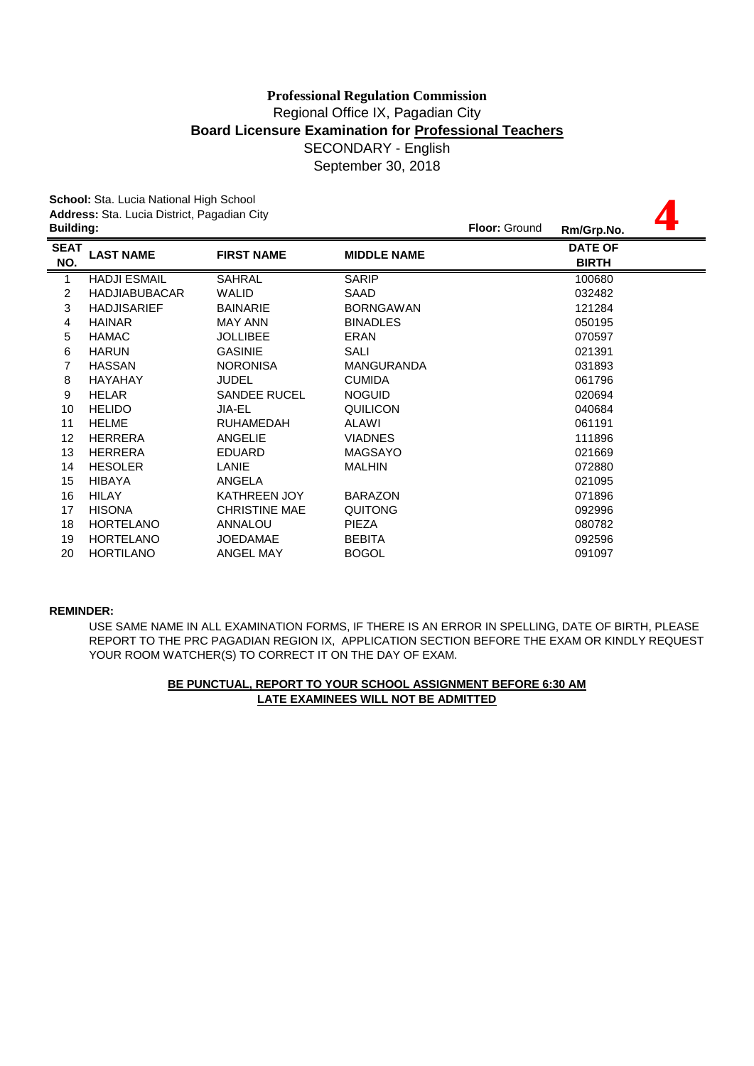**4**

**School:** Sta. Lucia National High School **Address:** Sta. Lucia District, Pagadian City

| <b>Building:</b>                |                      |                    | <b>Floor: Ground</b><br>Rm/Grp.No. |
|---------------------------------|----------------------|--------------------|------------------------------------|
| <b>SEAT</b><br><b>LAST NAME</b> | <b>FIRST NAME</b>    | <b>MIDDLE NAME</b> | <b>DATE OF</b><br><b>BIRTH</b>     |
| <b>HADJI ESMAIL</b>             | <b>SAHRAL</b>        | <b>SARIP</b>       | 100680                             |
| <b>HADJIABUBACAR</b>            | <b>WALID</b>         | SAAD               | 032482                             |
| <b>HADJISARIEF</b>              | <b>BAINARIE</b>      | <b>BORNGAWAN</b>   | 121284                             |
| <b>HAINAR</b>                   | <b>MAY ANN</b>       | <b>BINADLES</b>    | 050195                             |
| <b>HAMAC</b>                    | <b>JOLLIBEE</b>      | <b>ERAN</b>        | 070597                             |
| <b>HARUN</b>                    | <b>GASINIE</b>       | SALI               | 021391                             |
| <b>HASSAN</b>                   | <b>NORONISA</b>      | <b>MANGURANDA</b>  | 031893                             |
| <b>HAYAHAY</b>                  | <b>JUDEL</b>         | <b>CUMIDA</b>      | 061796                             |
| <b>HELAR</b>                    | <b>SANDEE RUCEL</b>  | <b>NOGUID</b>      | 020694                             |
| <b>HELIDO</b>                   | JIA-EL               | QUILICON           | 040684                             |
| <b>HELME</b>                    | <b>RUHAMEDAH</b>     | ALAWI              | 061191                             |
| <b>HERRERA</b>                  | <b>ANGELIE</b>       | <b>VIADNES</b>     | 111896                             |
| <b>HERRERA</b>                  | <b>EDUARD</b>        | <b>MAGSAYO</b>     | 021669                             |
| <b>HESOLER</b>                  | LANIE                | <b>MALHIN</b>      | 072880                             |
| <b>HIBAYA</b>                   | ANGELA               |                    | 021095                             |
| <b>HILAY</b>                    | <b>KATHREEN JOY</b>  | <b>BARAZON</b>     | 071896                             |
| <b>HISONA</b>                   | <b>CHRISTINE MAE</b> | <b>QUITONG</b>     | 092996                             |
| <b>HORTELANO</b>                | <b>ANNALOU</b>       | <b>PIEZA</b>       | 080782                             |
| <b>HORTELANO</b>                | <b>JOEDAMAE</b>      | <b>BEBITA</b>      | 092596                             |
| <b>HORTILANO</b>                | ANGEL MAY            | <b>BOGOL</b>       | 091097                             |
|                                 |                      |                    |                                    |

### **REMINDER:**

USE SAME NAME IN ALL EXAMINATION FORMS, IF THERE IS AN ERROR IN SPELLING, DATE OF BIRTH, PLEASE REPORT TO THE PRC PAGADIAN REGION IX, APPLICATION SECTION BEFORE THE EXAM OR KINDLY REQUEST YOUR ROOM WATCHER(S) TO CORRECT IT ON THE DAY OF EXAM.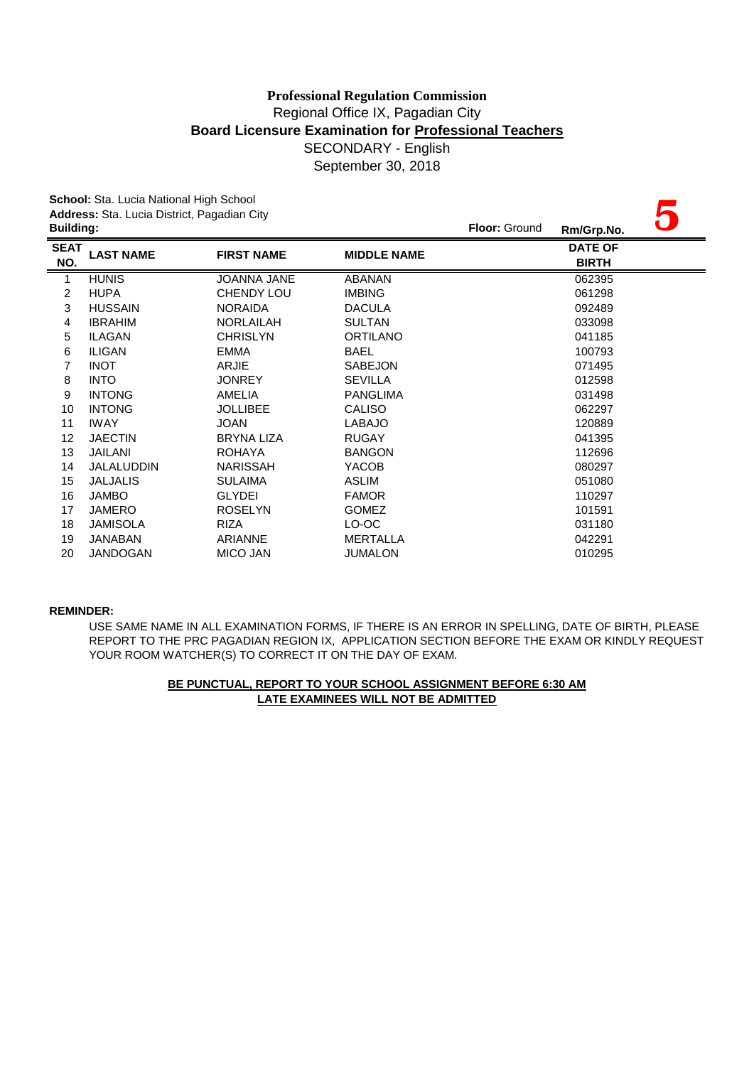|                  | School: Sta. Lucia National High School     |                    |                    |               |                |  |
|------------------|---------------------------------------------|--------------------|--------------------|---------------|----------------|--|
| <b>Building:</b> | Address: Sta. Lucia District, Pagadian City |                    |                    | Floor: Ground |                |  |
|                  |                                             |                    |                    |               | Rm/Grp.No.     |  |
| <b>SEAT</b>      | <b>LAST NAME</b>                            | <b>FIRST NAME</b>  | <b>MIDDLE NAME</b> |               | <b>DATE OF</b> |  |
| NO.              |                                             |                    |                    |               | <b>BIRTH</b>   |  |
| 1                | <b>HUNIS</b>                                | <b>JOANNA JANE</b> | <b>ABANAN</b>      |               | 062395         |  |
| 2                | <b>HUPA</b>                                 | <b>CHENDY LOU</b>  | <b>IMBING</b>      |               | 061298         |  |
| $\mathbf{3}$     | <b>HUSSAIN</b>                              | <b>NORAIDA</b>     | <b>DACULA</b>      |               | 092489         |  |
| 4                | <b>IBRAHIM</b>                              | <b>NORLAILAH</b>   | <b>SULTAN</b>      |               | 033098         |  |
| 5                | <b>ILAGAN</b>                               | <b>CHRISLYN</b>    | <b>ORTILANO</b>    |               | 041185         |  |
| 6                | <b>ILIGAN</b>                               | <b>EMMA</b>        | <b>BAEL</b>        |               | 100793         |  |
| 7                | <b>INOT</b>                                 | ARJIE              | <b>SABEJON</b>     |               | 071495         |  |
| 8                | <b>INTO</b>                                 | <b>JONREY</b>      | <b>SEVILLA</b>     |               | 012598         |  |
| 9                | <b>INTONG</b>                               | AMELIA             | <b>PANGLIMA</b>    |               | 031498         |  |
| 10               | <b>INTONG</b>                               | <b>JOLLIBEE</b>    | <b>CALISO</b>      |               | 062297         |  |
| 11               | <b>IWAY</b>                                 | <b>JOAN</b>        | <b>LABAJO</b>      |               | 120889         |  |
| 12               | <b>JAECTIN</b>                              | <b>BRYNA LIZA</b>  | <b>RUGAY</b>       |               | 041395         |  |
| 13               | JAILANI                                     | <b>ROHAYA</b>      | <b>BANGON</b>      |               | 112696         |  |
| 14               | <b>JALALUDDIN</b>                           | <b>NARISSAH</b>    | YACOB              |               | 080297         |  |
| 15               | <b>JALJALIS</b>                             | <b>SULAIMA</b>     | <b>ASLIM</b>       |               | 051080         |  |
| 16               | <b>JAMBO</b>                                | <b>GLYDEI</b>      | <b>FAMOR</b>       |               | 110297         |  |
| 17               | <b>JAMERO</b>                               | <b>ROSELYN</b>     | <b>GOMEZ</b>       |               | 101591         |  |
| 18               | <b>JAMISOLA</b>                             | RIZA               | LO-OC              |               | 031180         |  |
| 19               | <b>JANABAN</b>                              | ARIANNE            | <b>MERTALLA</b>    |               | 042291         |  |
| 20               | <b>JANDOGAN</b>                             | <b>MICO JAN</b>    | <b>JUMALON</b>     |               | 010295         |  |

### **REMINDER:**

USE SAME NAME IN ALL EXAMINATION FORMS, IF THERE IS AN ERROR IN SPELLING, DATE OF BIRTH, PLEASE REPORT TO THE PRC PAGADIAN REGION IX, APPLICATION SECTION BEFORE THE EXAM OR KINDLY REQUEST YOUR ROOM WATCHER(S) TO CORRECT IT ON THE DAY OF EXAM.

# **LATE EXAMINEES WILL NOT BE ADMITTED BE PUNCTUAL, REPORT TO YOUR SCHOOL ASSIGNMENT BEFORE 6:30 AM**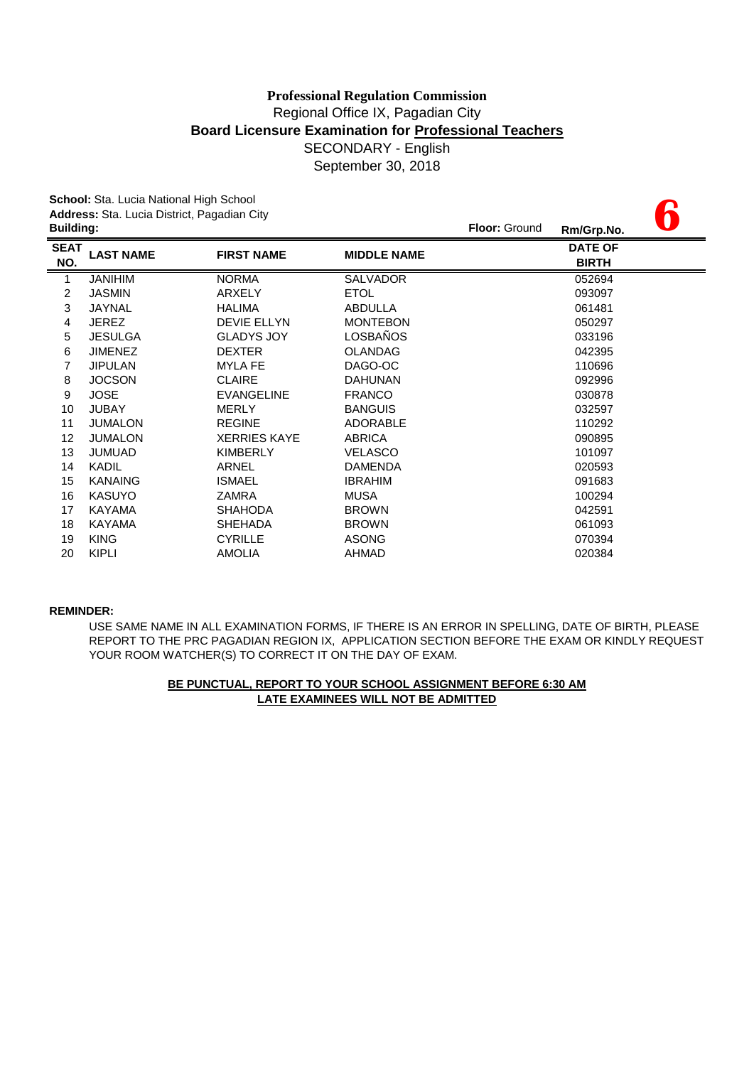**6**

**School:** Sta. Lucia National High School **Address:** Sta. Lucia District, Pagadian City

| <b>Building:</b>   |                  |                     |                    | <b>Floor: Ground</b> | Rm/Grp.No.                     | U J |
|--------------------|------------------|---------------------|--------------------|----------------------|--------------------------------|-----|
| <b>SEAT</b><br>NO. | <b>LAST NAME</b> | <b>FIRST NAME</b>   | <b>MIDDLE NAME</b> |                      | <b>DATE OF</b><br><b>BIRTH</b> |     |
| 1                  | <b>JANIHIM</b>   | <b>NORMA</b>        | <b>SALVADOR</b>    |                      | 052694                         |     |
| 2                  | <b>JASMIN</b>    | ARXELY              | <b>ETOL</b>        |                      | 093097                         |     |
| 3                  | <b>JAYNAL</b>    | <b>HALIMA</b>       | ABDULLA            |                      | 061481                         |     |
| 4                  | <b>JEREZ</b>     | <b>DEVIE ELLYN</b>  | <b>MONTEBON</b>    |                      | 050297                         |     |
| 5                  | <b>JESULGA</b>   | <b>GLADYS JOY</b>   | LOSBAÑOS           |                      | 033196                         |     |
| 6                  | <b>JIMENEZ</b>   | <b>DEXTER</b>       | <b>OLANDAG</b>     |                      | 042395                         |     |
| 7                  | <b>JIPULAN</b>   | <b>MYLA FE</b>      | DAGO-OC            |                      | 110696                         |     |
| 8                  | <b>JOCSON</b>    | <b>CLAIRE</b>       | <b>DAHUNAN</b>     |                      | 092996                         |     |
| 9                  | <b>JOSE</b>      | <b>EVANGELINE</b>   | <b>FRANCO</b>      |                      | 030878                         |     |
| 10                 | <b>JUBAY</b>     | <b>MERLY</b>        | <b>BANGUIS</b>     |                      | 032597                         |     |
| 11                 | <b>JUMALON</b>   | <b>REGINE</b>       | <b>ADORABLE</b>    |                      | 110292                         |     |
| 12                 | <b>JUMALON</b>   | <b>XERRIES KAYE</b> | <b>ABRICA</b>      |                      | 090895                         |     |
| 13                 | <b>JUMUAD</b>    | <b>KIMBERLY</b>     | <b>VELASCO</b>     |                      | 101097                         |     |
| 14                 | KADIL            | ARNEL               | <b>DAMENDA</b>     |                      | 020593                         |     |
| 15                 | <b>KANAING</b>   | <b>ISMAEL</b>       | <b>IBRAHIM</b>     |                      | 091683                         |     |
| 16                 | <b>KASUYO</b>    | ZAMRA               | <b>MUSA</b>        |                      | 100294                         |     |
| 17                 | KAYAMA           | <b>SHAHODA</b>      | <b>BROWN</b>       |                      | 042591                         |     |
| 18                 | <b>KAYAMA</b>    | <b>SHEHADA</b>      | <b>BROWN</b>       |                      | 061093                         |     |
| 19                 | <b>KING</b>      | <b>CYRILLE</b>      | <b>ASONG</b>       |                      | 070394                         |     |
| 20                 | <b>KIPLI</b>     | <b>AMOLIA</b>       | AHMAD              |                      | 020384                         |     |

### **REMINDER:**

USE SAME NAME IN ALL EXAMINATION FORMS, IF THERE IS AN ERROR IN SPELLING, DATE OF BIRTH, PLEASE REPORT TO THE PRC PAGADIAN REGION IX, APPLICATION SECTION BEFORE THE EXAM OR KINDLY REQUEST YOUR ROOM WATCHER(S) TO CORRECT IT ON THE DAY OF EXAM.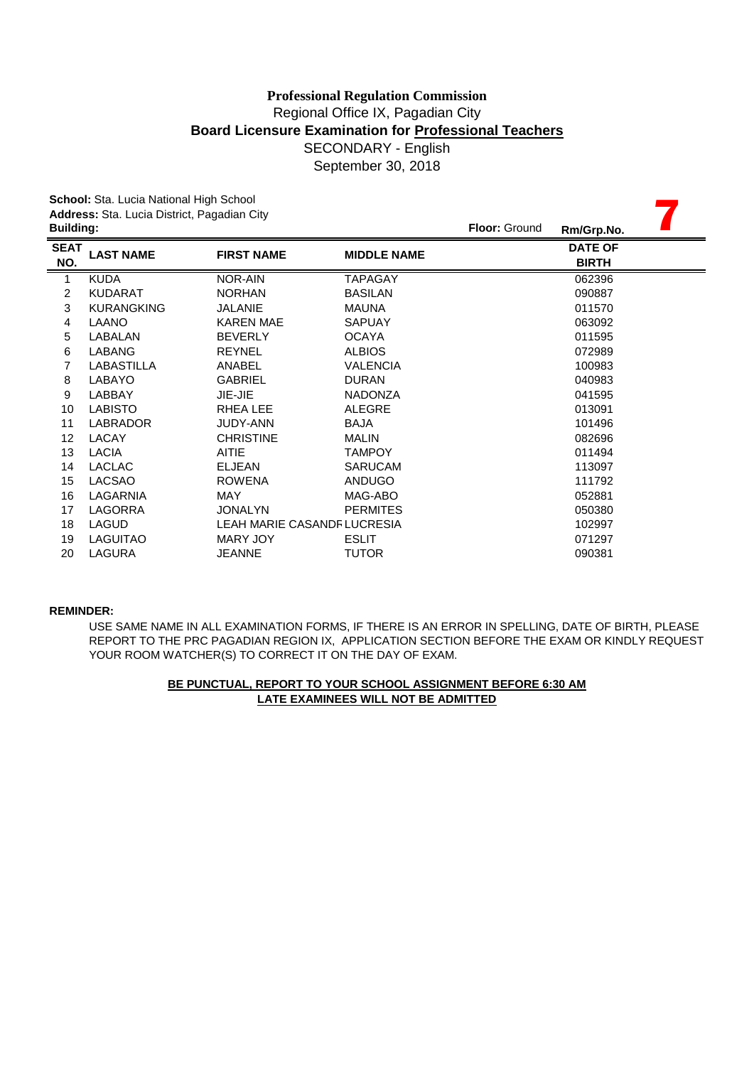September 30, 2018

|                  | School: Sta. Lucia National High School     |                                   |                    |               |                |
|------------------|---------------------------------------------|-----------------------------------|--------------------|---------------|----------------|
|                  | Address: Sta. Lucia District, Pagadian City |                                   |                    |               |                |
| <b>Building:</b> |                                             |                                   |                    | Floor: Ground | Rm/Grp.No.     |
| <b>SEAT</b>      | <b>LAST NAME</b>                            | <b>FIRST NAME</b>                 | <b>MIDDLE NAME</b> |               | <b>DATE OF</b> |
| NO.              |                                             |                                   |                    |               | <b>BIRTH</b>   |
| 1                | <b>KUDA</b>                                 | NOR-AIN                           | <b>TAPAGAY</b>     |               | 062396         |
| 2                | <b>KUDARAT</b>                              | <b>NORHAN</b>                     | <b>BASILAN</b>     |               | 090887         |
| 3                | <b>KURANGKING</b>                           | <b>JALANIE</b>                    | <b>MAUNA</b>       |               | 011570         |
| 4                | LAANO                                       | <b>KAREN MAE</b>                  | <b>SAPUAY</b>      |               | 063092         |
| 5                | LABALAN                                     | <b>BEVERLY</b>                    | <b>OCAYA</b>       |               | 011595         |
| 6                | LABANG                                      | <b>REYNEL</b>                     | <b>ALBIOS</b>      |               | 072989         |
| 7                | <b>LABASTILLA</b>                           | ANABEL                            | <b>VALENCIA</b>    |               | 100983         |
| 8                | LABAYO                                      | <b>GABRIEL</b>                    | <b>DURAN</b>       |               | 040983         |
| 9                | LABBAY                                      | JIE-JIE                           | <b>NADONZA</b>     |               | 041595         |
| 10               | <b>LABISTO</b>                              | <b>RHEALEE</b>                    | <b>ALEGRE</b>      |               | 013091         |
| 11               | <b>LABRADOR</b>                             | <b>JUDY-ANN</b>                   | <b>BAJA</b>        |               | 101496         |
| 12               | LACAY                                       | <b>CHRISTINE</b>                  | MALIN              |               | 082696         |
| 13               | <b>LACIA</b>                                | <b>AITIE</b>                      | <b>TAMPOY</b>      |               | 011494         |
| 14               | <b>LACLAC</b>                               | <b>ELJEAN</b>                     | <b>SARUCAM</b>     |               | 113097         |
| 15               | <b>LACSAO</b>                               | <b>ROWENA</b>                     | <b>ANDUGO</b>      |               | 111792         |
| 16               | LAGARNIA                                    | MAY                               | MAG-ABO            |               | 052881         |
| 17               | LAGORRA                                     | <b>JONALYN</b>                    | <b>PERMITES</b>    |               | 050380         |
| 18               | <b>LAGUD</b>                                | <b>LEAH MARIE CASANDRLUCRESIA</b> |                    |               | 102997         |
| 19               | <b>LAGUITAO</b>                             | MARY JOY                          | <b>ESLIT</b>       |               | 071297         |
| 20               | LAGURA                                      | <b>JEANNE</b>                     | <b>TUTOR</b>       |               | 090381         |
|                  |                                             |                                   |                    |               |                |

### **REMINDER:**

USE SAME NAME IN ALL EXAMINATION FORMS, IF THERE IS AN ERROR IN SPELLING, DATE OF BIRTH, PLEASE REPORT TO THE PRC PAGADIAN REGION IX, APPLICATION SECTION BEFORE THE EXAM OR KINDLY REQUEST YOUR ROOM WATCHER(S) TO CORRECT IT ON THE DAY OF EXAM.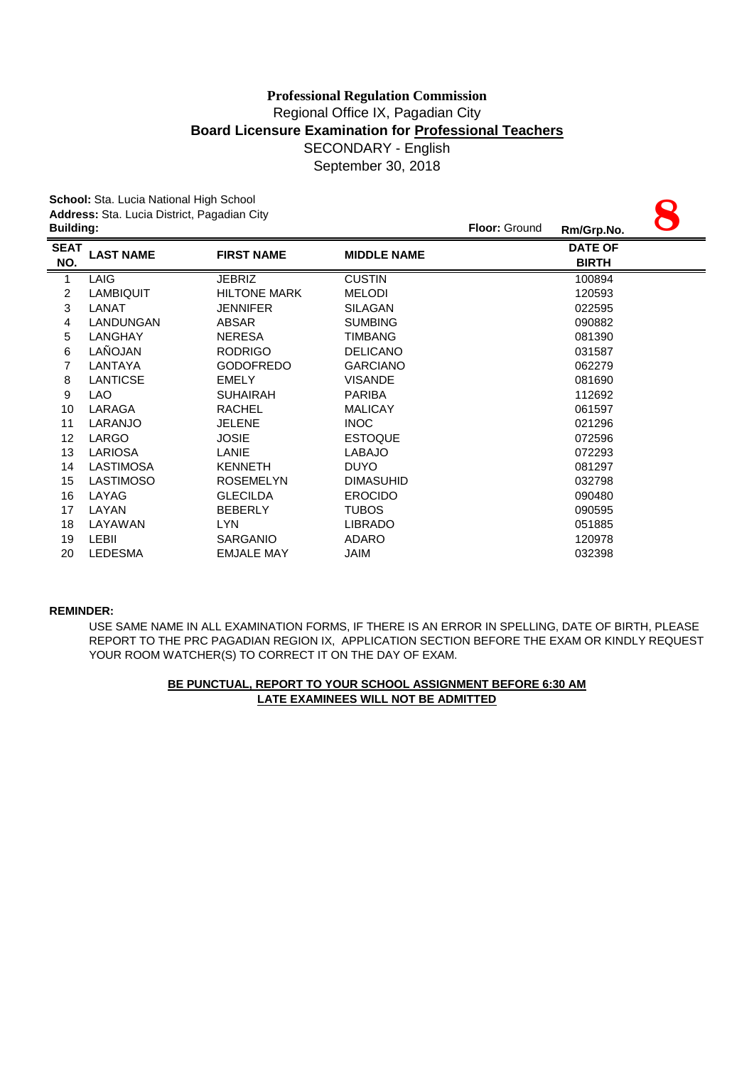# Regional Office IX, Pagadian City **Board Licensure Examination for Professional Teachers** SECONDARY - English September 30, 2018 **Professional Regulation Commission**

|                    | School: Sta. Lucia National High School     |                     |                      |            |                                |  |
|--------------------|---------------------------------------------|---------------------|----------------------|------------|--------------------------------|--|
| <b>Building:</b>   | Address: Sta. Lucia District, Pagadian City |                     | <b>Floor: Ground</b> | Rm/Grp.No. |                                |  |
| <b>SEAT</b><br>NO. | <b>LAST NAME</b>                            | <b>FIRST NAME</b>   | <b>MIDDLE NAME</b>   |            | <b>DATE OF</b><br><b>BIRTH</b> |  |
| 1                  | LAIG                                        | <b>JEBRIZ</b>       | <b>CUSTIN</b>        |            | 100894                         |  |
| 2                  | <b>LAMBIQUIT</b>                            | <b>HILTONE MARK</b> | <b>MELODI</b>        |            | 120593                         |  |
| 3                  | LANAT                                       | <b>JENNIFER</b>     | <b>SILAGAN</b>       |            | 022595                         |  |
| 4                  | LANDUNGAN                                   | ABSAR               | <b>SUMBING</b>       |            | 090882                         |  |
| 5                  | LANGHAY                                     | NERESA              | <b>TIMBANG</b>       |            | 081390                         |  |
| 6                  | LAÑOJAN                                     | <b>RODRIGO</b>      | <b>DELICANO</b>      |            | 031587                         |  |
| $\overline{7}$     | LANTAYA                                     | <b>GODOFREDO</b>    | <b>GARCIANO</b>      |            | 062279                         |  |
| 8                  | <b>LANTICSE</b>                             | <b>EMELY</b>        | <b>VISANDE</b>       |            | 081690                         |  |
| 9                  | <b>LAO</b>                                  | <b>SUHAIRAH</b>     | <b>PARIBA</b>        |            | 112692                         |  |
| 10                 | LARAGA                                      | <b>RACHEL</b>       | <b>MALICAY</b>       |            | 061597                         |  |
| 11                 | LARANJO                                     | <b>JELENE</b>       | <b>INOC</b>          |            | 021296                         |  |
| 12                 | LARGO                                       | <b>JOSIE</b>        | <b>ESTOQUE</b>       |            | 072596                         |  |
| 13                 | <b>LARIOSA</b>                              | LANIE               | <b>LABAJO</b>        |            | 072293                         |  |
| 14                 | LASTIMOSA                                   | <b>KENNETH</b>      | <b>DUYO</b>          |            | 081297                         |  |
| 15                 | <b>LASTIMOSO</b>                            | <b>ROSEMELYN</b>    | <b>DIMASUHID</b>     |            | 032798                         |  |
| 16                 | LAYAG                                       | <b>GLECILDA</b>     | <b>EROCIDO</b>       |            | 090480                         |  |
| 17                 | LAYAN                                       | <b>BEBERLY</b>      | <b>TUBOS</b>         |            | 090595                         |  |
| 18                 | LAYAWAN                                     | <b>LYN</b>          | <b>LIBRADO</b>       |            | 051885                         |  |
| 19                 | <b>LEBII</b>                                | <b>SARGANIO</b>     | <b>ADARO</b>         |            | 120978                         |  |
| 20                 | <b>LEDESMA</b>                              | <b>EMJALE MAY</b>   | JAIM                 |            | 032398                         |  |

### **REMINDER:**

USE SAME NAME IN ALL EXAMINATION FORMS, IF THERE IS AN ERROR IN SPELLING, DATE OF BIRTH, PLEASE REPORT TO THE PRC PAGADIAN REGION IX, APPLICATION SECTION BEFORE THE EXAM OR KINDLY REQUEST YOUR ROOM WATCHER(S) TO CORRECT IT ON THE DAY OF EXAM.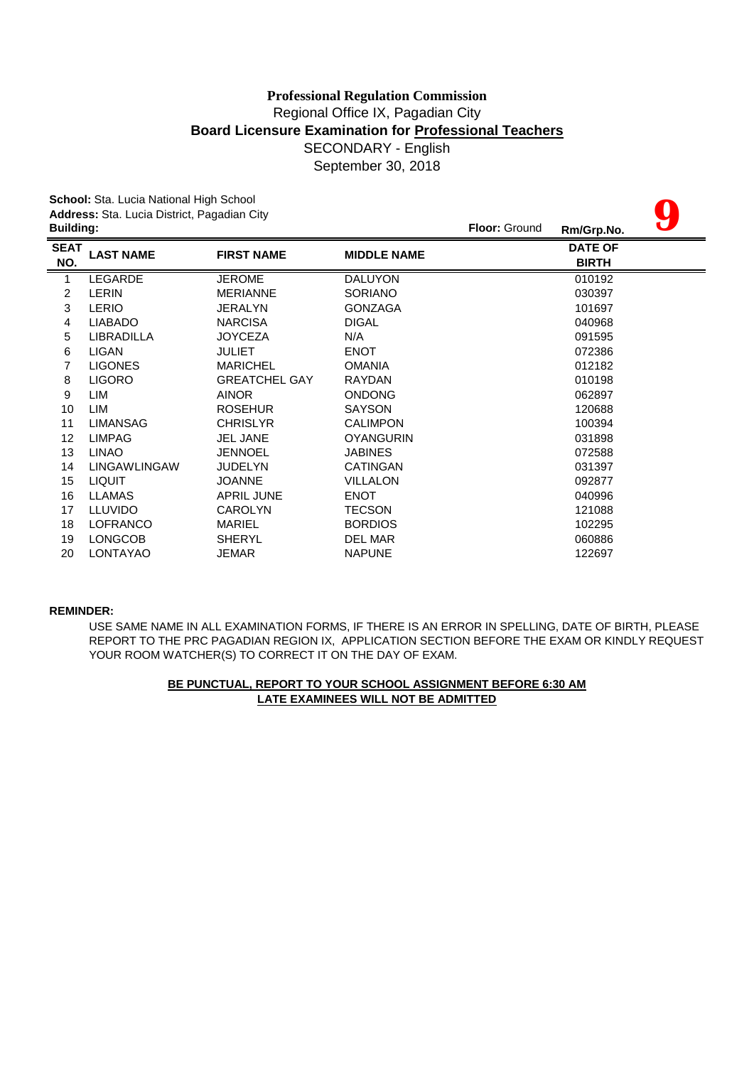# **Board Licensure Examination for Professional Teachers** SECONDARY - English September 30, 2018 **Professional Regulation Commission** Regional Office IX, Pagadian City

|                  | School: Sta. Lucia National High School     |                      |                    |                      |                |  |
|------------------|---------------------------------------------|----------------------|--------------------|----------------------|----------------|--|
|                  | Address: Sta. Lucia District, Pagadian City |                      |                    |                      |                |  |
| <b>Building:</b> |                                             |                      |                    | <b>Floor: Ground</b> | Rm/Grp.No.     |  |
| <b>SEAT</b>      | <b>LAST NAME</b>                            | <b>FIRST NAME</b>    | <b>MIDDLE NAME</b> |                      | <b>DATE OF</b> |  |
| NO.              |                                             |                      |                    |                      | <b>BIRTH</b>   |  |
| 1                | LEGARDE                                     | <b>JEROME</b>        | <b>DALUYON</b>     |                      | 010192         |  |
| $\overline{c}$   | <b>LERIN</b>                                | <b>MERIANNE</b>      | <b>SORIANO</b>     |                      | 030397         |  |
| 3                | <b>LERIO</b>                                | <b>JERALYN</b>       | <b>GONZAGA</b>     |                      | 101697         |  |
| 4                | <b>LIABADO</b>                              | <b>NARCISA</b>       | <b>DIGAL</b>       |                      | 040968         |  |
| 5                | LIBRADILLA                                  | <b>JOYCEZA</b>       | N/A                |                      | 091595         |  |
| 6                | LIGAN                                       | <b>JULIET</b>        | <b>ENOT</b>        |                      | 072386         |  |
| $\overline{7}$   | <b>LIGONES</b>                              | <b>MARICHEL</b>      | <b>OMANIA</b>      |                      | 012182         |  |
| 8                | <b>LIGORO</b>                               | <b>GREATCHEL GAY</b> | RAYDAN             |                      | 010198         |  |
| 9                | LIM                                         | <b>AINOR</b>         | <b>ONDONG</b>      |                      | 062897         |  |
| 10               | LIM                                         | <b>ROSEHUR</b>       | <b>SAYSON</b>      |                      | 120688         |  |
| 11               | <b>LIMANSAG</b>                             | <b>CHRISLYR</b>      | <b>CALIMPON</b>    |                      | 100394         |  |
| 12               | <b>LIMPAG</b>                               | <b>JEL JANE</b>      | <b>OYANGURIN</b>   |                      | 031898         |  |
| 13               | <b>LINAO</b>                                | <b>JENNOEL</b>       | <b>JABINES</b>     |                      | 072588         |  |
| 14               | <b>LINGAWLINGAW</b>                         | <b>JUDELYN</b>       | CATINGAN           |                      | 031397         |  |
| 15               | <b>LIQUIT</b>                               | <b>JOANNE</b>        | <b>VILLALON</b>    |                      | 092877         |  |
| 16               | <b>LLAMAS</b>                               | <b>APRIL JUNE</b>    | <b>ENOT</b>        |                      | 040996         |  |
| 17               | <b>LLUVIDO</b>                              | <b>CAROLYN</b>       | <b>TECSON</b>      |                      | 121088         |  |
| 18               | LOFRANCO                                    | <b>MARIEL</b>        | <b>BORDIOS</b>     |                      | 102295         |  |
| 19               | <b>LONGCOB</b>                              | <b>SHERYL</b>        | DEL MAR            |                      | 060886         |  |
| 20               | LONTAYAO                                    | JEMAR                | <b>NAPUNE</b>      |                      | 122697         |  |

### **REMINDER:**

USE SAME NAME IN ALL EXAMINATION FORMS, IF THERE IS AN ERROR IN SPELLING, DATE OF BIRTH, PLEASE REPORT TO THE PRC PAGADIAN REGION IX, APPLICATION SECTION BEFORE THE EXAM OR KINDLY REQUEST YOUR ROOM WATCHER(S) TO CORRECT IT ON THE DAY OF EXAM.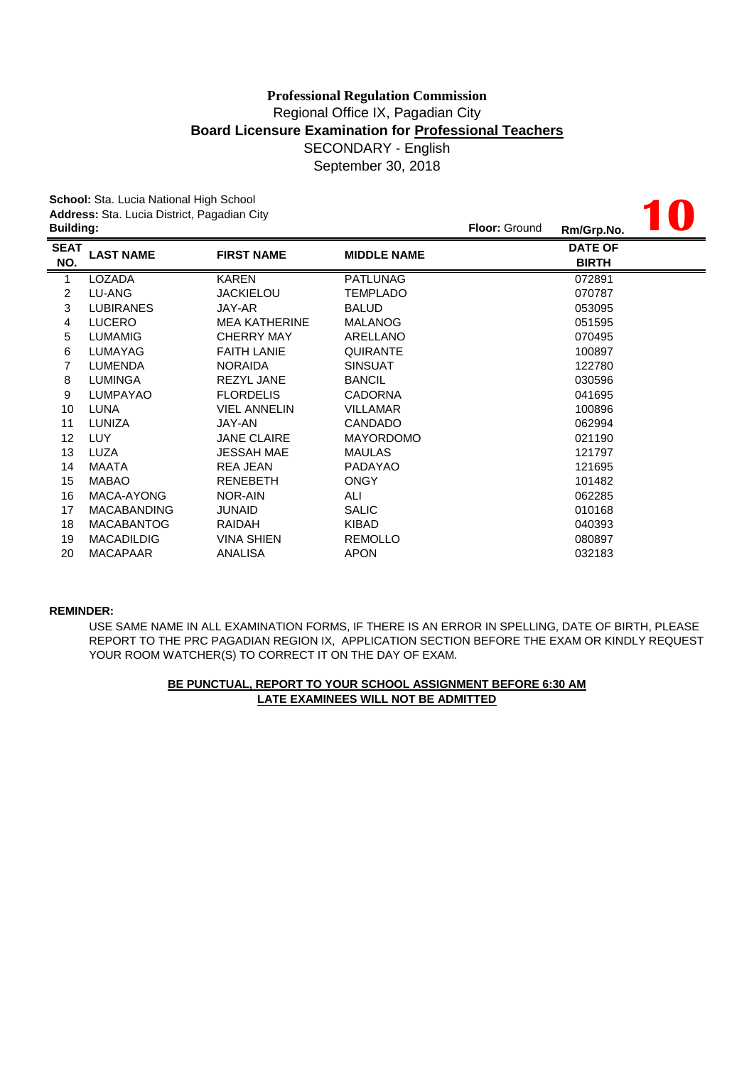# SECONDARY - English September 30, 2018 **Professional Regulation Commission** Regional Office IX, Pagadian City **Board Licensure Examination for Professional Teachers**

**10**

**School:** Sta. Lucia National High School **Address:** Sta. Lucia District, Pagadian City

| <b>Building:</b>   |                    |                      |                    | <b>Floor: Ground</b> | Rm/Grp.No.                     | <b>III</b> W |
|--------------------|--------------------|----------------------|--------------------|----------------------|--------------------------------|--------------|
| <b>SEAT</b><br>NO. | <b>LAST NAME</b>   | <b>FIRST NAME</b>    | <b>MIDDLE NAME</b> |                      | <b>DATE OF</b><br><b>BIRTH</b> |              |
| 1                  | <b>LOZADA</b>      | <b>KAREN</b>         | <b>PATLUNAG</b>    |                      | 072891                         |              |
| 2                  | LU-ANG             | <b>JACKIELOU</b>     | TEMPLADO           |                      | 070787                         |              |
| 3                  | <b>LUBIRANES</b>   | JAY-AR               | <b>BALUD</b>       |                      | 053095                         |              |
| 4                  | <b>LUCERO</b>      | <b>MEA KATHERINE</b> | <b>MALANOG</b>     |                      | 051595                         |              |
| 5                  | <b>LUMAMIG</b>     | <b>CHERRY MAY</b>    | ARELLANO           |                      | 070495                         |              |
| 6                  | <b>LUMAYAG</b>     | <b>FAITH LANIE</b>   | QUIRANTE           |                      | 100897                         |              |
| 7                  | <b>LUMENDA</b>     | <b>NORAIDA</b>       | <b>SINSUAT</b>     |                      | 122780                         |              |
| 8                  | <b>LUMINGA</b>     | <b>REZYL JANE</b>    | <b>BANCIL</b>      |                      | 030596                         |              |
| 9                  | <b>LUMPAYAO</b>    | <b>FLORDELIS</b>     | <b>CADORNA</b>     |                      | 041695                         |              |
| 10                 | <b>LUNA</b>        | <b>VIEL ANNELIN</b>  | <b>VILLAMAR</b>    |                      | 100896                         |              |
| 11                 | LUNIZA             | JAY-AN               | <b>CANDADO</b>     |                      | 062994                         |              |
| 12                 | <b>LUY</b>         | <b>JANE CLAIRE</b>   | <b>MAYORDOMO</b>   |                      | 021190                         |              |
| 13                 | <b>LUZA</b>        | <b>JESSAH MAE</b>    | <b>MAULAS</b>      |                      | 121797                         |              |
| 14                 | MAATA              | <b>REA JEAN</b>      | <b>PADAYAO</b>     |                      | 121695                         |              |
| 15                 | <b>MABAO</b>       | <b>RENEBETH</b>      | <b>ONGY</b>        |                      | 101482                         |              |
| 16                 | MACA-AYONG         | NOR-AIN              | ALI                |                      | 062285                         |              |
| 17                 | <b>MACABANDING</b> | <b>JUNAID</b>        | <b>SALIC</b>       |                      | 010168                         |              |
| 18                 | <b>MACABANTOG</b>  | <b>RAIDAH</b>        | <b>KIBAD</b>       |                      | 040393                         |              |
| 19                 | <b>MACADILDIG</b>  | <b>VINA SHIEN</b>    | <b>REMOLLO</b>     |                      | 080897                         |              |
| 20                 | <b>MACAPAAR</b>    | ANALISA              | <b>APON</b>        |                      | 032183                         |              |

### **REMINDER:**

USE SAME NAME IN ALL EXAMINATION FORMS, IF THERE IS AN ERROR IN SPELLING, DATE OF BIRTH, PLEASE REPORT TO THE PRC PAGADIAN REGION IX, APPLICATION SECTION BEFORE THE EXAM OR KINDLY REQUEST YOUR ROOM WATCHER(S) TO CORRECT IT ON THE DAY OF EXAM.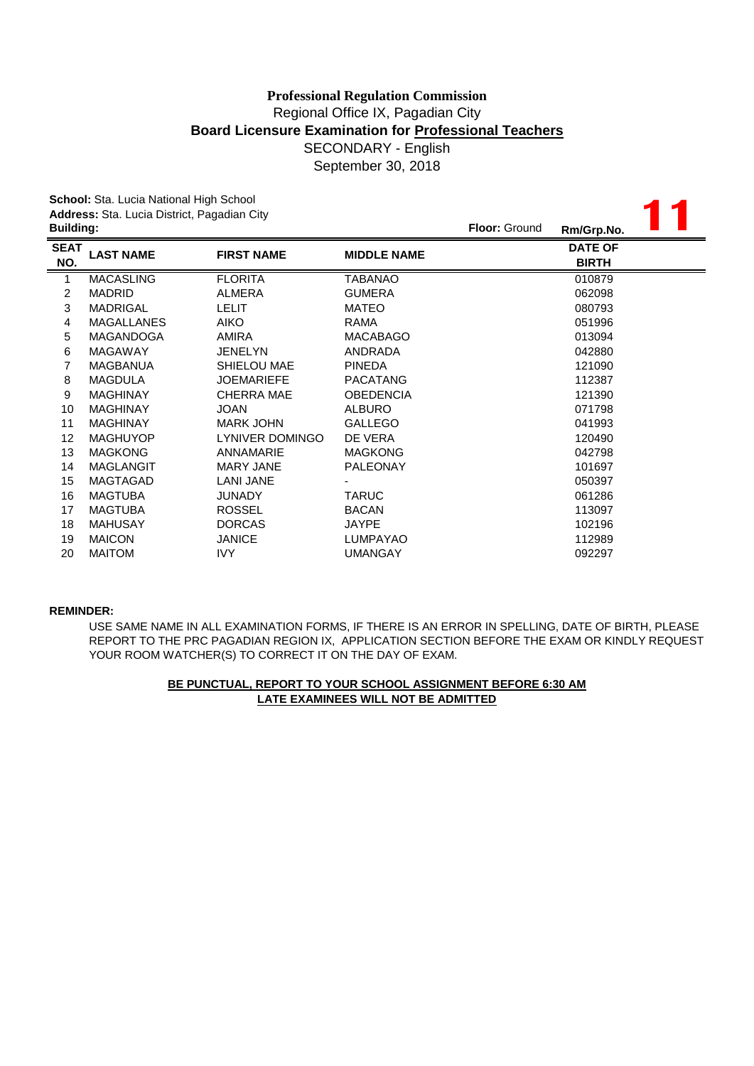September 30, 2018

|                  | School: Sta. Lucia National High School     |                   |                    |                      |                |  |
|------------------|---------------------------------------------|-------------------|--------------------|----------------------|----------------|--|
|                  | Address: Sta. Lucia District, Pagadian City |                   |                    |                      |                |  |
| <b>Building:</b> |                                             |                   |                    | <b>Floor: Ground</b> | Rm/Grp.No.     |  |
| <b>SEAT</b>      | <b>LAST NAME</b>                            | <b>FIRST NAME</b> | <b>MIDDLE NAME</b> |                      | <b>DATE OF</b> |  |
| NO.              |                                             |                   |                    |                      | <b>BIRTH</b>   |  |
| 1                | <b>MACASLING</b>                            | <b>FLORITA</b>    | TABANAO            |                      | 010879         |  |
| 2                | <b>MADRID</b>                               | ALMERA            | <b>GUMERA</b>      |                      | 062098         |  |
| 3                | <b>MADRIGAL</b>                             | <b>LELIT</b>      | <b>MATEO</b>       |                      | 080793         |  |
| 4                | <b>MAGALLANES</b>                           | <b>AIKO</b>       | <b>RAMA</b>        |                      | 051996         |  |
| 5                | <b>MAGANDOGA</b>                            | AMIRA             | <b>MACABAGO</b>    |                      | 013094         |  |
| 6                | <b>MAGAWAY</b>                              | <b>JENELYN</b>    | ANDRADA            |                      | 042880         |  |
| $\overline{7}$   | <b>MAGBANUA</b>                             | SHIELOU MAE       | <b>PINEDA</b>      |                      | 121090         |  |
| 8                | <b>MAGDULA</b>                              | <b>JOEMARIEFE</b> | <b>PACATANG</b>    |                      | 112387         |  |
| 9                | <b>MAGHINAY</b>                             | <b>CHERRA MAE</b> | <b>OBEDENCIA</b>   |                      | 121390         |  |
| 10               | <b>MAGHINAY</b>                             | <b>JOAN</b>       | <b>ALBURO</b>      |                      | 071798         |  |
| 11               | <b>MAGHINAY</b>                             | <b>MARK JOHN</b>  | <b>GALLEGO</b>     |                      | 041993         |  |
| 12               | <b>MAGHUYOP</b>                             | LYNIVER DOMINGO   | DE VERA            |                      | 120490         |  |
| 13               | <b>MAGKONG</b>                              | <b>ANNAMARIE</b>  | <b>MAGKONG</b>     |                      | 042798         |  |
| 14               | <b>MAGLANGIT</b>                            | <b>MARY JANE</b>  | <b>PALEONAY</b>    |                      | 101697         |  |
| 15               | <b>MAGTAGAD</b>                             | <b>LANI JANE</b>  |                    |                      | 050397         |  |
| 16               | <b>MAGTUBA</b>                              | <b>JUNADY</b>     | <b>TARUC</b>       |                      | 061286         |  |
| 17               | <b>MAGTUBA</b>                              | <b>ROSSEL</b>     | <b>BACAN</b>       |                      | 113097         |  |
| 18               | <b>MAHUSAY</b>                              | <b>DORCAS</b>     | JAYPE              |                      | 102196         |  |
| 19               | <b>MAICON</b>                               | <b>JANICE</b>     | <b>LUMPAYAO</b>    |                      | 112989         |  |
| 20               | <b>MAITOM</b>                               | <b>IVY</b>        | <b>UMANGAY</b>     |                      | 092297         |  |

#### **REMINDER:**

USE SAME NAME IN ALL EXAMINATION FORMS, IF THERE IS AN ERROR IN SPELLING, DATE OF BIRTH, PLEASE REPORT TO THE PRC PAGADIAN REGION IX, APPLICATION SECTION BEFORE THE EXAM OR KINDLY REQUEST YOUR ROOM WATCHER(S) TO CORRECT IT ON THE DAY OF EXAM.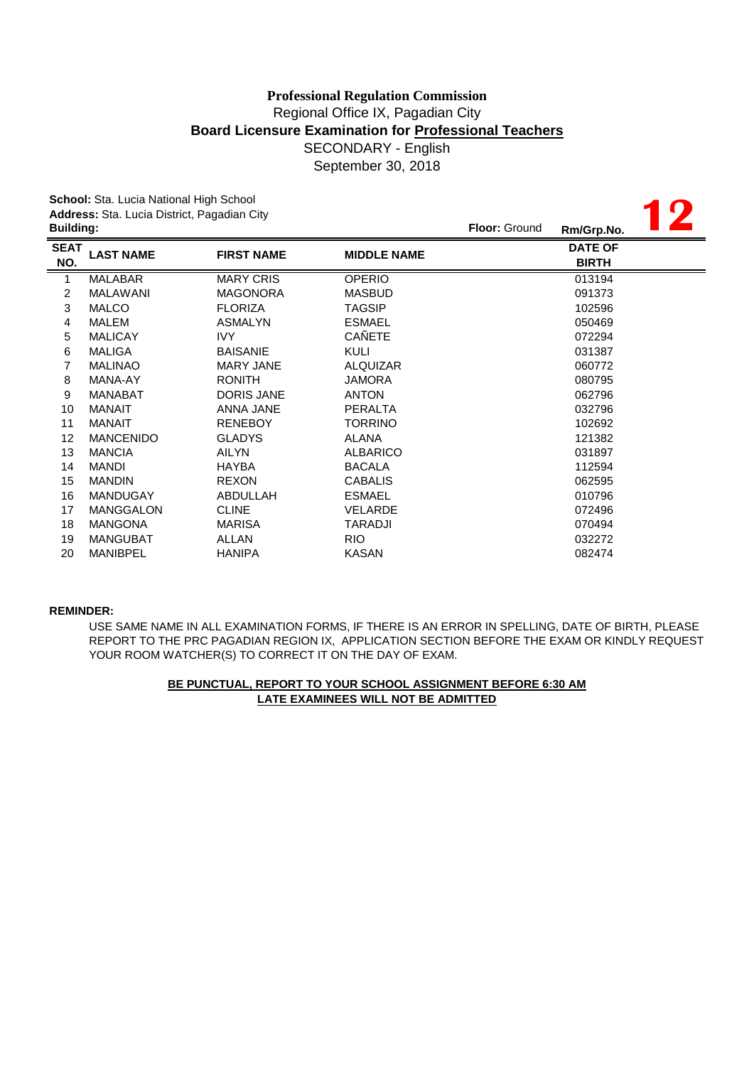**12**

**School:** Sta. Lucia National High School **Address:** Sta. Lucia District, Pagadian City

|                    | <b>Building:</b> |                   |                    | <b>Floor: Ground</b><br>Rm/Grp.No. |  |
|--------------------|------------------|-------------------|--------------------|------------------------------------|--|
| <b>SEAT</b><br>NO. | <b>LAST NAME</b> | <b>FIRST NAME</b> | <b>MIDDLE NAME</b> | <b>DATE OF</b><br><b>BIRTH</b>     |  |
| 1                  | <b>MALABAR</b>   | <b>MARY CRIS</b>  | <b>OPERIO</b>      | 013194                             |  |
| 2                  | MALAWANI         | <b>MAGONORA</b>   | <b>MASBUD</b>      | 091373                             |  |
| 3                  | <b>MALCO</b>     | <b>FLORIZA</b>    | <b>TAGSIP</b>      | 102596                             |  |
| 4                  | MALEM            | <b>ASMALYN</b>    | <b>ESMAEL</b>      | 050469                             |  |
| 5                  | <b>MALICAY</b>   | IVY               | CAÑETE             | 072294                             |  |
| 6                  | <b>MALIGA</b>    | <b>BAISANIE</b>   | <b>KULI</b>        | 031387                             |  |
| 7                  | <b>MALINAO</b>   | <b>MARY JANE</b>  | <b>ALQUIZAR</b>    | 060772                             |  |
| 8                  | MANA-AY          | <b>RONITH</b>     | <b>JAMORA</b>      | 080795                             |  |
| 9                  | <b>MANABAT</b>   | <b>DORIS JANE</b> | <b>ANTON</b>       | 062796                             |  |
| 10                 | <b>MANAIT</b>    | ANNA JANE         | <b>PERALTA</b>     | 032796                             |  |
| 11                 | MANAIT           | <b>RENEBOY</b>    | <b>TORRINO</b>     | 102692                             |  |
| 12                 | <b>MANCENIDO</b> | <b>GLADYS</b>     | <b>ALANA</b>       | 121382                             |  |
| 13                 | <b>MANCIA</b>    | AILYN             | <b>ALBARICO</b>    | 031897                             |  |
| 14                 | <b>MANDI</b>     | <b>HAYBA</b>      | <b>BACALA</b>      | 112594                             |  |
| 15                 | <b>MANDIN</b>    | <b>REXON</b>      | <b>CABALIS</b>     | 062595                             |  |
| 16                 | <b>MANDUGAY</b>  | ABDULLAH          | <b>ESMAEL</b>      | 010796                             |  |
| 17                 | <b>MANGGALON</b> | <b>CLINE</b>      | <b>VELARDE</b>     | 072496                             |  |
| 18                 | <b>MANGONA</b>   | <b>MARISA</b>     | TARADJI            | 070494                             |  |
| 19                 | <b>MANGUBAT</b>  | ALLAN             | RIO.               | 032272                             |  |
| 20                 | <b>MANIBPEL</b>  | <b>HANIPA</b>     | <b>KASAN</b>       | 082474                             |  |

### **REMINDER:**

USE SAME NAME IN ALL EXAMINATION FORMS, IF THERE IS AN ERROR IN SPELLING, DATE OF BIRTH, PLEASE REPORT TO THE PRC PAGADIAN REGION IX, APPLICATION SECTION BEFORE THE EXAM OR KINDLY REQUEST YOUR ROOM WATCHER(S) TO CORRECT IT ON THE DAY OF EXAM.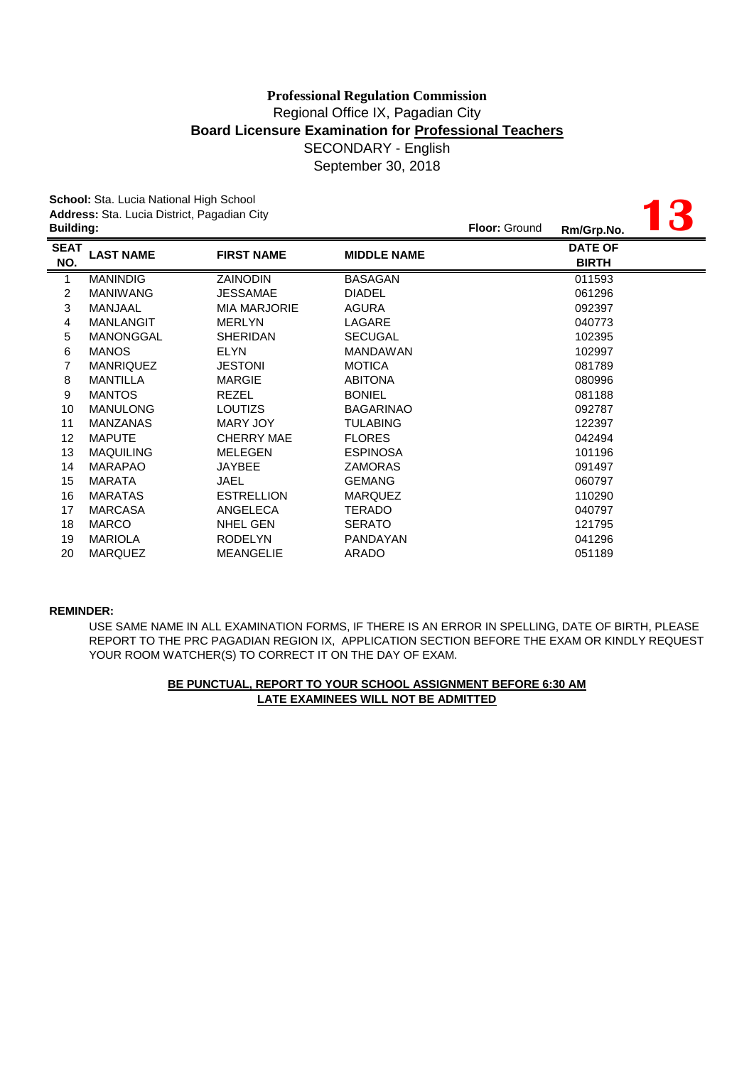**13**

**School:** Sta. Lucia National High School **Address:** Sta. Lucia District, Pagadian City

|                                 |                     |                    | Rm/Grp.No.                     |  |
|---------------------------------|---------------------|--------------------|--------------------------------|--|
| <b>SEAT</b><br><b>LAST NAME</b> | <b>FIRST NAME</b>   | <b>MIDDLE NAME</b> | <b>DATE OF</b><br><b>BIRTH</b> |  |
| <b>MANINDIG</b>                 | <b>ZAINODIN</b>     | <b>BASAGAN</b>     | 011593                         |  |
| <b>MANIWANG</b>                 | <b>JESSAMAE</b>     | <b>DIADEL</b>      | 061296                         |  |
| MANJAAL                         | <b>MIA MARJORIE</b> | <b>AGURA</b>       | 092397                         |  |
| <b>MANLANGIT</b>                | <b>MERLYN</b>       | LAGARE             | 040773                         |  |
| <b>MANONGGAL</b>                | <b>SHERIDAN</b>     | <b>SECUGAL</b>     | 102395                         |  |
| <b>MANOS</b>                    | <b>ELYN</b>         | <b>MANDAWAN</b>    | 102997                         |  |
| <b>MANRIQUEZ</b>                | <b>JESTONI</b>      | <b>MOTICA</b>      | 081789                         |  |
| <b>MANTILLA</b>                 | <b>MARGIE</b>       | <b>ABITONA</b>     | 080996                         |  |
| <b>MANTOS</b>                   | <b>REZEL</b>        | <b>BONIEL</b>      | 081188                         |  |
| <b>MANULONG</b>                 | <b>LOUTIZS</b>      | <b>BAGARINAO</b>   | 092787                         |  |
| <b>MANZANAS</b>                 | <b>MARY JOY</b>     | <b>TULABING</b>    | 122397                         |  |
| <b>MAPUTE</b>                   | <b>CHERRY MAE</b>   | <b>FLORES</b>      | 042494                         |  |
| <b>MAQUILING</b>                | <b>MELEGEN</b>      | <b>ESPINOSA</b>    | 101196                         |  |
| <b>MARAPAO</b>                  | <b>JAYBEE</b>       | <b>ZAMORAS</b>     | 091497                         |  |
| <b>MARATA</b>                   | JAEL                | <b>GEMANG</b>      | 060797                         |  |
| <b>MARATAS</b>                  | <b>ESTRELLION</b>   | <b>MARQUEZ</b>     | 110290                         |  |
| <b>MARCASA</b>                  | ANGELECA            | TERADO             | 040797                         |  |
| <b>MARCO</b>                    | <b>NHEL GEN</b>     | <b>SERATO</b>      | 121795                         |  |
| <b>MARIOLA</b>                  | <b>RODELYN</b>      | PANDAYAN           | 041296                         |  |
| <b>MARQUEZ</b>                  | <b>MEANGELIE</b>    | <b>ARADO</b>       | 051189                         |  |
|                                 | <b>Building:</b>    |                    |                                |  |

### **REMINDER:**

USE SAME NAME IN ALL EXAMINATION FORMS, IF THERE IS AN ERROR IN SPELLING, DATE OF BIRTH, PLEASE REPORT TO THE PRC PAGADIAN REGION IX, APPLICATION SECTION BEFORE THE EXAM OR KINDLY REQUEST YOUR ROOM WATCHER(S) TO CORRECT IT ON THE DAY OF EXAM.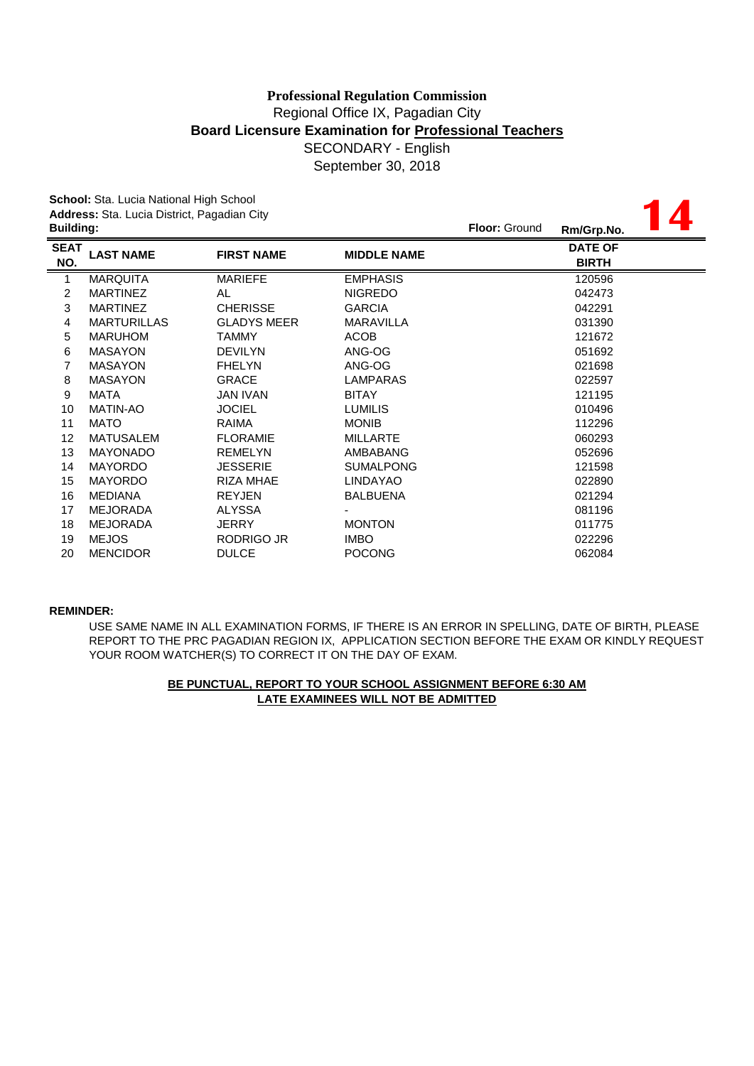**14**

**School:** Sta. Lucia National High School **Address:** Sta. Lucia District, Pagadian City

| <b>Building:</b>   |                    |                    |                    | <b>Floor: Ground</b><br>Rm/Grp.No. |
|--------------------|--------------------|--------------------|--------------------|------------------------------------|
| <b>SEAT</b><br>NO. | <b>LAST NAME</b>   | <b>FIRST NAME</b>  | <b>MIDDLE NAME</b> | <b>DATE OF</b><br><b>BIRTH</b>     |
| 1                  | <b>MARQUITA</b>    | <b>MARIEFE</b>     | <b>EMPHASIS</b>    | 120596                             |
| 2                  | <b>MARTINEZ</b>    | AL                 | <b>NIGREDO</b>     | 042473                             |
| 3                  | <b>MARTINEZ</b>    | <b>CHERISSE</b>    | <b>GARCIA</b>      | 042291                             |
| 4                  | <b>MARTURILLAS</b> | <b>GLADYS MEER</b> | <b>MARAVILLA</b>   | 031390                             |
| 5                  | <b>MARUHOM</b>     | <b>TAMMY</b>       | <b>ACOB</b>        | 121672                             |
| 6                  | <b>MASAYON</b>     | <b>DEVILYN</b>     | ANG-OG             | 051692                             |
| 7                  | <b>MASAYON</b>     | <b>FHELYN</b>      | ANG-OG             | 021698                             |
| 8                  | <b>MASAYON</b>     | <b>GRACE</b>       | LAMPARAS           | 022597                             |
| 9                  | MATA               | <b>JAN IVAN</b>    | <b>BITAY</b>       | 121195                             |
| 10                 | <b>MATIN-AO</b>    | <b>JOCIEL</b>      | <b>LUMILIS</b>     | 010496                             |
| 11                 | <b>MATO</b>        | <b>RAIMA</b>       | <b>MONIB</b>       | 112296                             |
| 12                 | <b>MATUSALEM</b>   | <b>FLORAMIE</b>    | <b>MILLARTE</b>    | 060293                             |
| 13                 | <b>MAYONADO</b>    | <b>REMELYN</b>     | AMBABANG           | 052696                             |
| 14                 | <b>MAYORDO</b>     | <b>JESSERIE</b>    | <b>SUMALPONG</b>   | 121598                             |
| 15                 | <b>MAYORDO</b>     | <b>RIZA MHAE</b>   | <b>LINDAYAO</b>    | 022890                             |
| 16                 | <b>MEDIANA</b>     | <b>REYJEN</b>      | <b>BALBUENA</b>    | 021294                             |
| 17                 | <b>MEJORADA</b>    | <b>ALYSSA</b>      |                    | 081196                             |
| 18                 | <b>MEJORADA</b>    | <b>JERRY</b>       | <b>MONTON</b>      | 011775                             |
| 19                 | <b>MEJOS</b>       | RODRIGO JR         | <b>IMBO</b>        | 022296                             |
| 20                 | <b>MENCIDOR</b>    | <b>DULCE</b>       | <b>POCONG</b>      | 062084                             |
|                    |                    |                    |                    |                                    |

### **REMINDER:**

REPORT TO THE PRC PAGADIAN REGION IX, APPLICATION SECTION BEFORE THE EXAM OR KINDLY REQUEST YOUR ROOM WATCHER(S) TO CORRECT IT ON THE DAY OF EXAM. USE SAME NAME IN ALL EXAMINATION FORMS, IF THERE IS AN ERROR IN SPELLING, DATE OF BIRTH, PLEASE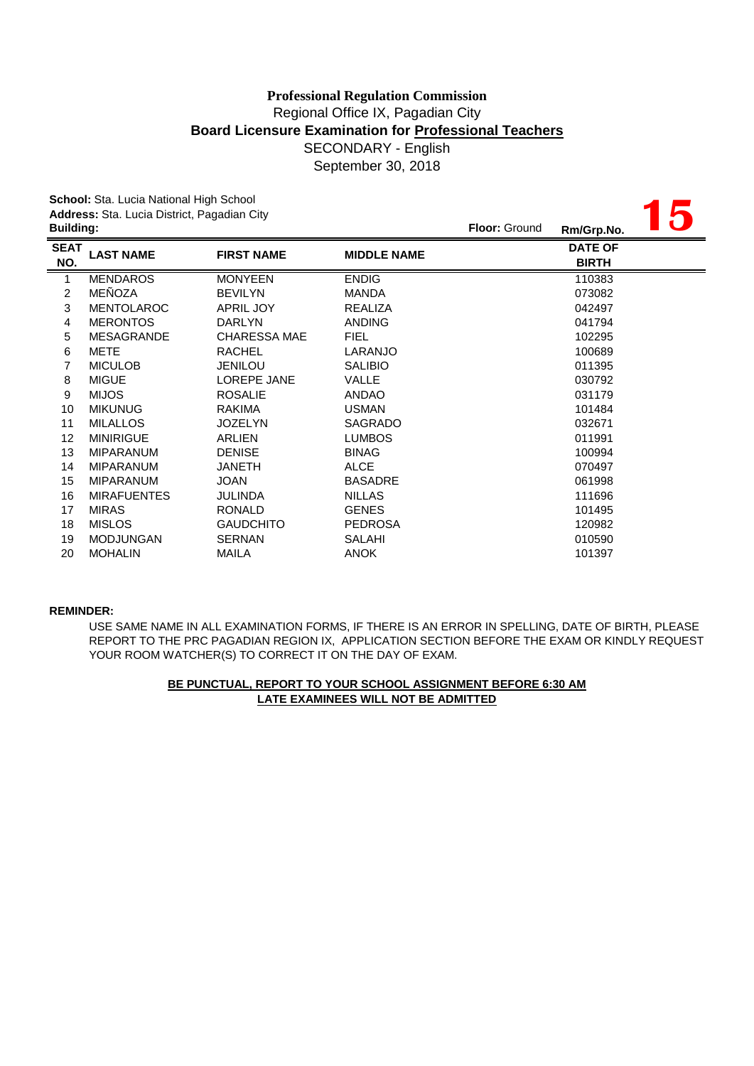September 30, 2018

**15**

**School:** Sta. Lucia National High School **Address:** Sta. Lucia District, Pagadian City

| <b>Building:</b>   |                    |                     |                    | <b>Floor: Ground</b> | Rm/Grp.No.                     | HI UZ |
|--------------------|--------------------|---------------------|--------------------|----------------------|--------------------------------|-------|
| <b>SEAT</b><br>NO. | <b>LAST NAME</b>   | <b>FIRST NAME</b>   | <b>MIDDLE NAME</b> |                      | <b>DATE OF</b><br><b>BIRTH</b> |       |
| 1                  | <b>MENDAROS</b>    | <b>MONYEEN</b>      | <b>ENDIG</b>       |                      | 110383                         |       |
| 2                  | MEÑOZA             | <b>BEVILYN</b>      | <b>MANDA</b>       |                      | 073082                         |       |
| 3                  | <b>MENTOLAROC</b>  | <b>APRIL JOY</b>    | <b>REALIZA</b>     |                      | 042497                         |       |
| 4                  | <b>MERONTOS</b>    | <b>DARLYN</b>       | <b>ANDING</b>      |                      | 041794                         |       |
| 5                  | <b>MESAGRANDE</b>  | <b>CHARESSA MAE</b> | <b>FIEL</b>        |                      | 102295                         |       |
| 6                  | <b>METE</b>        | <b>RACHEL</b>       | LARANJO            |                      | 100689                         |       |
| 7                  | <b>MICULOB</b>     | <b>JENILOU</b>      | <b>SALIBIO</b>     |                      | 011395                         |       |
| 8                  | <b>MIGUE</b>       | <b>LOREPE JANE</b>  | VALLE              |                      | 030792                         |       |
| 9                  | <b>MIJOS</b>       | <b>ROSALIE</b>      | <b>ANDAO</b>       |                      | 031179                         |       |
| 10                 | <b>MIKUNUG</b>     | <b>RAKIMA</b>       | <b>USMAN</b>       |                      | 101484                         |       |
| 11                 | <b>MILALLOS</b>    | <b>JOZELYN</b>      | SAGRADO            |                      | 032671                         |       |
| 12                 | <b>MINIRIGUE</b>   | <b>ARLIEN</b>       | <b>LUMBOS</b>      |                      | 011991                         |       |
| 13                 | <b>MIPARANUM</b>   | <b>DENISE</b>       | <b>BINAG</b>       |                      | 100994                         |       |
| 14                 | <b>MIPARANUM</b>   | <b>JANETH</b>       | <b>ALCE</b>        |                      | 070497                         |       |
| 15                 | <b>MIPARANUM</b>   | <b>JOAN</b>         | <b>BASADRE</b>     |                      | 061998                         |       |
| 16                 | <b>MIRAFUENTES</b> | <b>JULINDA</b>      | <b>NILLAS</b>      |                      | 111696                         |       |
| 17                 | <b>MIRAS</b>       | <b>RONALD</b>       | <b>GENES</b>       |                      | 101495                         |       |
| 18                 | <b>MISLOS</b>      | <b>GAUDCHITO</b>    | <b>PEDROSA</b>     |                      | 120982                         |       |
| 19                 | <b>MODJUNGAN</b>   | <b>SERNAN</b>       | SALAHI             |                      | 010590                         |       |
| 20                 | <b>MOHALIN</b>     | MAILA               | <b>ANOK</b>        |                      | 101397                         |       |
|                    |                    |                     |                    |                      |                                |       |

### **REMINDER:**

YOUR ROOM WATCHER(S) TO CORRECT IT ON THE DAY OF EXAM. USE SAME NAME IN ALL EXAMINATION FORMS, IF THERE IS AN ERROR IN SPELLING, DATE OF BIRTH, PLEASE REPORT TO THE PRC PAGADIAN REGION IX, APPLICATION SECTION BEFORE THE EXAM OR KINDLY REQUEST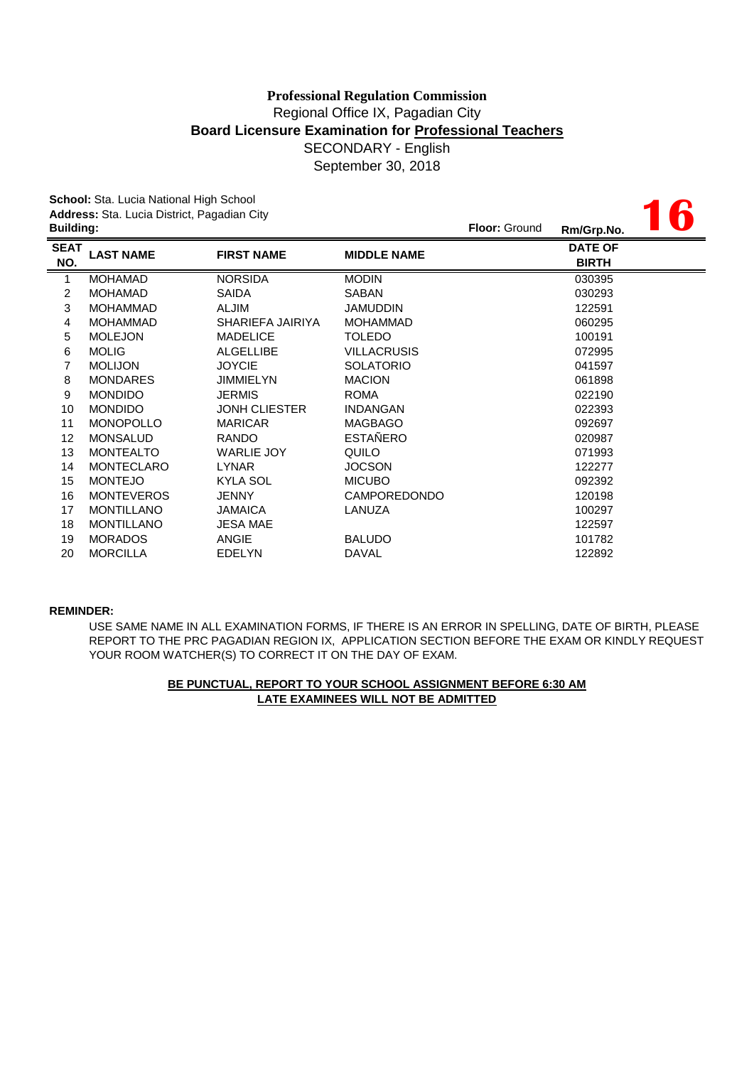**16**

**School:** Sta. Lucia National High School **Address:** Sta. Lucia District, Pagadian City

| <b>Building:</b>  |                      |                     | <b>Floor: Ground</b> | Rm/Grp.No.                     | W. |
|-------------------|----------------------|---------------------|----------------------|--------------------------------|----|
| <b>LAST NAME</b>  | <b>FIRST NAME</b>    | <b>MIDDLE NAME</b>  |                      | <b>DATE OF</b><br><b>BIRTH</b> |    |
| <b>MOHAMAD</b>    | <b>NORSIDA</b>       | <b>MODIN</b>        |                      | 030395                         |    |
| <b>MOHAMAD</b>    | <b>SAIDA</b>         | SABAN               |                      | 030293                         |    |
| <b>MOHAMMAD</b>   | <b>ALJIM</b>         | <b>JAMUDDIN</b>     |                      | 122591                         |    |
| <b>MOHAMMAD</b>   | SHARIEFA JAIRIYA     | <b>MOHAMMAD</b>     |                      | 060295                         |    |
| <b>MOLEJON</b>    | <b>MADELICE</b>      | <b>TOLEDO</b>       |                      | 100191                         |    |
| <b>MOLIG</b>      | <b>ALGELLIBE</b>     | <b>VILLACRUSIS</b>  |                      | 072995                         |    |
| <b>MOLIJON</b>    | <b>JOYCIE</b>        | <b>SOLATORIO</b>    |                      | 041597                         |    |
| <b>MONDARES</b>   | <b>JIMMIELYN</b>     | <b>MACION</b>       |                      | 061898                         |    |
| <b>MONDIDO</b>    | <b>JERMIS</b>        | <b>ROMA</b>         |                      | 022190                         |    |
| <b>MONDIDO</b>    | <b>JONH CLIESTER</b> | <b>INDANGAN</b>     |                      | 022393                         |    |
| <b>MONOPOLLO</b>  | <b>MARICAR</b>       | <b>MAGBAGO</b>      |                      | 092697                         |    |
| <b>MONSALUD</b>   | <b>RANDO</b>         | <b>ESTAÑERO</b>     |                      | 020987                         |    |
| <b>MONTEALTO</b>  | <b>WARLIE JOY</b>    | QUILO               |                      | 071993                         |    |
| <b>MONTECLARO</b> | <b>LYNAR</b>         | <b>JOCSON</b>       |                      | 122277                         |    |
| <b>MONTEJO</b>    | <b>KYLA SOL</b>      | <b>MICUBO</b>       |                      | 092392                         |    |
| <b>MONTEVEROS</b> | <b>JENNY</b>         | <b>CAMPOREDONDO</b> |                      | 120198                         |    |
| <b>MONTILLANO</b> | <b>JAMAICA</b>       | LANUZA              |                      | 100297                         |    |
| <b>MONTILLANO</b> | <b>JESA MAE</b>      |                     |                      | 122597                         |    |
| <b>MORADOS</b>    | ANGIE                | <b>BALUDO</b>       |                      | 101782                         |    |
| <b>MORCILLA</b>   | <b>EDELYN</b>        | <b>DAVAL</b>        |                      | 122892                         |    |
|                   |                      |                     |                      |                                |    |

### **REMINDER:**

USE SAME NAME IN ALL EXAMINATION FORMS, IF THERE IS AN ERROR IN SPELLING, DATE OF BIRTH, PLEASE REPORT TO THE PRC PAGADIAN REGION IX, APPLICATION SECTION BEFORE THE EXAM OR KINDLY REQUEST YOUR ROOM WATCHER(S) TO CORRECT IT ON THE DAY OF EXAM.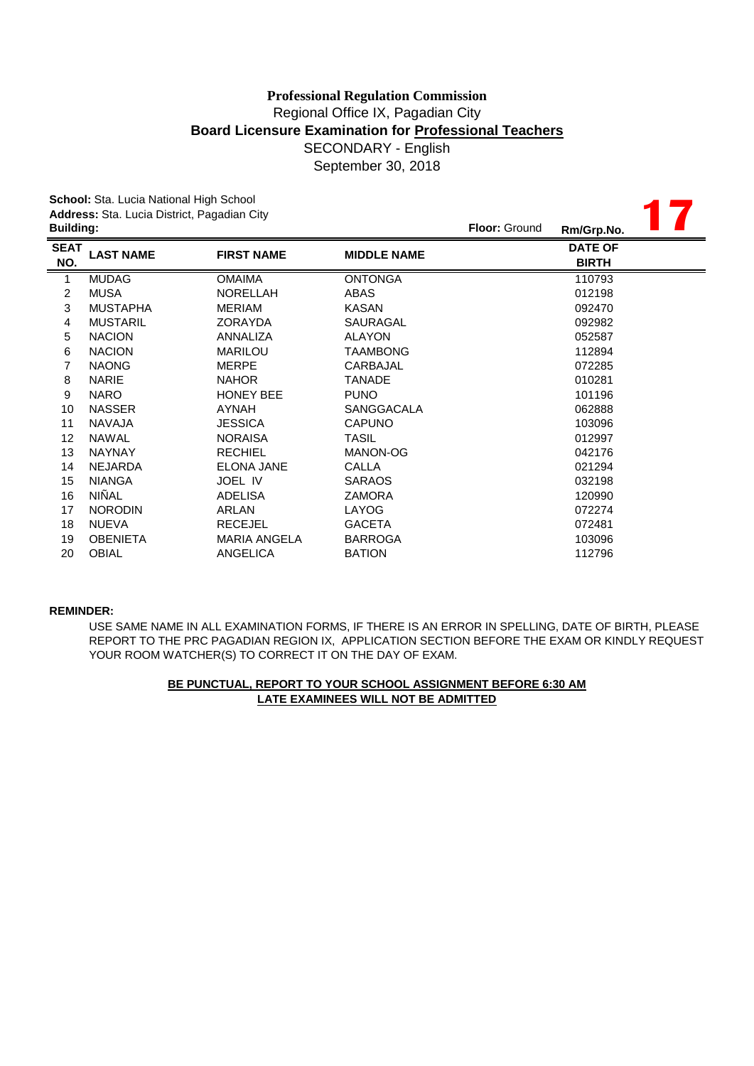|                  | School: Sta. Lucia National High School     |                     |                    |               |                |  |
|------------------|---------------------------------------------|---------------------|--------------------|---------------|----------------|--|
|                  | Address: Sta. Lucia District, Pagadian City |                     |                    | Floor: Ground |                |  |
| <b>Building:</b> |                                             |                     |                    |               | Rm/Grp.No.     |  |
| <b>SEAT</b>      | <b>LAST NAME</b>                            | <b>FIRST NAME</b>   | <b>MIDDLE NAME</b> |               | <b>DATE OF</b> |  |
| NO.              |                                             |                     |                    |               | <b>BIRTH</b>   |  |
| 1                | <b>MUDAG</b>                                | <b>OMAIMA</b>       | <b>ONTONGA</b>     |               | 110793         |  |
| 2                | <b>MUSA</b>                                 | <b>NORELLAH</b>     | ABAS               |               | 012198         |  |
| 3                | <b>MUSTAPHA</b>                             | <b>MERIAM</b>       | <b>KASAN</b>       |               | 092470         |  |
| 4                | <b>MUSTARIL</b>                             | ZORAYDA             | SAURAGAL           |               | 092982         |  |
| 5                | <b>NACION</b>                               | ANNALIZA            | <b>ALAYON</b>      |               | 052587         |  |
| 6                | <b>NACION</b>                               | <b>MARILOU</b>      | <b>TAAMBONG</b>    |               | 112894         |  |
| 7                | <b>NAONG</b>                                | <b>MERPE</b>        | CARBAJAL           |               | 072285         |  |
| 8                | <b>NARIE</b>                                | <b>NAHOR</b>        | <b>TANADE</b>      |               | 010281         |  |
| 9                | <b>NARO</b>                                 | <b>HONEY BEE</b>    | <b>PUNO</b>        |               | 101196         |  |
| 10               | <b>NASSER</b>                               | <b>AYNAH</b>        | SANGGACALA         |               | 062888         |  |
| 11               | <b>NAVAJA</b>                               | <b>JESSICA</b>      | <b>CAPUNO</b>      |               | 103096         |  |
| 12               | <b>NAWAL</b>                                | <b>NORAISA</b>      | <b>TASIL</b>       |               | 012997         |  |
| 13               | <b>NAYNAY</b>                               | <b>RECHIEL</b>      | MANON-OG           |               | 042176         |  |
| 14               | <b>NEJARDA</b>                              | <b>ELONA JANE</b>   | CALLA              |               | 021294         |  |
| 15               | <b>NIANGA</b>                               | JOEL IV             | <b>SARAOS</b>      |               | 032198         |  |
| 16               | <b>NIÑAL</b>                                | <b>ADELISA</b>      | <b>ZAMORA</b>      |               | 120990         |  |
| 17               | <b>NORODIN</b>                              | ARLAN               | LAYOG              |               | 072274         |  |
| 18               | <b>NUEVA</b>                                | <b>RECEJEL</b>      | <b>GACETA</b>      |               | 072481         |  |
| 19               | <b>OBENIETA</b>                             | <b>MARIA ANGELA</b> | <b>BARROGA</b>     |               | 103096         |  |
| 20               | <b>OBIAL</b>                                | <b>ANGELICA</b>     | <b>BATION</b>      |               | 112796         |  |

### **REMINDER:**

USE SAME NAME IN ALL EXAMINATION FORMS, IF THERE IS AN ERROR IN SPELLING, DATE OF BIRTH, PLEASE REPORT TO THE PRC PAGADIAN REGION IX, APPLICATION SECTION BEFORE THE EXAM OR KINDLY REQUEST YOUR ROOM WATCHER(S) TO CORRECT IT ON THE DAY OF EXAM.

# **LATE EXAMINEES WILL NOT BE ADMITTED BE PUNCTUAL, REPORT TO YOUR SCHOOL ASSIGNMENT BEFORE 6:30 AM**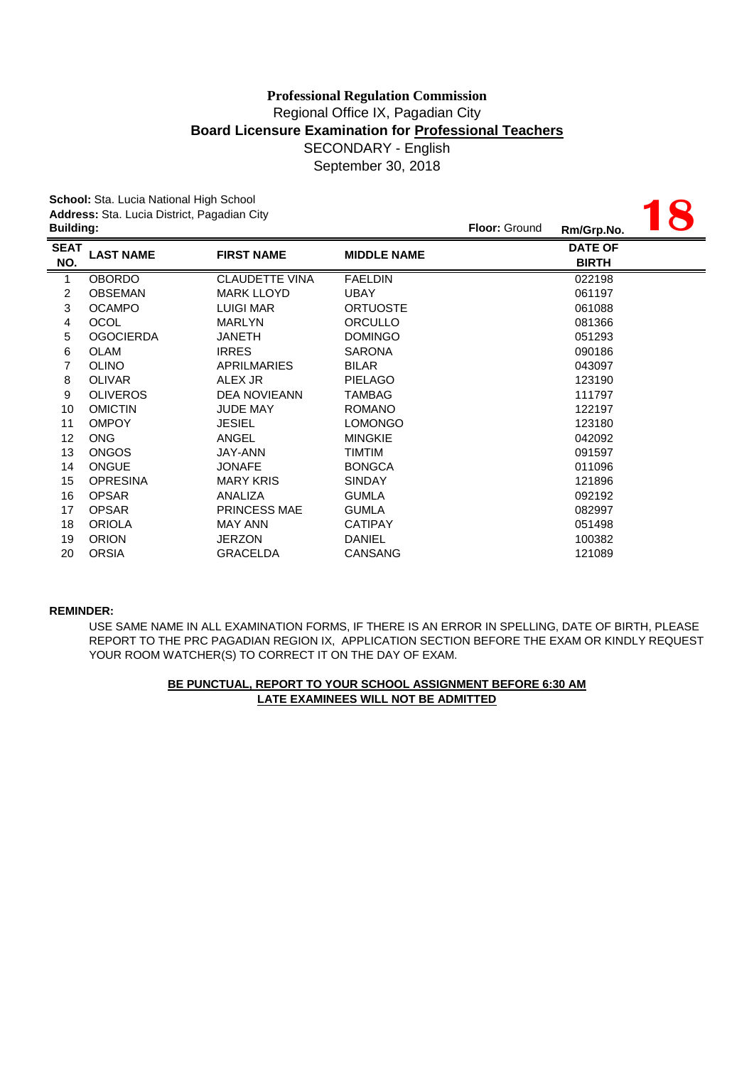September 30, 2018

|                  | School: Sta. Lucia National High School     |                       |                    |                      |                |  |
|------------------|---------------------------------------------|-----------------------|--------------------|----------------------|----------------|--|
|                  | Address: Sta. Lucia District, Pagadian City |                       |                    |                      |                |  |
| <b>Building:</b> |                                             |                       |                    | <b>Floor: Ground</b> | Rm/Grp.No.     |  |
| <b>SEAT</b>      | <b>LAST NAME</b>                            | <b>FIRST NAME</b>     | <b>MIDDLE NAME</b> |                      | <b>DATE OF</b> |  |
| NO.              |                                             |                       |                    |                      | <b>BIRTH</b>   |  |
| 1                | <b>OBORDO</b>                               | <b>CLAUDETTE VINA</b> | <b>FAELDIN</b>     |                      | 022198         |  |
| 2                | <b>OBSEMAN</b>                              | <b>MARK LLOYD</b>     | <b>UBAY</b>        |                      | 061197         |  |
| $\mathbf{3}$     | <b>OCAMPO</b>                               | <b>LUIGI MAR</b>      | <b>ORTUOSTE</b>    |                      | 061088         |  |
| $\overline{4}$   | <b>OCOL</b>                                 | <b>MARLYN</b>         | <b>ORCULLO</b>     |                      | 081366         |  |
| 5                | <b>OGOCIERDA</b>                            | <b>JANETH</b>         | <b>DOMINGO</b>     |                      | 051293         |  |
| 6                | <b>OLAM</b>                                 | <b>IRRES</b>          | <b>SARONA</b>      |                      | 090186         |  |
| 7                | <b>OLINO</b>                                | <b>APRILMARIES</b>    | <b>BILAR</b>       |                      | 043097         |  |
| 8                | <b>OLIVAR</b>                               | ALEX JR               | <b>PIELAGO</b>     |                      | 123190         |  |
| 9                | <b>OLIVEROS</b>                             | <b>DEA NOVIEANN</b>   | <b>TAMBAG</b>      |                      | 111797         |  |
| 10               | <b>OMICTIN</b>                              | <b>JUDE MAY</b>       | <b>ROMANO</b>      |                      | 122197         |  |
| 11               | <b>OMPOY</b>                                | <b>JESIEL</b>         | <b>LOMONGO</b>     |                      | 123180         |  |
| 12               | <b>ONG</b>                                  | ANGEL                 | <b>MINGKIE</b>     |                      | 042092         |  |
| 13               | <b>ONGOS</b>                                | JAY-ANN               | <b>TIMTIM</b>      |                      | 091597         |  |
| 14               | <b>ONGUE</b>                                | <b>JONAFE</b>         | <b>BONGCA</b>      |                      | 011096         |  |
| 15               | <b>OPRESINA</b>                             | <b>MARY KRIS</b>      | <b>SINDAY</b>      |                      | 121896         |  |
| 16               | <b>OPSAR</b>                                | ANALIZA               | <b>GUMLA</b>       |                      | 092192         |  |
| 17               | <b>OPSAR</b>                                | <b>PRINCESS MAE</b>   | <b>GUMLA</b>       |                      | 082997         |  |
| 18               | <b>ORIOLA</b>                               | <b>MAY ANN</b>        | <b>CATIPAY</b>     |                      | 051498         |  |
| 19               | <b>ORION</b>                                | <b>JERZON</b>         | <b>DANIEL</b>      |                      | 100382         |  |
| 20               | <b>ORSIA</b>                                | <b>GRACELDA</b>       | <b>CANSANG</b>     |                      | 121089         |  |

#### **REMINDER:**

USE SAME NAME IN ALL EXAMINATION FORMS, IF THERE IS AN ERROR IN SPELLING, DATE OF BIRTH, PLEASE REPORT TO THE PRC PAGADIAN REGION IX, APPLICATION SECTION BEFORE THE EXAM OR KINDLY REQUEST YOUR ROOM WATCHER(S) TO CORRECT IT ON THE DAY OF EXAM.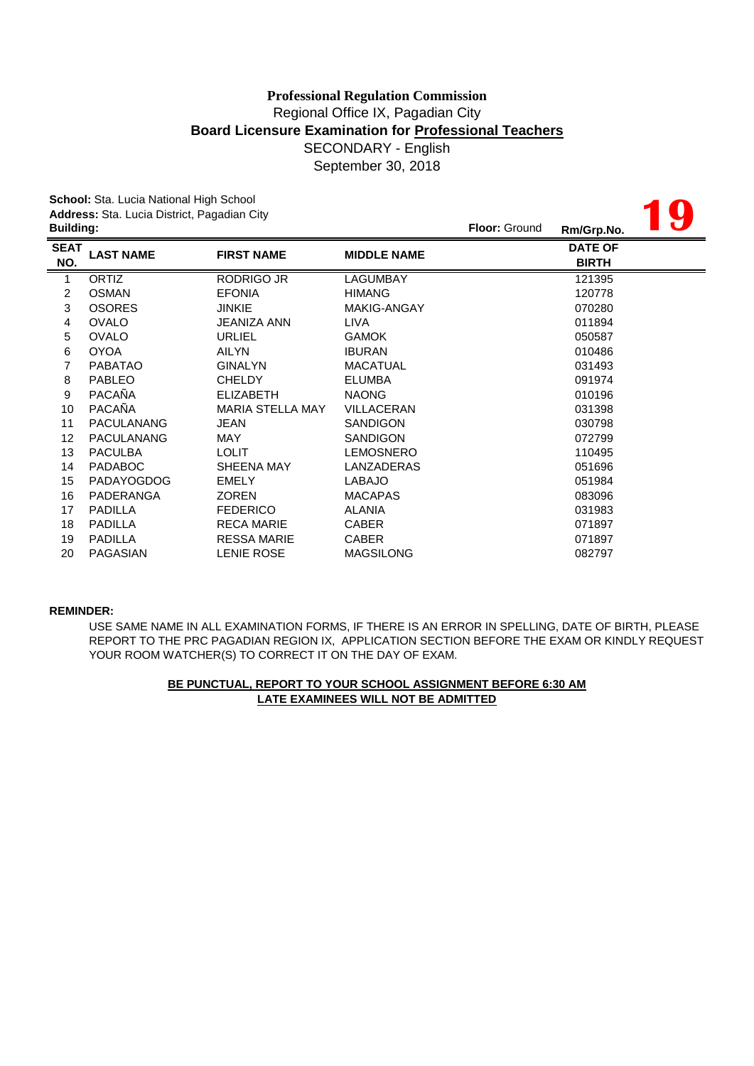**19**

**School:** Sta. Lucia National High School **Address:** Sta. Lucia District, Pagadian City

| <b>Building:</b>   |                   |                         |                    | <b>Floor: Ground</b> | Rm/Grp.No.                     | $\bullet$ |
|--------------------|-------------------|-------------------------|--------------------|----------------------|--------------------------------|-----------|
| <b>SEAT</b><br>NO. | <b>LAST NAME</b>  | <b>FIRST NAME</b>       | <b>MIDDLE NAME</b> |                      | <b>DATE OF</b><br><b>BIRTH</b> |           |
| 1                  | <b>ORTIZ</b>      | RODRIGO JR              | LAGUMBAY           |                      | 121395                         |           |
| 2                  | <b>OSMAN</b>      | <b>EFONIA</b>           | <b>HIMANG</b>      |                      | 120778                         |           |
| 3                  | <b>OSORES</b>     | <b>JINKIE</b>           | MAKIG-ANGAY        |                      | 070280                         |           |
| 4                  | <b>OVALO</b>      | <b>JEANIZA ANN</b>      | <b>LIVA</b>        |                      | 011894                         |           |
| 5                  | <b>OVALO</b>      | <b>URLIEL</b>           | <b>GAMOK</b>       |                      | 050587                         |           |
| 6                  | <b>OYOA</b>       | AILYN                   | <b>IBURAN</b>      |                      | 010486                         |           |
| 7                  | <b>PABATAO</b>    | <b>GINALYN</b>          | <b>MACATUAL</b>    |                      | 031493                         |           |
| 8                  | <b>PABLEO</b>     | <b>CHELDY</b>           | <b>ELUMBA</b>      |                      | 091974                         |           |
| 9                  | <b>PACAÑA</b>     | <b>ELIZABETH</b>        | <b>NAONG</b>       |                      | 010196                         |           |
| 10                 | PACAÑA            | <b>MARIA STELLA MAY</b> | <b>VILLACERAN</b>  |                      | 031398                         |           |
| 11                 | <b>PACULANANG</b> | <b>JEAN</b>             | <b>SANDIGON</b>    |                      | 030798                         |           |
| 12                 | <b>PACULANANG</b> | MAY                     | <b>SANDIGON</b>    |                      | 072799                         |           |
| 13                 | <b>PACULBA</b>    | <b>LOLIT</b>            | <b>LEMOSNERO</b>   |                      | 110495                         |           |
| 14                 | <b>PADABOC</b>    | SHEENA MAY              | LANZADERAS         |                      | 051696                         |           |
| 15                 | <b>PADAYOGDOG</b> | <b>EMELY</b>            | <b>LABAJO</b>      |                      | 051984                         |           |
| 16                 | PADERANGA         | <b>ZOREN</b>            | <b>MACAPAS</b>     |                      | 083096                         |           |
| 17                 | <b>PADILLA</b>    | <b>FEDERICO</b>         | <b>ALANIA</b>      |                      | 031983                         |           |
| 18                 | <b>PADILLA</b>    | <b>RECA MARIE</b>       | <b>CABER</b>       |                      | 071897                         |           |
| 19                 | <b>PADILLA</b>    | <b>RESSA MARIE</b>      | <b>CABER</b>       |                      | 071897                         |           |
| 20                 | PAGASIAN          | <b>LENIE ROSE</b>       | <b>MAGSILONG</b>   |                      | 082797                         |           |

### **REMINDER:**

USE SAME NAME IN ALL EXAMINATION FORMS, IF THERE IS AN ERROR IN SPELLING, DATE OF BIRTH, PLEASE REPORT TO THE PRC PAGADIAN REGION IX, APPLICATION SECTION BEFORE THE EXAM OR KINDLY REQUEST YOUR ROOM WATCHER(S) TO CORRECT IT ON THE DAY OF EXAM.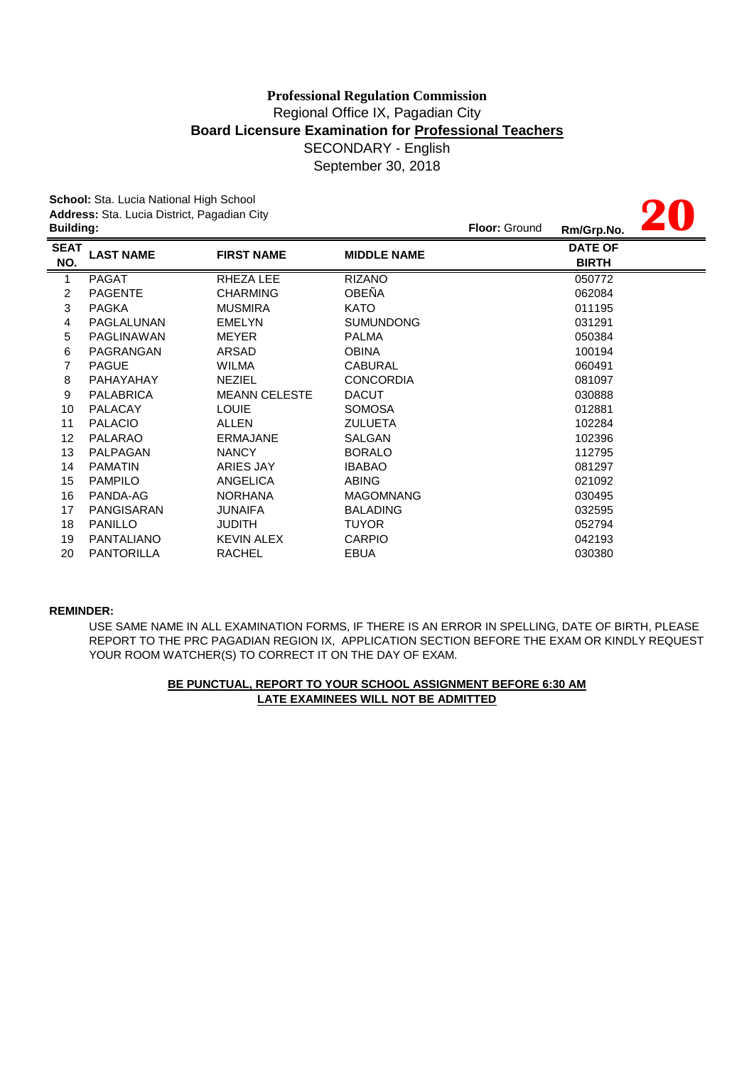# Regional Office IX, Pagadian City **Board Licensure Examination for Professional Teachers** SECONDARY - English September 30, 2018 **Professional Regulation Commission**

|                  | School: Sta. Lucia National High School     |                      |                    |               |                |  |
|------------------|---------------------------------------------|----------------------|--------------------|---------------|----------------|--|
|                  | Address: Sta. Lucia District, Pagadian City |                      |                    |               |                |  |
| <b>Building:</b> |                                             |                      |                    | Floor: Ground | Rm/Grp.No.     |  |
| <b>SEAT</b>      | <b>LAST NAME</b>                            | <b>FIRST NAME</b>    | <b>MIDDLE NAME</b> |               | <b>DATE OF</b> |  |
| NO.              |                                             |                      |                    |               | <b>BIRTH</b>   |  |
| 1                | <b>PAGAT</b>                                | RHEZA LEE            | <b>RIZANO</b>      |               | 050772         |  |
| 2                | <b>PAGENTE</b>                              | <b>CHARMING</b>      | OBEÑA              |               | 062084         |  |
| 3                | <b>PAGKA</b>                                | <b>MUSMIRA</b>       | <b>KATO</b>        |               | 011195         |  |
| 4                | PAGLALUNAN                                  | <b>EMELYN</b>        | <b>SUMUNDONG</b>   |               | 031291         |  |
| 5                | <b>PAGLINAWAN</b>                           | <b>MEYER</b>         | <b>PALMA</b>       |               | 050384         |  |
| 6                | PAGRANGAN                                   | ARSAD                | <b>OBINA</b>       |               | 100194         |  |
| 7                | <b>PAGUE</b>                                | <b>WILMA</b>         | <b>CABURAL</b>     |               | 060491         |  |
| 8                | PAHAYAHAY                                   | <b>NEZIEL</b>        | <b>CONCORDIA</b>   |               | 081097         |  |
| 9                | <b>PALABRICA</b>                            | <b>MEANN CELESTE</b> | <b>DACUT</b>       |               | 030888         |  |
| 10               | <b>PALACAY</b>                              | <b>LOUIE</b>         | <b>SOMOSA</b>      |               | 012881         |  |
| 11               | <b>PALACIO</b>                              | ALLEN                | <b>ZULUETA</b>     |               | 102284         |  |
| 12               | <b>PALARAO</b>                              | <b>ERMAJANE</b>      | <b>SALGAN</b>      |               | 102396         |  |
| 13               | PALPAGAN                                    | <b>NANCY</b>         | <b>BORALO</b>      |               | 112795         |  |
| 14               | <b>PAMATIN</b>                              | ARIES JAY            | <b>IBABAO</b>      |               | 081297         |  |
| 15               | <b>PAMPILO</b>                              | <b>ANGELICA</b>      | <b>ABING</b>       |               | 021092         |  |
| 16               | PANDA-AG                                    | <b>NORHANA</b>       | <b>MAGOMNANG</b>   |               | 030495         |  |
| 17               | <b>PANGISARAN</b>                           | JUNAIFA              | <b>BALADING</b>    |               | 032595         |  |
| 18               | <b>PANILLO</b>                              | <b>JUDITH</b>        | <b>TUYOR</b>       |               | 052794         |  |
| 19               | <b>PANTALIANO</b>                           | <b>KEVIN ALEX</b>    | <b>CARPIO</b>      |               | 042193         |  |
| 20               | <b>PANTORILLA</b>                           | <b>RACHEL</b>        | <b>EBUA</b>        |               | 030380         |  |

### **REMINDER:**

USE SAME NAME IN ALL EXAMINATION FORMS, IF THERE IS AN ERROR IN SPELLING, DATE OF BIRTH, PLEASE REPORT TO THE PRC PAGADIAN REGION IX, APPLICATION SECTION BEFORE THE EXAM OR KINDLY REQUEST YOUR ROOM WATCHER(S) TO CORRECT IT ON THE DAY OF EXAM.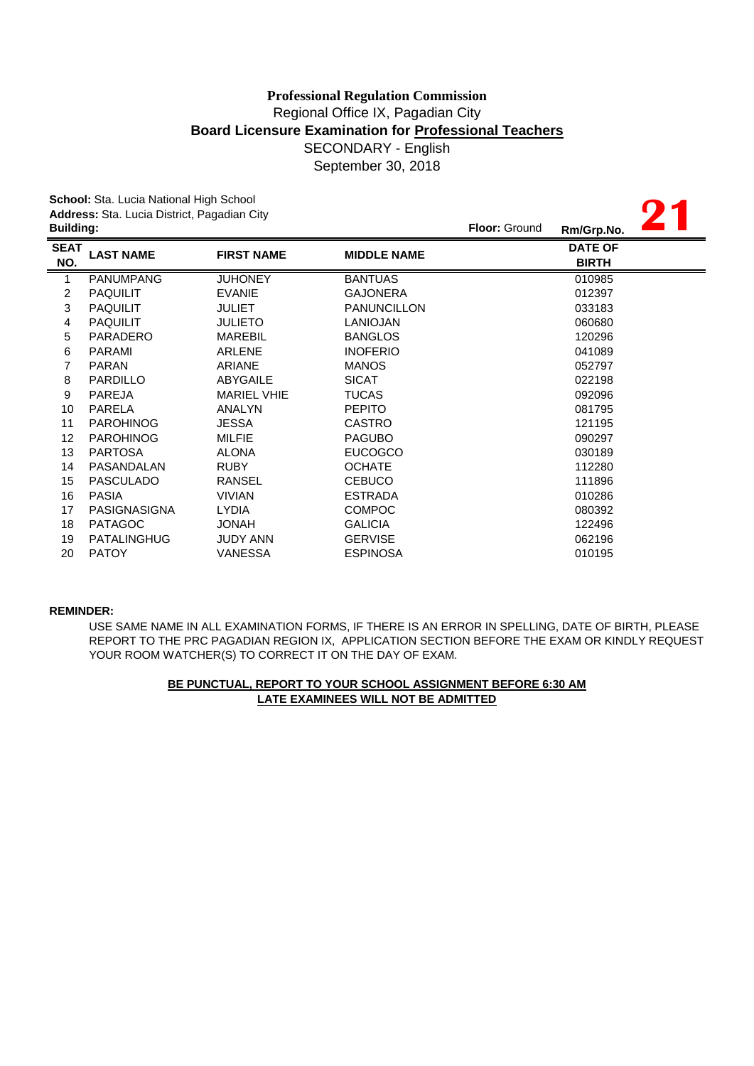# **Board Licensure Examination for Professional Teachers** SECONDARY - English **Professional Regulation Commission** Regional Office IX, Pagadian City

September 30, 2018

**21**

**School:** Sta. Lucia National High School **Address:** Sta. Lucia District, Pagadian City

|                    | <b>Address:</b> Sta. Lucia District, Pagadian City<br><b>Building:</b> |                    |                    |  | Rm/Grp.No.                     |  |
|--------------------|------------------------------------------------------------------------|--------------------|--------------------|--|--------------------------------|--|
| <b>SEAT</b><br>NO. | <b>LAST NAME</b>                                                       | <b>FIRST NAME</b>  | <b>MIDDLE NAME</b> |  | <b>DATE OF</b><br><b>BIRTH</b> |  |
| 1                  | <b>PANUMPANG</b>                                                       | <b>JUHONEY</b>     | <b>BANTUAS</b>     |  | 010985                         |  |
| $\overline{c}$     | <b>PAQUILIT</b>                                                        | <b>EVANIE</b>      | <b>GAJONERA</b>    |  | 012397                         |  |
| 3                  | <b>PAQUILIT</b>                                                        | <b>JULIET</b>      | <b>PANUNCILLON</b> |  | 033183                         |  |
| 4                  | <b>PAQUILIT</b>                                                        | <b>JULIETO</b>     | <b>LANIOJAN</b>    |  | 060680                         |  |
| 5                  | PARADERO                                                               | <b>MAREBIL</b>     | <b>BANGLOS</b>     |  | 120296                         |  |
| 6                  | PARAMI                                                                 | <b>ARLENE</b>      | <b>INOFERIO</b>    |  | 041089                         |  |
| 7                  | <b>PARAN</b>                                                           | <b>ARIANE</b>      | <b>MANOS</b>       |  | 052797                         |  |
| 8                  | <b>PARDILLO</b>                                                        | <b>ABYGAILE</b>    | <b>SICAT</b>       |  | 022198                         |  |
| 9                  | <b>PAREJA</b>                                                          | <b>MARIEL VHIE</b> | <b>TUCAS</b>       |  | 092096                         |  |
| 10                 | PARELA                                                                 | ANALYN             | <b>PEPITO</b>      |  | 081795                         |  |
| 11                 | <b>PAROHINOG</b>                                                       | JESSA              | <b>CASTRO</b>      |  | 121195                         |  |
| 12                 | <b>PAROHINOG</b>                                                       | <b>MILFIE</b>      | <b>PAGUBO</b>      |  | 090297                         |  |
| 13                 | <b>PARTOSA</b>                                                         | <b>ALONA</b>       | <b>EUCOGCO</b>     |  | 030189                         |  |
| 14                 | PASANDALAN                                                             | <b>RUBY</b>        | <b>OCHATE</b>      |  | 112280                         |  |
| 15                 | <b>PASCULADO</b>                                                       | <b>RANSEL</b>      | <b>CEBUCO</b>      |  | 111896                         |  |
| 16                 | <b>PASIA</b>                                                           | <b>VIVIAN</b>      | <b>ESTRADA</b>     |  | 010286                         |  |
| 17                 | PASIGNASIGNA                                                           | <b>LYDIA</b>       | <b>COMPOC</b>      |  | 080392                         |  |
| 18                 | <b>PATAGOC</b>                                                         | HANOL              | <b>GALICIA</b>     |  | 122496                         |  |
| 19                 | <b>PATALINGHUG</b>                                                     | <b>JUDY ANN</b>    | <b>GERVISE</b>     |  | 062196                         |  |
| 20                 | <b>PATOY</b>                                                           | <b>VANESSA</b>     | <b>ESPINOSA</b>    |  | 010195                         |  |

### **REMINDER:**

USE SAME NAME IN ALL EXAMINATION FORMS, IF THERE IS AN ERROR IN SPELLING, DATE OF BIRTH, PLEASE REPORT TO THE PRC PAGADIAN REGION IX, APPLICATION SECTION BEFORE THE EXAM OR KINDLY REQUEST YOUR ROOM WATCHER(S) TO CORRECT IT ON THE DAY OF EXAM.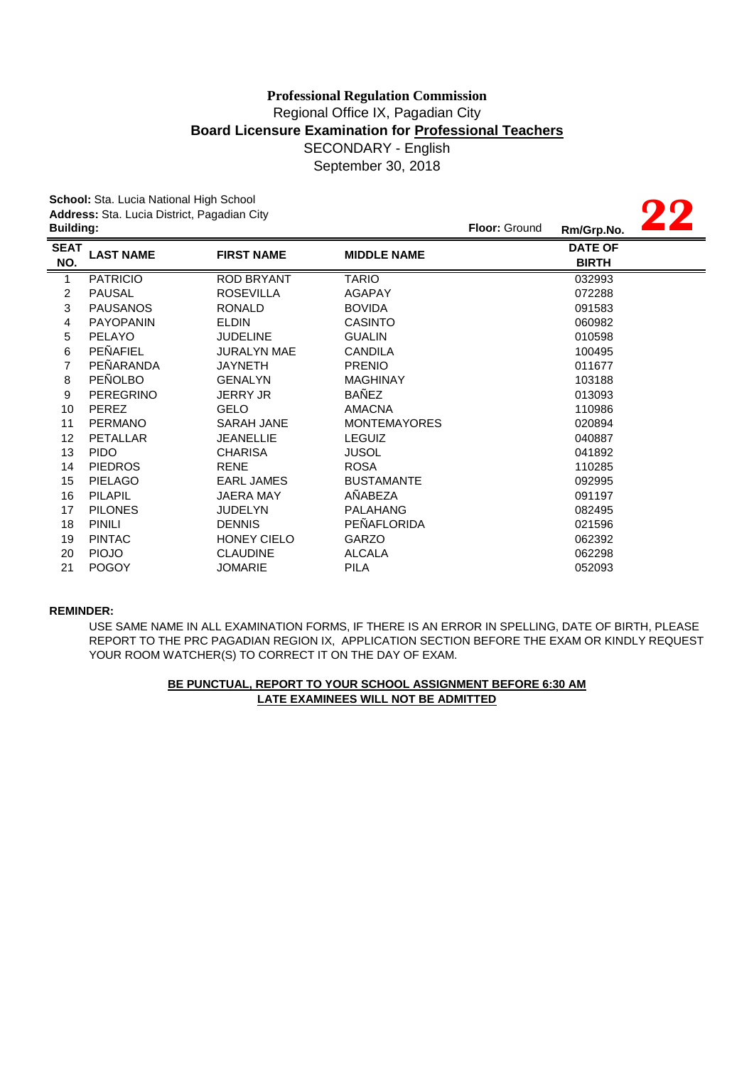# SECONDARY - English September 30, 2018 **Professional Regulation Commission** Regional Office IX, Pagadian City **Board Licensure Examination for Professional Teachers**

**School:** Sta. Lucia National High School **Address:** Sta. Lucia District, Pagadian City

|                    | <b>sonson</b> cla. Eacla Hallonar High Concor<br>Address: Sta. Lucia District, Pagadian City |                    |                     |            |                                |  |
|--------------------|----------------------------------------------------------------------------------------------|--------------------|---------------------|------------|--------------------------------|--|
| <b>Building:</b>   |                                                                                              |                    | Floor: Ground       | Rm/Grp.No. |                                |  |
| <b>SEAT</b><br>NO. | <b>LAST NAME</b>                                                                             | <b>FIRST NAME</b>  | <b>MIDDLE NAME</b>  |            | <b>DATE OF</b><br><b>BIRTH</b> |  |
| 1                  | <b>PATRICIO</b>                                                                              | <b>ROD BRYANT</b>  | <b>TARIO</b>        |            | 032993                         |  |
| 2                  | <b>PAUSAL</b>                                                                                | <b>ROSEVILLA</b>   | AGAPAY              |            | 072288                         |  |
| 3                  | <b>PAUSANOS</b>                                                                              | <b>RONALD</b>      | <b>BOVIDA</b>       |            | 091583                         |  |
| 4                  | <b>PAYOPANIN</b>                                                                             | <b>ELDIN</b>       | <b>CASINTO</b>      |            | 060982                         |  |
| 5                  | PELAYO                                                                                       | <b>JUDELINE</b>    | <b>GUALIN</b>       |            | 010598                         |  |
| 6                  | PEÑAFIEL                                                                                     | <b>JURALYN MAE</b> | <b>CANDILA</b>      |            | 100495                         |  |
| 7                  | PEÑARANDA                                                                                    | <b>JAYNETH</b>     | <b>PRENIO</b>       |            | 011677                         |  |
| 8                  | <b>PEÑOLBO</b>                                                                               | <b>GENALYN</b>     | <b>MAGHINAY</b>     |            | 103188                         |  |
| 9                  | <b>PEREGRINO</b>                                                                             | <b>JERRY JR</b>    | <b>BAÑEZ</b>        |            | 013093                         |  |
| 10                 | <b>PEREZ</b>                                                                                 | <b>GELO</b>        | <b>AMACNA</b>       |            | 110986                         |  |
| 11                 | <b>PERMANO</b>                                                                               | <b>SARAH JANE</b>  | <b>MONTEMAYORES</b> |            | 020894                         |  |
| 12                 | PETALLAR                                                                                     | <b>JEANELLIE</b>   | <b>LEGUIZ</b>       |            | 040887                         |  |
| 13                 | <b>PIDO</b>                                                                                  | <b>CHARISA</b>     | <b>JUSOL</b>        |            | 041892                         |  |
| 14                 | <b>PIEDROS</b>                                                                               | <b>RENE</b>        | <b>ROSA</b>         |            | 110285                         |  |
| 15                 | <b>PIELAGO</b>                                                                               | <b>EARL JAMES</b>  | <b>BUSTAMANTE</b>   |            | 092995                         |  |
| 16                 | <b>PILAPIL</b>                                                                               | <b>JAERA MAY</b>   | AÑABEZA             |            | 091197                         |  |
| 17                 | <b>PILONES</b>                                                                               | <b>JUDELYN</b>     | <b>PALAHANG</b>     |            | 082495                         |  |
| 18                 | <b>PINILI</b>                                                                                | <b>DENNIS</b>      | PEÑAFLORIDA         |            | 021596                         |  |
| 19                 | <b>PINTAC</b>                                                                                | <b>HONEY CIELO</b> | <b>GARZO</b>        |            | 062392                         |  |
| 20                 | <b>PIOJO</b>                                                                                 | <b>CLAUDINE</b>    | <b>ALCALA</b>       |            | 062298                         |  |
| 21                 | <b>POGOY</b>                                                                                 | <b>JOMARIE</b>     | <b>PILA</b>         |            | 052093                         |  |

### **REMINDER:**

USE SAME NAME IN ALL EXAMINATION FORMS, IF THERE IS AN ERROR IN SPELLING, DATE OF BIRTH, PLEASE REPORT TO THE PRC PAGADIAN REGION IX, APPLICATION SECTION BEFORE THE EXAM OR KINDLY REQUEST YOUR ROOM WATCHER(S) TO CORRECT IT ON THE DAY OF EXAM.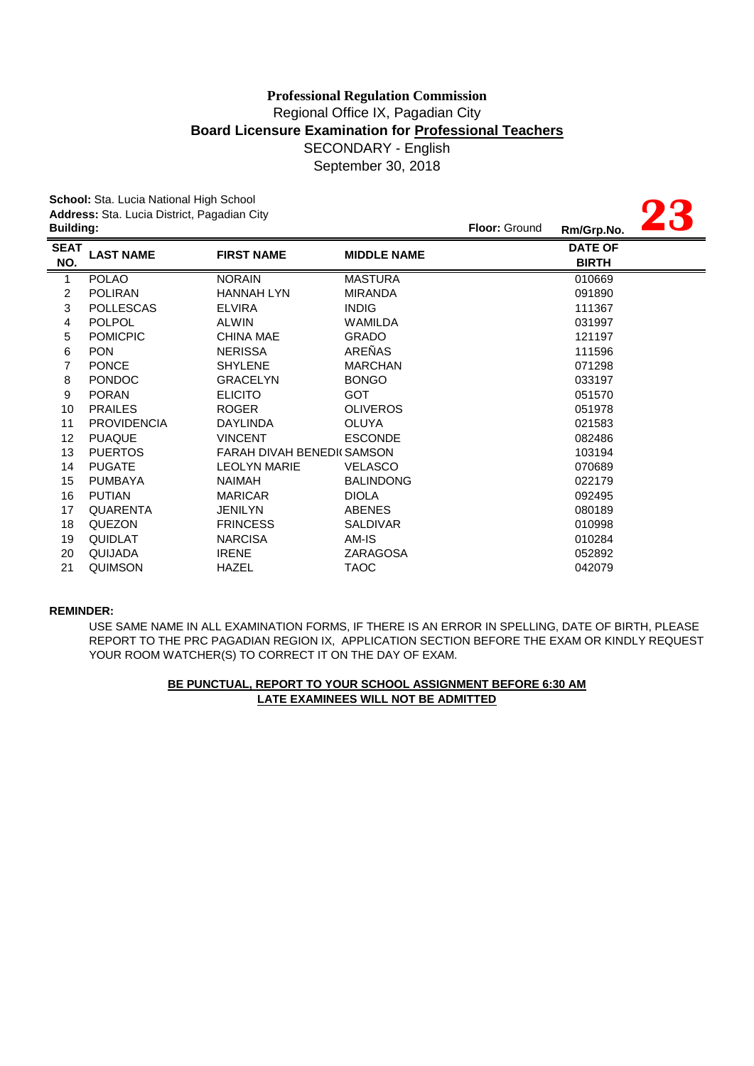September 30, 2018

|                    | School: Sta. Lucia National High School<br>Address: Sta. Lucia District, Pagadian City |                                  |                    |                      |                                |  |
|--------------------|----------------------------------------------------------------------------------------|----------------------------------|--------------------|----------------------|--------------------------------|--|
| <b>Building:</b>   |                                                                                        |                                  |                    | <b>Floor: Ground</b> | Rm/Grp.No.                     |  |
| <b>SEAT</b><br>NO. | <b>LAST NAME</b>                                                                       | <b>FIRST NAME</b>                | <b>MIDDLE NAME</b> |                      | <b>DATE OF</b><br><b>BIRTH</b> |  |
| 1                  | <b>POLAO</b>                                                                           | <b>NORAIN</b>                    | <b>MASTURA</b>     |                      | 010669                         |  |
| $\overline{2}$     | <b>POLIRAN</b>                                                                         | <b>HANNAH LYN</b>                | <b>MIRANDA</b>     |                      | 091890                         |  |
| 3                  | <b>POLLESCAS</b>                                                                       | <b>ELVIRA</b>                    | <b>INDIG</b>       |                      | 111367                         |  |
| 4                  | <b>POLPOL</b>                                                                          | <b>ALWIN</b>                     | WAMILDA            |                      | 031997                         |  |
| 5                  | <b>POMICPIC</b>                                                                        | <b>CHINA MAE</b>                 | <b>GRADO</b>       |                      | 121197                         |  |
| 6                  | <b>PON</b>                                                                             | <b>NERISSA</b>                   | AREÑAS             |                      | 111596                         |  |
| $\overline{7}$     | <b>PONCE</b>                                                                           | <b>SHYLENE</b>                   | <b>MARCHAN</b>     |                      | 071298                         |  |
| 8                  | <b>PONDOC</b>                                                                          | <b>GRACELYN</b>                  | <b>BONGO</b>       |                      | 033197                         |  |
| 9                  | <b>PORAN</b>                                                                           | <b>ELICITO</b>                   | <b>GOT</b>         |                      | 051570                         |  |
| 10                 | <b>PRAILES</b>                                                                         | <b>ROGER</b>                     | <b>OLIVEROS</b>    |                      | 051978                         |  |
| 11                 | <b>PROVIDENCIA</b>                                                                     | <b>DAYLINDA</b>                  | <b>OLUYA</b>       |                      | 021583                         |  |
| 12                 | <b>PUAQUE</b>                                                                          | <b>VINCENT</b>                   | <b>ESCONDE</b>     |                      | 082486                         |  |
| 13                 | <b>PUERTOS</b>                                                                         | <b>FARAH DIVAH BENEDI(SAMSON</b> |                    |                      | 103194                         |  |
| 14                 | <b>PUGATE</b>                                                                          | <b>LEOLYN MARIE</b>              | <b>VELASCO</b>     |                      | 070689                         |  |
| 15                 | <b>PUMBAYA</b>                                                                         | <b>NAIMAH</b>                    | <b>BALINDONG</b>   |                      | 022179                         |  |
| 16                 | <b>PUTIAN</b>                                                                          | <b>MARICAR</b>                   | <b>DIOLA</b>       |                      | 092495                         |  |
| 17                 | <b>QUARENTA</b>                                                                        | <b>JENILYN</b>                   | <b>ABENES</b>      |                      | 080189                         |  |
| 18                 | <b>QUEZON</b>                                                                          | <b>FRINCESS</b>                  | <b>SALDIVAR</b>    |                      | 010998                         |  |
| 19                 | <b>QUIDLAT</b>                                                                         | <b>NARCISA</b>                   | AM-IS              |                      | 010284                         |  |
| 20                 | QUIJADA                                                                                | <b>IRENE</b>                     | <b>ZARAGOSA</b>    |                      | 052892                         |  |
| 21                 | QUIMSON                                                                                | <b>HAZEL</b>                     | <b>TAOC</b>        |                      | 042079                         |  |

### **REMINDER:**

USE SAME NAME IN ALL EXAMINATION FORMS, IF THERE IS AN ERROR IN SPELLING, DATE OF BIRTH, PLEASE REPORT TO THE PRC PAGADIAN REGION IX, APPLICATION SECTION BEFORE THE EXAM OR KINDLY REQUEST YOUR ROOM WATCHER(S) TO CORRECT IT ON THE DAY OF EXAM.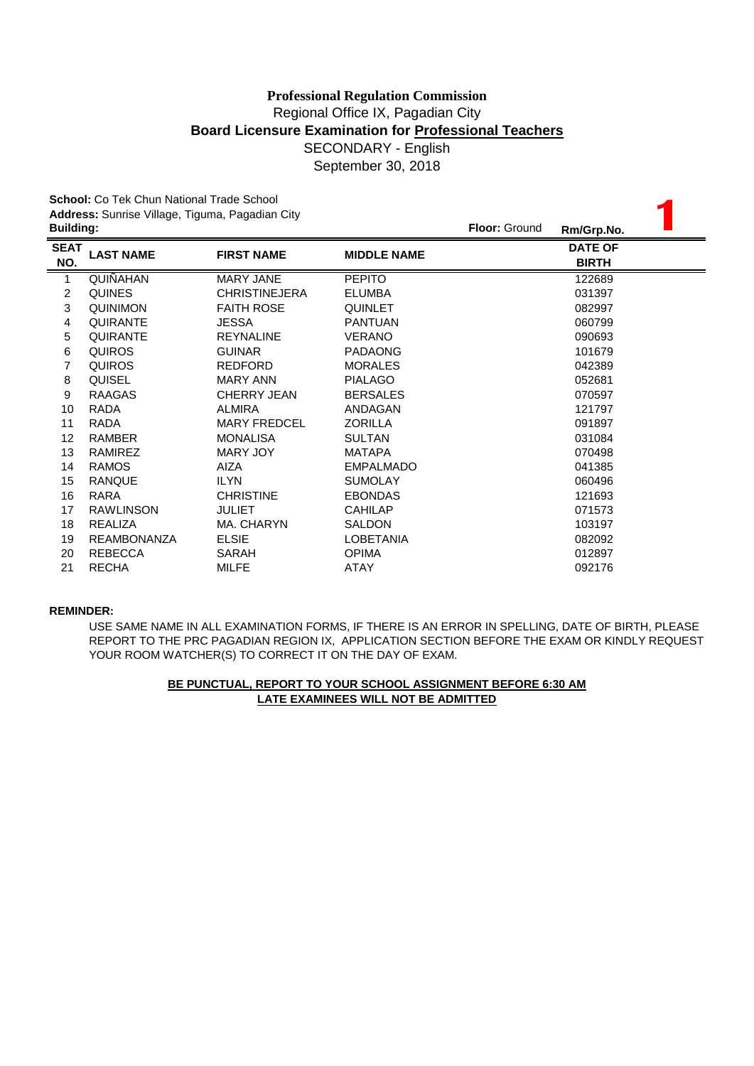September 30, 2018

|                    | <b>School:</b> Co Tek Chun National Trade School<br>Address: Sunrise Village, Tiguma, Pagadian City |                      |                    |                      |                                |  |  |
|--------------------|-----------------------------------------------------------------------------------------------------|----------------------|--------------------|----------------------|--------------------------------|--|--|
| <b>Building:</b>   |                                                                                                     |                      |                    | <b>Floor: Ground</b> | Rm/Grp.No.                     |  |  |
| <b>SEAT</b><br>NO. | <b>LAST NAME</b>                                                                                    | <b>FIRST NAME</b>    | <b>MIDDLE NAME</b> |                      | <b>DATE OF</b><br><b>BIRTH</b> |  |  |
| 1                  | QUIÑAHAN                                                                                            | <b>MARY JANE</b>     | <b>PEPITO</b>      |                      | 122689                         |  |  |
| $\overline{2}$     | <b>QUINES</b>                                                                                       | <b>CHRISTINEJERA</b> | <b>ELUMBA</b>      |                      | 031397                         |  |  |
| 3                  | QUINIMON                                                                                            | <b>FAITH ROSE</b>    | <b>QUINLET</b>     |                      | 082997                         |  |  |
| $\overline{4}$     | <b>QUIRANTE</b>                                                                                     | <b>JESSA</b>         | <b>PANTUAN</b>     |                      | 060799                         |  |  |
| 5                  | <b>QUIRANTE</b>                                                                                     | <b>REYNALINE</b>     | <b>VERANO</b>      |                      | 090693                         |  |  |
| 6                  | <b>QUIROS</b>                                                                                       | <b>GUINAR</b>        | <b>PADAONG</b>     |                      | 101679                         |  |  |
| $\overline{7}$     | <b>QUIROS</b>                                                                                       | <b>REDFORD</b>       | <b>MORALES</b>     |                      | 042389                         |  |  |
| 8                  | <b>QUISEL</b>                                                                                       | <b>MARY ANN</b>      | <b>PIALAGO</b>     |                      | 052681                         |  |  |
| 9                  | <b>RAAGAS</b>                                                                                       | CHERRY JEAN          | <b>BERSALES</b>    |                      | 070597                         |  |  |
| 10                 | <b>RADA</b>                                                                                         | <b>ALMIRA</b>        | ANDAGAN            |                      | 121797                         |  |  |
| 11                 | <b>RADA</b>                                                                                         | <b>MARY FREDCEL</b>  | <b>ZORILLA</b>     |                      | 091897                         |  |  |
| 12                 | <b>RAMBER</b>                                                                                       | <b>MONALISA</b>      | <b>SULTAN</b>      |                      | 031084                         |  |  |
| 13                 | <b>RAMIREZ</b>                                                                                      | <b>MARY JOY</b>      | <b>MATAPA</b>      |                      | 070498                         |  |  |
| 14                 | <b>RAMOS</b>                                                                                        | <b>AIZA</b>          | <b>EMPALMADO</b>   |                      | 041385                         |  |  |
| 15                 | <b>RANQUE</b>                                                                                       | <b>ILYN</b>          | <b>SUMOLAY</b>     |                      | 060496                         |  |  |
| 16                 | RARA                                                                                                | <b>CHRISTINE</b>     | <b>EBONDAS</b>     |                      | 121693                         |  |  |
| 17                 | <b>RAWLINSON</b>                                                                                    | <b>JULIET</b>        | <b>CAHILAP</b>     |                      | 071573                         |  |  |
| 18                 | REALIZA                                                                                             | MA. CHARYN           | <b>SALDON</b>      |                      | 103197                         |  |  |
| 19                 | <b>REAMBONANZA</b>                                                                                  | <b>ELSIE</b>         | <b>LOBETANIA</b>   |                      | 082092                         |  |  |
| 20                 | <b>REBECCA</b>                                                                                      | SARAH                | <b>OPIMA</b>       |                      | 012897                         |  |  |
| 21                 | <b>RECHA</b>                                                                                        | <b>MILFE</b>         | ATAY               |                      | 092176                         |  |  |

### **REMINDER:**

USE SAME NAME IN ALL EXAMINATION FORMS, IF THERE IS AN ERROR IN SPELLING, DATE OF BIRTH, PLEASE REPORT TO THE PRC PAGADIAN REGION IX, APPLICATION SECTION BEFORE THE EXAM OR KINDLY REQUEST YOUR ROOM WATCHER(S) TO CORRECT IT ON THE DAY OF EXAM.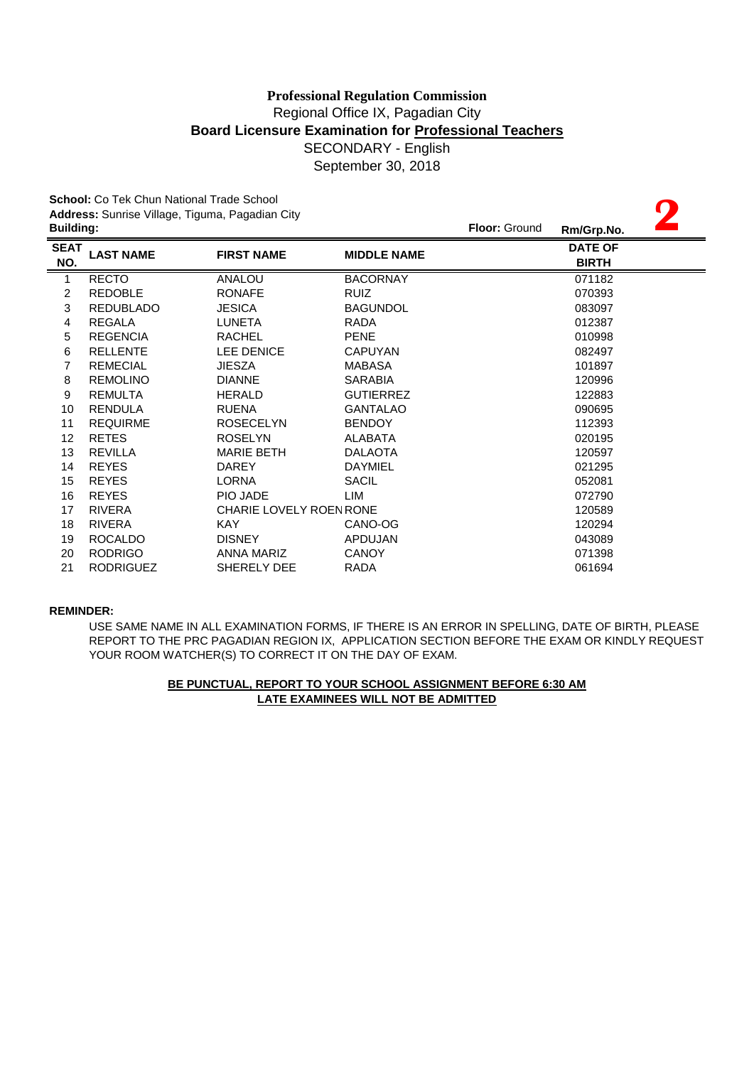September 30, 2018

**2**

**School:** Co Tek Chun National Trade School **Address:** Sunrise Village, Tiguma, Pagadian City

|                    | <b>Building:</b> |                                |                    | <b>Floor: Ground</b> | Rm/Grp.No.                     |  |
|--------------------|------------------|--------------------------------|--------------------|----------------------|--------------------------------|--|
| <b>SEAT</b><br>NO. | <b>LAST NAME</b> | <b>FIRST NAME</b>              | <b>MIDDLE NAME</b> |                      | <b>DATE OF</b><br><b>BIRTH</b> |  |
| 1                  | <b>RECTO</b>     | ANALOU                         | <b>BACORNAY</b>    |                      | 071182                         |  |
| $\overline{c}$     | <b>REDOBLE</b>   | <b>RONAFE</b>                  | <b>RUIZ</b>        |                      | 070393                         |  |
| 3                  | <b>REDUBLADO</b> | <b>JESICA</b>                  | <b>BAGUNDOL</b>    |                      | 083097                         |  |
| 4                  | REGALA           | <b>LUNETA</b>                  | <b>RADA</b>        |                      | 012387                         |  |
| 5                  | <b>REGENCIA</b>  | <b>RACHEL</b>                  | <b>PENE</b>        |                      | 010998                         |  |
| 6                  | <b>RELLENTE</b>  | <b>LEE DENICE</b>              | <b>CAPUYAN</b>     |                      | 082497                         |  |
| 7                  | <b>REMECIAL</b>  | <b>JIESZA</b>                  | <b>MABASA</b>      |                      | 101897                         |  |
| 8                  | <b>REMOLINO</b>  | <b>DIANNE</b>                  | <b>SARABIA</b>     |                      | 120996                         |  |
| 9                  | <b>REMULTA</b>   | <b>HERALD</b>                  | <b>GUTIERREZ</b>   |                      | 122883                         |  |
| 10                 | <b>RENDULA</b>   | <b>RUENA</b>                   | <b>GANTALAO</b>    |                      | 090695                         |  |
| 11                 | <b>REQUIRME</b>  | <b>ROSECELYN</b>               | <b>BENDOY</b>      |                      | 112393                         |  |
| 12 <sup>°</sup>    | <b>RETES</b>     | <b>ROSELYN</b>                 | ALABATA            |                      | 020195                         |  |
| 13                 | <b>REVILLA</b>   | <b>MARIE BETH</b>              | <b>DALAOTA</b>     |                      | 120597                         |  |
| 14                 | <b>REYES</b>     | <b>DAREY</b>                   | <b>DAYMIEL</b>     |                      | 021295                         |  |
| 15                 | <b>REYES</b>     | <b>LORNA</b>                   | SACIL              |                      | 052081                         |  |
| 16                 | <b>REYES</b>     | PIO JADE                       | LIM                |                      | 072790                         |  |
| 17                 | <b>RIVERA</b>    | <b>CHARIE LOVELY ROEN RONE</b> |                    |                      | 120589                         |  |
| 18                 | <b>RIVERA</b>    | KAY.                           | CANO-OG            |                      | 120294                         |  |
| 19                 | <b>ROCALDO</b>   | <b>DISNEY</b>                  | <b>APDUJAN</b>     |                      | 043089                         |  |
| 20                 | <b>RODRIGO</b>   | ANNA MARIZ                     | <b>CANOY</b>       |                      | 071398                         |  |
| 21                 | <b>RODRIGUEZ</b> | SHERELY DEE                    | <b>RADA</b>        |                      | 061694                         |  |
|                    |                  |                                |                    |                      |                                |  |

### **REMINDER:**

USE SAME NAME IN ALL EXAMINATION FORMS, IF THERE IS AN ERROR IN SPELLING, DATE OF BIRTH, PLEASE REPORT TO THE PRC PAGADIAN REGION IX, APPLICATION SECTION BEFORE THE EXAM OR KINDLY REQUEST YOUR ROOM WATCHER(S) TO CORRECT IT ON THE DAY OF EXAM.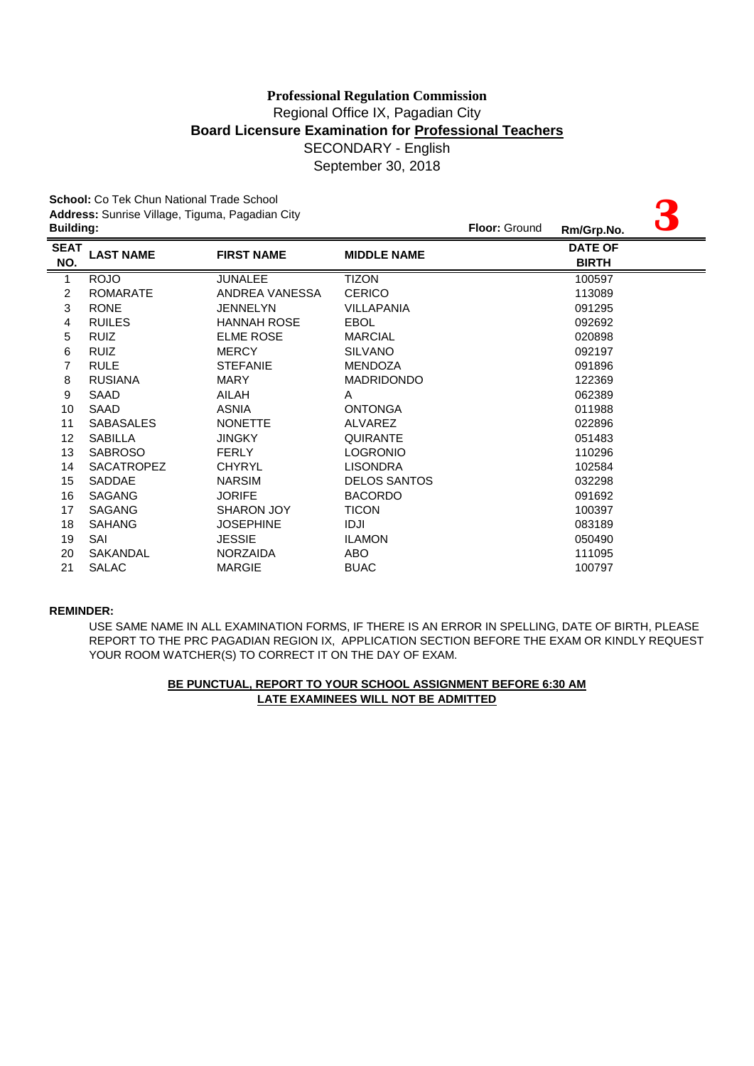|                    | <b>School:</b> Co Tek Chun National Trade School<br>Address: Sunrise Village, Tiguma, Pagadian City |                    |                     |               |                                |  |
|--------------------|-----------------------------------------------------------------------------------------------------|--------------------|---------------------|---------------|--------------------------------|--|
| <b>Building:</b>   |                                                                                                     |                    |                     | Floor: Ground | Rm/Grp.No.                     |  |
| <b>SEAT</b><br>NO. | <b>LAST NAME</b>                                                                                    | <b>FIRST NAME</b>  | <b>MIDDLE NAME</b>  |               | <b>DATE OF</b><br><b>BIRTH</b> |  |
| $\mathbf{1}$       | <b>ROJO</b>                                                                                         | <b>JUNALEE</b>     | <b>TIZON</b>        |               | 100597                         |  |
| $\overline{c}$     | <b>ROMARATE</b>                                                                                     | ANDREA VANESSA     | <b>CERICO</b>       |               | 113089                         |  |
| 3                  | <b>RONE</b>                                                                                         | <b>JENNELYN</b>    | <b>VILLAPANIA</b>   |               | 091295                         |  |
| $\overline{4}$     | <b>RUILES</b>                                                                                       | <b>HANNAH ROSE</b> | <b>EBOL</b>         |               | 092692                         |  |
| 5                  | <b>RUIZ</b>                                                                                         | <b>ELME ROSE</b>   | <b>MARCIAL</b>      |               | 020898                         |  |
| 6                  | <b>RUIZ</b>                                                                                         | <b>MERCY</b>       | <b>SILVANO</b>      |               | 092197                         |  |
| 7                  | <b>RULE</b>                                                                                         | <b>STEFANIE</b>    | <b>MENDOZA</b>      |               | 091896                         |  |
| 8                  | <b>RUSIANA</b>                                                                                      | <b>MARY</b>        | <b>MADRIDONDO</b>   |               | 122369                         |  |
| 9                  | SAAD                                                                                                | AILAH              | A                   |               | 062389                         |  |
| 10                 | <b>SAAD</b>                                                                                         | <b>ASNIA</b>       | <b>ONTONGA</b>      |               | 011988                         |  |
| 11                 | <b>SABASALES</b>                                                                                    | <b>NONETTE</b>     | <b>ALVAREZ</b>      |               | 022896                         |  |
| 12                 | <b>SABILLA</b>                                                                                      | <b>JINGKY</b>      | <b>QUIRANTE</b>     |               | 051483                         |  |
| 13                 | <b>SABROSO</b>                                                                                      | <b>FERLY</b>       | <b>LOGRONIO</b>     |               | 110296                         |  |
| 14                 | <b>SACATROPEZ</b>                                                                                   | <b>CHYRYL</b>      | <b>LISONDRA</b>     |               | 102584                         |  |
| 15                 | <b>SADDAE</b>                                                                                       | <b>NARSIM</b>      | <b>DELOS SANTOS</b> |               | 032298                         |  |
| 16                 | <b>SAGANG</b>                                                                                       | <b>JORIFE</b>      | <b>BACORDO</b>      |               | 091692                         |  |
| 17                 | <b>SAGANG</b>                                                                                       | <b>SHARON JOY</b>  | <b>TICON</b>        |               | 100397                         |  |
| 18                 | <b>SAHANG</b>                                                                                       | <b>JOSEPHINE</b>   | IDJI                |               | 083189                         |  |
| 19                 | SAI                                                                                                 | <b>JESSIE</b>      | <b>ILAMON</b>       |               | 050490                         |  |
| 20                 | <b>SAKANDAL</b>                                                                                     | <b>NORZAIDA</b>    | ABO.                |               | 111095                         |  |
| 21                 | SALAC                                                                                               | <b>MARGIE</b>      | <b>BUAC</b>         |               | 100797                         |  |

### **REMINDER:**

REPORT TO THE PRC PAGADIAN REGION IX, APPLICATION SECTION BEFORE THE EXAM OR KINDLY REQUEST YOUR ROOM WATCHER(S) TO CORRECT IT ON THE DAY OF EXAM. USE SAME NAME IN ALL EXAMINATION FORMS, IF THERE IS AN ERROR IN SPELLING, DATE OF BIRTH, PLEASE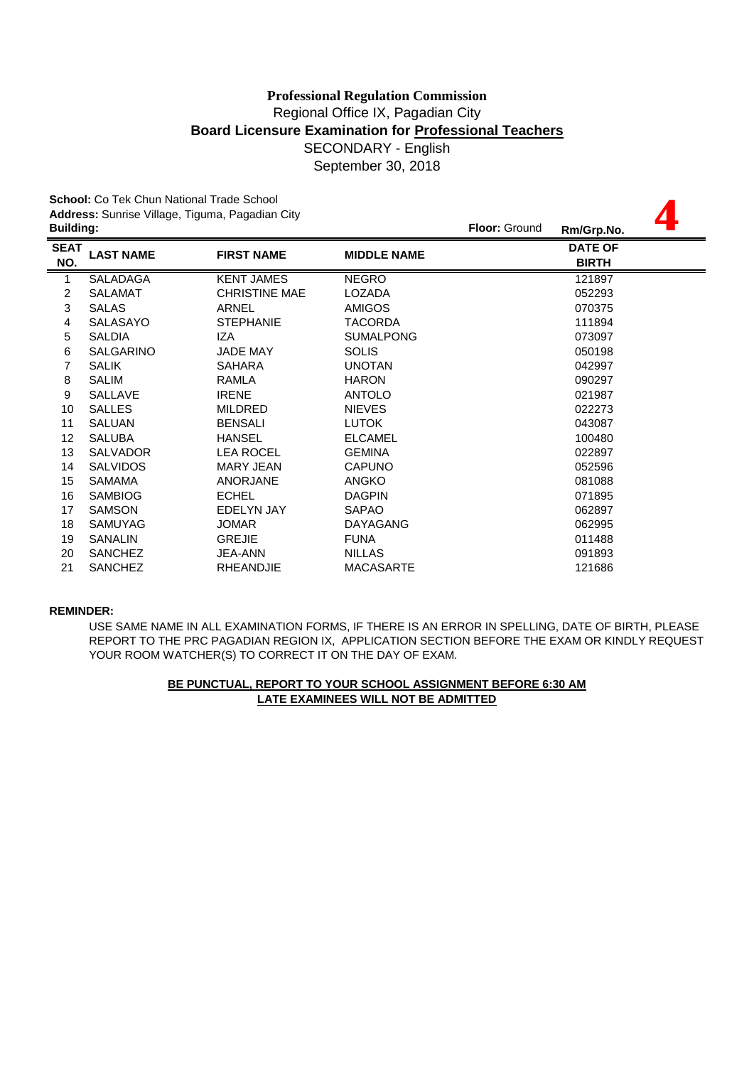**4**

September 30, 2018

**School:** Co Tek Chun National Trade School **Address:** Sunrise Village, Tiguma, Pagadian City

| <b>Building:</b> |                      |                    | <b>Floor: Ground</b> | Rm/Grp.No.                     |
|------------------|----------------------|--------------------|----------------------|--------------------------------|
| <b>LAST NAME</b> | <b>FIRST NAME</b>    | <b>MIDDLE NAME</b> |                      | <b>DATE OF</b><br><b>BIRTH</b> |
| <b>SALADAGA</b>  | <b>KENT JAMES</b>    | <b>NEGRO</b>       |                      | 121897                         |
| <b>SALAMAT</b>   | <b>CHRISTINE MAE</b> | LOZADA             |                      | 052293                         |
| <b>SALAS</b>     | <b>ARNEL</b>         | <b>AMIGOS</b>      |                      | 070375                         |
| <b>SALASAYO</b>  | <b>STEPHANIE</b>     | TACORDA            |                      | 111894                         |
| <b>SALDIA</b>    | IZA                  | <b>SUMALPONG</b>   |                      | 073097                         |
| <b>SALGARINO</b> | <b>JADE MAY</b>      | <b>SOLIS</b>       |                      | 050198                         |
| <b>SALIK</b>     | <b>SAHARA</b>        | <b>UNOTAN</b>      |                      | 042997                         |
| <b>SALIM</b>     | RAMLA                | <b>HARON</b>       |                      | 090297                         |
| SALLAVE          | <b>IRENE</b>         | <b>ANTOLO</b>      |                      | 021987                         |
| <b>SALLES</b>    | <b>MILDRED</b>       | <b>NIEVES</b>      |                      | 022273                         |
| <b>SALUAN</b>    | <b>BENSALI</b>       | <b>LUTOK</b>       |                      | 043087                         |
| <b>SALUBA</b>    | <b>HANSEL</b>        | <b>ELCAMEL</b>     |                      | 100480                         |
| <b>SALVADOR</b>  | <b>LEA ROCEL</b>     | <b>GEMINA</b>      |                      | 022897                         |
| <b>SALVIDOS</b>  | <b>MARY JEAN</b>     | <b>CAPUNO</b>      |                      | 052596                         |
| <b>SAMAMA</b>    | <b>ANORJANE</b>      | <b>ANGKO</b>       |                      | 081088                         |
| <b>SAMBIOG</b>   | <b>ECHEL</b>         | <b>DAGPIN</b>      |                      | 071895                         |
| <b>SAMSON</b>    | EDELYN JAY           | <b>SAPAO</b>       |                      | 062897                         |
| <b>SAMUYAG</b>   | <b>JOMAR</b>         | <b>DAYAGANG</b>    |                      | 062995                         |
| <b>SANALIN</b>   | <b>GREJIE</b>        | <b>FUNA</b>        |                      | 011488                         |
| <b>SANCHEZ</b>   | <b>JEA-ANN</b>       | <b>NILLAS</b>      |                      | 091893                         |
| <b>SANCHEZ</b>   | <b>RHEANDJIE</b>     | <b>MACASARTE</b>   |                      | 121686                         |
|                  |                      |                    |                      |                                |

### **REMINDER:**

YOUR ROOM WATCHER(S) TO CORRECT IT ON THE DAY OF EXAM. USE SAME NAME IN ALL EXAMINATION FORMS, IF THERE IS AN ERROR IN SPELLING, DATE OF BIRTH, PLEASE REPORT TO THE PRC PAGADIAN REGION IX, APPLICATION SECTION BEFORE THE EXAM OR KINDLY REQUEST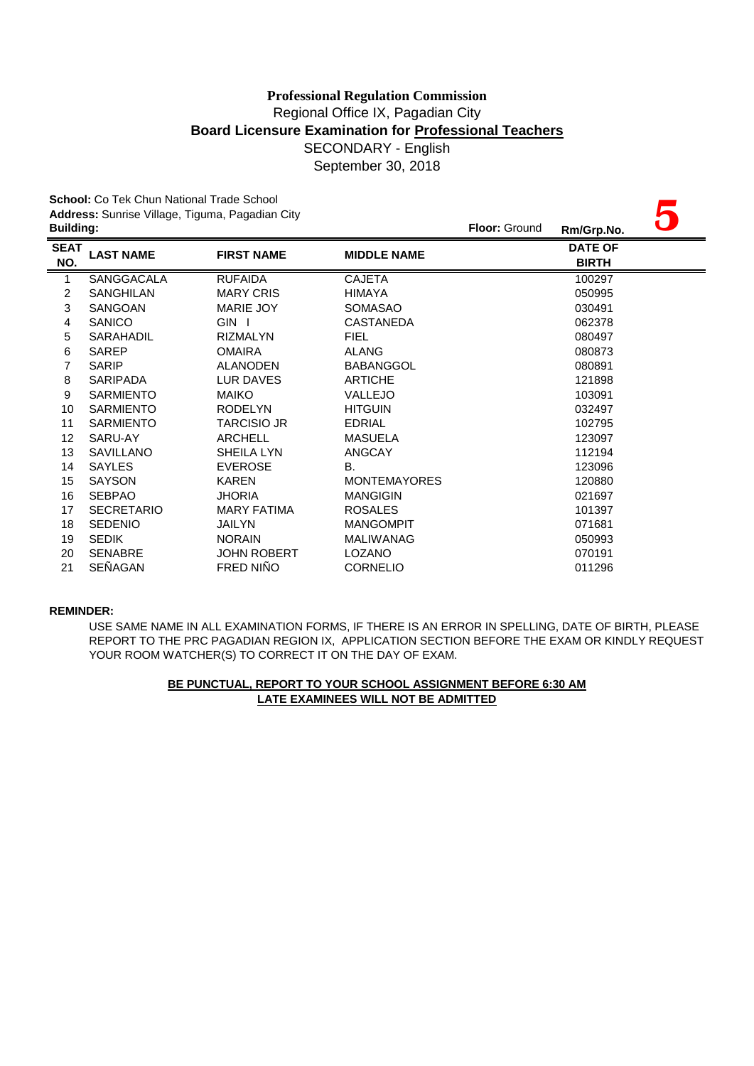September 30, 2018

|                  | <b>School:</b> Co Tek Chun National Trade School |                    |                     |               |                |  |  |  |
|------------------|--------------------------------------------------|--------------------|---------------------|---------------|----------------|--|--|--|
|                  | Address: Sunrise Village, Tiguma, Pagadian City  |                    |                     |               |                |  |  |  |
| <b>Building:</b> |                                                  |                    |                     | Floor: Ground | Rm/Grp.No.     |  |  |  |
| <b>SEAT</b>      | <b>LAST NAME</b>                                 | <b>FIRST NAME</b>  | <b>MIDDLE NAME</b>  |               | <b>DATE OF</b> |  |  |  |
| NO.<br>=         |                                                  |                    |                     |               | <b>BIRTH</b>   |  |  |  |
| 1                | SANGGACALA                                       | <b>RUFAIDA</b>     | <b>CAJETA</b>       |               | 100297         |  |  |  |
| 2                | SANGHILAN                                        | <b>MARY CRIS</b>   | <b>HIMAYA</b>       |               | 050995         |  |  |  |
| 3                | <b>SANGOAN</b>                                   | MARIE JOY          | <b>SOMASAO</b>      |               | 030491         |  |  |  |
| 4                | <b>SANICO</b>                                    | GIN I              | <b>CASTANEDA</b>    |               | 062378         |  |  |  |
| 5                | SARAHADIL                                        | <b>RIZMALYN</b>    | <b>FIEL</b>         |               | 080497         |  |  |  |
| 6                | <b>SAREP</b>                                     | <b>OMAIRA</b>      | <b>ALANG</b>        |               | 080873         |  |  |  |
| 7                | <b>SARIP</b>                                     | <b>ALANODEN</b>    | <b>BABANGGOL</b>    |               | 080891         |  |  |  |
| 8                | <b>SARIPADA</b>                                  | LUR DAVES          | <b>ARTICHE</b>      |               | 121898         |  |  |  |
| 9                | <b>SARMIENTO</b>                                 | <b>MAIKO</b>       | <b>VALLEJO</b>      |               | 103091         |  |  |  |
| 10               | <b>SARMIENTO</b>                                 | <b>RODELYN</b>     | <b>HITGUIN</b>      |               | 032497         |  |  |  |
| 11               | <b>SARMIENTO</b>                                 | <b>TARCISIO JR</b> | <b>EDRIAL</b>       |               | 102795         |  |  |  |
| 12               | SARU-AY                                          | <b>ARCHELL</b>     | <b>MASUELA</b>      |               | 123097         |  |  |  |
| 13               | <b>SAVILLANO</b>                                 | SHEILA LYN         | <b>ANGCAY</b>       |               | 112194         |  |  |  |
| 14               | <b>SAYLES</b>                                    | <b>EVEROSE</b>     | В.                  |               | 123096         |  |  |  |
| 15               | <b>SAYSON</b>                                    | <b>KAREN</b>       | <b>MONTEMAYORES</b> |               | 120880         |  |  |  |
| 16               | <b>SEBPAO</b>                                    | <b>JHORIA</b>      | <b>MANGIGIN</b>     |               | 021697         |  |  |  |
| 17               | <b>SECRETARIO</b>                                | <b>MARY FATIMA</b> | <b>ROSALES</b>      |               | 101397         |  |  |  |
| 18               | <b>SEDENIO</b>                                   | <b>JAILYN</b>      | <b>MANGOMPIT</b>    |               | 071681         |  |  |  |
| 19               | <b>SEDIK</b>                                     | <b>NORAIN</b>      | <b>MALIWANAG</b>    |               | 050993         |  |  |  |
| 20               | <b>SENABRE</b>                                   | JOHN ROBERT        | <b>LOZANO</b>       |               | 070191         |  |  |  |
| 21               | SEÑAGAN                                          | FRED NIÑO          | <b>CORNELIO</b>     |               | 011296         |  |  |  |

### **REMINDER:**

USE SAME NAME IN ALL EXAMINATION FORMS, IF THERE IS AN ERROR IN SPELLING, DATE OF BIRTH, PLEASE REPORT TO THE PRC PAGADIAN REGION IX, APPLICATION SECTION BEFORE THE EXAM OR KINDLY REQUEST YOUR ROOM WATCHER(S) TO CORRECT IT ON THE DAY OF EXAM.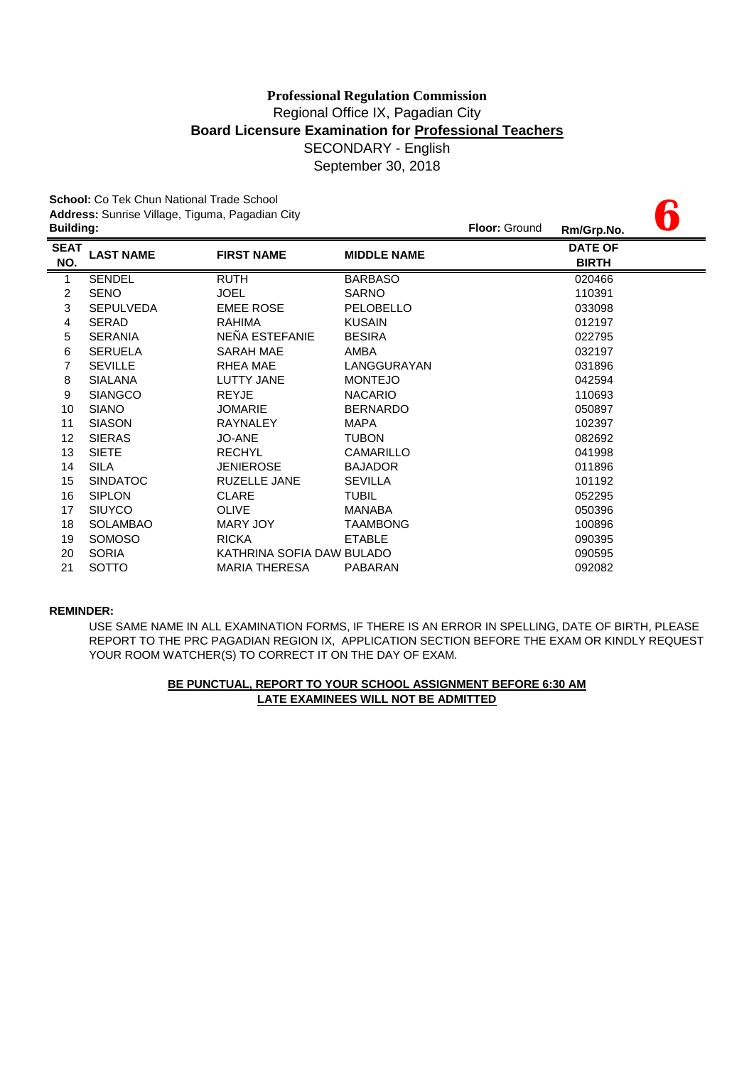**6**

September 30, 2018

**School:** Co Tek Chun National Trade School **Address:** Sunrise Village, Tiguma, Pagadian City

| <b>Building:</b>   |                  |                           |                    | Floor: Ground | Rm/Grp.No.                     | U |
|--------------------|------------------|---------------------------|--------------------|---------------|--------------------------------|---|
| <b>SEAT</b><br>NO. | <b>LAST NAME</b> | <b>FIRST NAME</b>         | <b>MIDDLE NAME</b> |               | <b>DATE OF</b><br><b>BIRTH</b> |   |
| 1                  | <b>SENDEL</b>    | <b>RUTH</b>               | <b>BARBASO</b>     |               | 020466                         |   |
| $\overline{c}$     | <b>SENO</b>      | <b>JOEL</b>               | <b>SARNO</b>       |               | 110391                         |   |
| 3                  | <b>SEPULVEDA</b> | <b>EMEE ROSE</b>          | PELOBELLO          |               | 033098                         |   |
| 4                  | <b>SERAD</b>     | <b>RAHIMA</b>             | <b>KUSAIN</b>      |               | 012197                         |   |
| 5                  | <b>SERANIA</b>   | NEÑA ESTEFANIE            | <b>BESIRA</b>      |               | 022795                         |   |
| 6                  | <b>SERUELA</b>   | SARAH MAE                 | AMBA               |               | 032197                         |   |
| 7                  | <b>SEVILLE</b>   | <b>RHEA MAE</b>           | LANGGURAYAN        |               | 031896                         |   |
| 8                  | <b>SIALANA</b>   | <b>LUTTY JANE</b>         | <b>MONTEJO</b>     |               | 042594                         |   |
| 9                  | <b>SIANGCO</b>   | <b>REYJE</b>              | <b>NACARIO</b>     |               | 110693                         |   |
| 10                 | <b>SIANO</b>     | <b>JOMARIE</b>            | <b>BERNARDO</b>    |               | 050897                         |   |
| 11                 | <b>SIASON</b>    | <b>RAYNALEY</b>           | <b>MAPA</b>        |               | 102397                         |   |
| 12                 | <b>SIERAS</b>    | <b>JO-ANE</b>             | <b>TUBON</b>       |               | 082692                         |   |
| 13                 | <b>SIETE</b>     | <b>RECHYL</b>             | <b>CAMARILLO</b>   |               | 041998                         |   |
| 14                 | <b>SILA</b>      | <b>JENIEROSE</b>          | <b>BAJADOR</b>     |               | 011896                         |   |
| 15                 | <b>SINDATOC</b>  | <b>RUZELLE JANE</b>       | <b>SEVILLA</b>     |               | 101192                         |   |
| 16                 | <b>SIPLON</b>    | <b>CLARE</b>              | TUBIL              |               | 052295                         |   |
| 17                 | <b>SIUYCO</b>    | <b>OLIVE</b>              | <b>MANABA</b>      |               | 050396                         |   |
| 18                 | <b>SOLAMBAO</b>  | <b>MARY JOY</b>           | <b>TAAMBONG</b>    |               | 100896                         |   |
| 19                 | <b>SOMOSO</b>    | <b>RICKA</b>              | <b>ETABLE</b>      |               | 090395                         |   |
| 20                 | <b>SORIA</b>     | KATHRINA SOFIA DAW BULADO |                    |               | 090595                         |   |
| 21                 | <b>SOTTO</b>     | <b>MARIA THERESA</b>      | PABARAN            |               | 092082                         |   |

### **REMINDER:**

USE SAME NAME IN ALL EXAMINATION FORMS, IF THERE IS AN ERROR IN SPELLING, DATE OF BIRTH, PLEASE REPORT TO THE PRC PAGADIAN REGION IX, APPLICATION SECTION BEFORE THE EXAM OR KINDLY REQUEST YOUR ROOM WATCHER(S) TO CORRECT IT ON THE DAY OF EXAM.

# **LATE EXAMINEES WILL NOT BE ADMITTED BE PUNCTUAL, REPORT TO YOUR SCHOOL ASSIGNMENT BEFORE 6:30 AM**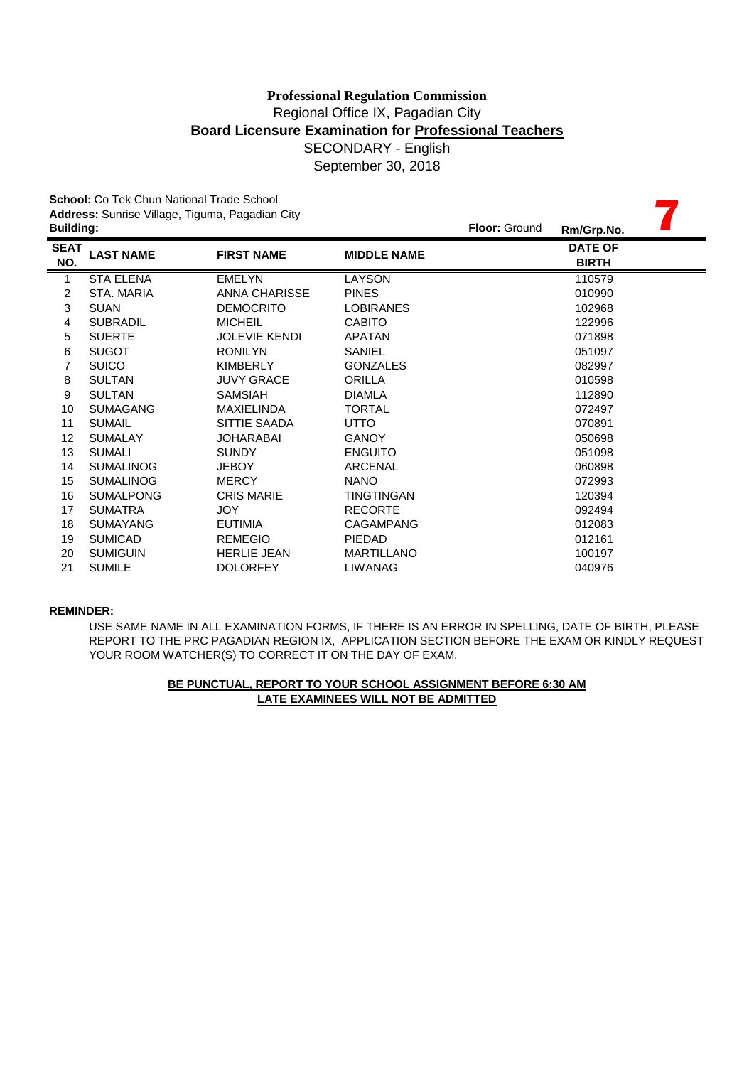September 30, 2018

|                  | <b>School:</b> Co Tek Chun National Trade School |                      |                    |               |                |  |  |  |
|------------------|--------------------------------------------------|----------------------|--------------------|---------------|----------------|--|--|--|
|                  | Address: Sunrise Village, Tiguma, Pagadian City  |                      |                    |               |                |  |  |  |
| <b>Building:</b> |                                                  |                      |                    | Floor: Ground | Rm/Grp.No.     |  |  |  |
| <b>SEAT</b>      | <b>LAST NAME</b>                                 | <b>FIRST NAME</b>    | <b>MIDDLE NAME</b> |               | <b>DATE OF</b> |  |  |  |
| NO.              |                                                  |                      |                    |               | <b>BIRTH</b>   |  |  |  |
| $\mathbf{1}$     | <b>STA ELENA</b>                                 | <b>EMELYN</b>        | LAYSON             |               | 110579         |  |  |  |
| $\overline{2}$   | STA, MARIA                                       | <b>ANNA CHARISSE</b> | <b>PINES</b>       |               | 010990         |  |  |  |
| 3                | <b>SUAN</b>                                      | <b>DEMOCRITO</b>     | <b>LOBIRANES</b>   |               | 102968         |  |  |  |
| 4                | <b>SUBRADIL</b>                                  | <b>MICHEIL</b>       | <b>CABITO</b>      |               | 122996         |  |  |  |
| 5                | <b>SUERTE</b>                                    | <b>JOLEVIE KENDI</b> | <b>APATAN</b>      |               | 071898         |  |  |  |
| $\,6$            | <b>SUGOT</b>                                     | <b>RONILYN</b>       | SANIEL             |               | 051097         |  |  |  |
| 7                | <b>SUICO</b>                                     | <b>KIMBERLY</b>      | <b>GONZALES</b>    |               | 082997         |  |  |  |
| 8                | <b>SULTAN</b>                                    | <b>JUVY GRACE</b>    | <b>ORILLA</b>      |               | 010598         |  |  |  |
| 9                | <b>SULTAN</b>                                    | <b>SAMSIAH</b>       | <b>DIAMLA</b>      |               | 112890         |  |  |  |
| 10               | <b>SUMAGANG</b>                                  | <b>MAXIELINDA</b>    | <b>TORTAL</b>      |               | 072497         |  |  |  |
| 11               | <b>SUMAIL</b>                                    | SITTIE SAADA         | <b>UTTO</b>        |               | 070891         |  |  |  |
| 12               | <b>SUMALAY</b>                                   | <b>JOHARABAI</b>     | <b>GANOY</b>       |               | 050698         |  |  |  |
| 13               | <b>SUMALI</b>                                    | <b>SUNDY</b>         | <b>ENGUITO</b>     |               | 051098         |  |  |  |
| 14               | <b>SUMALINOG</b>                                 | <b>JEBOY</b>         | ARCENAL            |               | 060898         |  |  |  |
| 15               | <b>SUMALINOG</b>                                 | <b>MERCY</b>         | <b>NANO</b>        |               | 072993         |  |  |  |
| 16               | <b>SUMALPONG</b>                                 | <b>CRIS MARIE</b>    | TINGTINGAN         |               | 120394         |  |  |  |
| 17               | <b>SUMATRA</b>                                   | <b>JOY</b>           | <b>RECORTE</b>     |               | 092494         |  |  |  |
| 18               | <b>SUMAYANG</b>                                  | <b>EUTIMIA</b>       | <b>CAGAMPANG</b>   |               | 012083         |  |  |  |
| 19               | <b>SUMICAD</b>                                   | <b>REMEGIO</b>       | <b>PIEDAD</b>      |               | 012161         |  |  |  |
| 20               | <b>SUMIGUIN</b>                                  | <b>HERLIE JEAN</b>   | <b>MARTILLANO</b>  |               | 100197         |  |  |  |
| 21               | <b>SUMILE</b>                                    | <b>DOLORFEY</b>      | <b>LIWANAG</b>     |               | 040976         |  |  |  |

#### **REMINDER:**

USE SAME NAME IN ALL EXAMINATION FORMS, IF THERE IS AN ERROR IN SPELLING, DATE OF BIRTH, PLEASE REPORT TO THE PRC PAGADIAN REGION IX, APPLICATION SECTION BEFORE THE EXAM OR KINDLY REQUEST YOUR ROOM WATCHER(S) TO CORRECT IT ON THE DAY OF EXAM.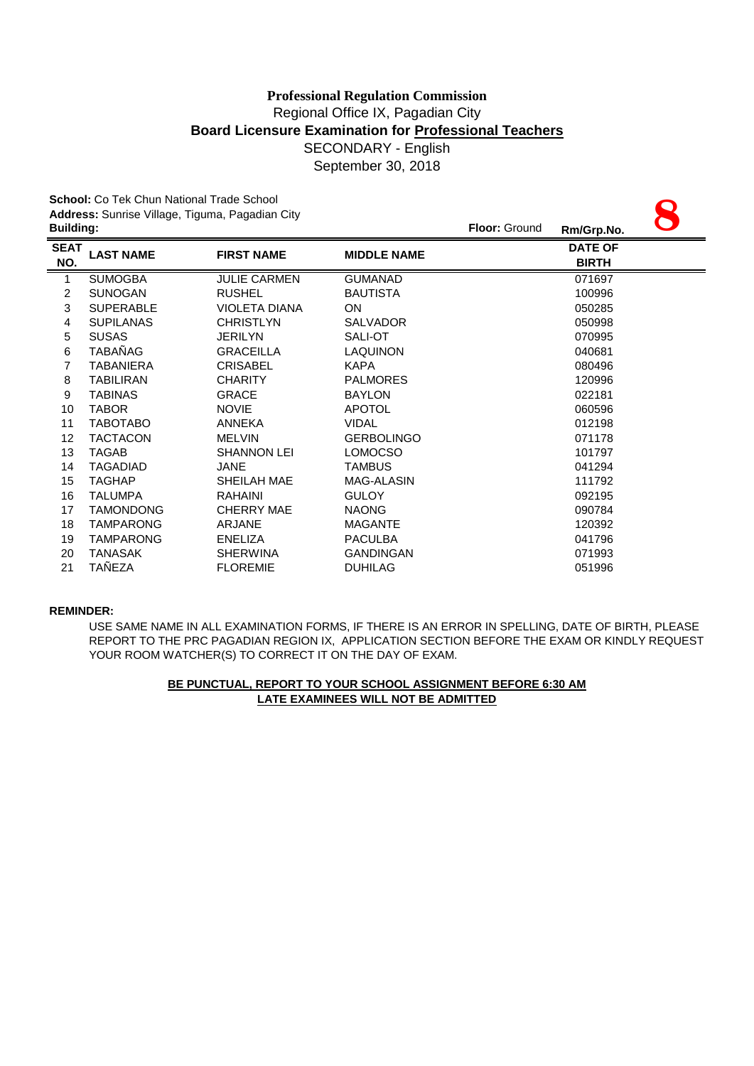September 30, 2018

|                    | <b>School:</b> Co Tek Chun National Trade School<br>Address: Sunrise Village, Tiguma, Pagadian City |                      |                    |               |                                |  |
|--------------------|-----------------------------------------------------------------------------------------------------|----------------------|--------------------|---------------|--------------------------------|--|
| <b>Building:</b>   |                                                                                                     |                      |                    | Floor: Ground | Rm/Grp.No.                     |  |
| <b>SEAT</b><br>NO. | <b>LAST NAME</b>                                                                                    | <b>FIRST NAME</b>    | <b>MIDDLE NAME</b> |               | <b>DATE OF</b><br><b>BIRTH</b> |  |
| 1                  | <b>SUMOGBA</b>                                                                                      | <b>JULIE CARMEN</b>  | <b>GUMANAD</b>     |               | 071697                         |  |
| $\overline{2}$     | <b>SUNOGAN</b>                                                                                      | <b>RUSHEL</b>        | <b>BAUTISTA</b>    |               | 100996                         |  |
| 3                  | <b>SUPERABLE</b>                                                                                    | <b>VIOLETA DIANA</b> | ON                 |               | 050285                         |  |
| $\overline{4}$     | <b>SUPILANAS</b>                                                                                    | <b>CHRISTLYN</b>     | <b>SALVADOR</b>    |               | 050998                         |  |
| 5                  | <b>SUSAS</b>                                                                                        | <b>JERILYN</b>       | SALI-OT            |               | 070995                         |  |
| 6                  | <b>TABAÑAG</b>                                                                                      | <b>GRACEILLA</b>     | <b>LAQUINON</b>    |               | 040681                         |  |
| 7                  | <b>TABANIERA</b>                                                                                    | <b>CRISABEL</b>      | <b>KAPA</b>        |               | 080496                         |  |
| 8                  | <b>TABILIRAN</b>                                                                                    | <b>CHARITY</b>       | <b>PALMORES</b>    |               | 120996                         |  |
| 9                  | <b>TABINAS</b>                                                                                      | <b>GRACE</b>         | <b>BAYLON</b>      |               | 022181                         |  |
| 10                 | <b>TABOR</b>                                                                                        | <b>NOVIE</b>         | <b>APOTOL</b>      |               | 060596                         |  |
| 11                 | <b>TABOTABO</b>                                                                                     | ANNEKA               | <b>VIDAL</b>       |               | 012198                         |  |
| 12                 | <b>TACTACON</b>                                                                                     | <b>MELVIN</b>        | <b>GERBOLINGO</b>  |               | 071178                         |  |
| 13                 | <b>TAGAB</b>                                                                                        | <b>SHANNON LEI</b>   | <b>LOMOCSO</b>     |               | 101797                         |  |
| 14                 | <b>TAGADIAD</b>                                                                                     | <b>JANE</b>          | <b>TAMBUS</b>      |               | 041294                         |  |
| 15                 | <b>TAGHAP</b>                                                                                       | SHEILAH MAE          | MAG-ALASIN         |               | 111792                         |  |
| 16                 | <b>TALUMPA</b>                                                                                      | <b>RAHAINI</b>       | <b>GULOY</b>       |               | 092195                         |  |
| 17                 | <b>TAMONDONG</b>                                                                                    | <b>CHERRY MAE</b>    | <b>NAONG</b>       |               | 090784                         |  |
| 18                 | <b>TAMPARONG</b>                                                                                    | ARJANE               | <b>MAGANTE</b>     |               | 120392                         |  |
| 19                 | <b>TAMPARONG</b>                                                                                    | <b>ENELIZA</b>       | <b>PACULBA</b>     |               | 041796                         |  |
| 20                 | <b>TANASAK</b>                                                                                      | <b>SHERWINA</b>      | <b>GANDINGAN</b>   |               | 071993                         |  |
| 21                 | TAÑEZA                                                                                              | <b>FLOREMIE</b>      | <b>DUHILAG</b>     |               | 051996                         |  |

### **REMINDER:**

USE SAME NAME IN ALL EXAMINATION FORMS, IF THERE IS AN ERROR IN SPELLING, DATE OF BIRTH, PLEASE REPORT TO THE PRC PAGADIAN REGION IX, APPLICATION SECTION BEFORE THE EXAM OR KINDLY REQUEST YOUR ROOM WATCHER(S) TO CORRECT IT ON THE DAY OF EXAM.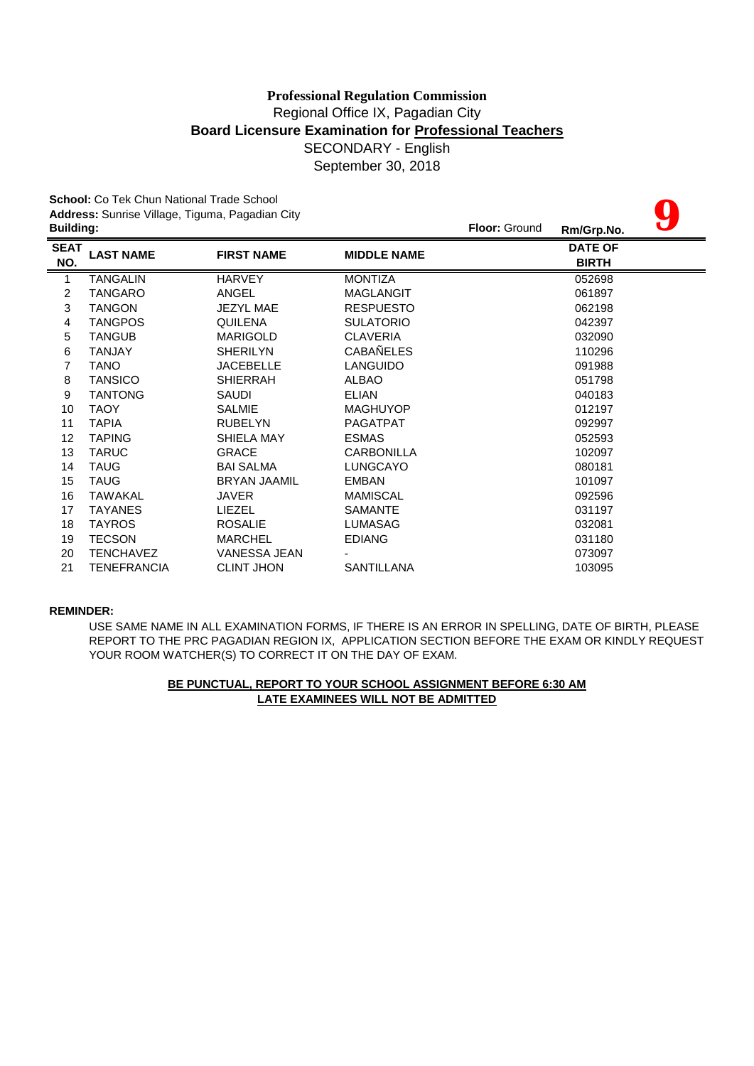# Regional Office IX, Pagadian City **Board Licensure Examination for Professional Teachers** SECONDARY - English **Professional Regulation Commission**

September 30, 2018

|                  | <b>School:</b> Co Tek Chun National Trade School |                     |                    |               |                |  |
|------------------|--------------------------------------------------|---------------------|--------------------|---------------|----------------|--|
|                  | Address: Sunrise Village, Tiguma, Pagadian City  |                     |                    |               |                |  |
| <b>Building:</b> |                                                  |                     |                    | Floor: Ground | Rm/Grp.No.     |  |
| <b>SEAT</b>      | <b>LAST NAME</b>                                 | <b>FIRST NAME</b>   | <b>MIDDLE NAME</b> |               | <b>DATE OF</b> |  |
| NO.              |                                                  |                     |                    |               | <b>BIRTH</b>   |  |
| 1                | <b>TANGALIN</b>                                  | <b>HARVEY</b>       | <b>MONTIZA</b>     |               | 052698         |  |
| $\overline{2}$   | <b>TANGARO</b>                                   | ANGEL               | <b>MAGLANGIT</b>   |               | 061897         |  |
| 3                | <b>TANGON</b>                                    | <b>JEZYL MAE</b>    | <b>RESPUESTO</b>   |               | 062198         |  |
| 4                | <b>TANGPOS</b>                                   | <b>QUILENA</b>      | <b>SULATORIO</b>   |               | 042397         |  |
| 5                | <b>TANGUB</b>                                    | <b>MARIGOLD</b>     | <b>CLAVERIA</b>    |               | 032090         |  |
| 6                | <b>TANJAY</b>                                    | <b>SHERILYN</b>     | <b>CABAÑELES</b>   |               | 110296         |  |
| 7                | <b>TANO</b>                                      | <b>JACEBELLE</b>    | <b>LANGUIDO</b>    |               | 091988         |  |
| 8                | <b>TANSICO</b>                                   | <b>SHIERRAH</b>     | <b>ALBAO</b>       |               | 051798         |  |
| 9                | <b>TANTONG</b>                                   | SAUDI               | <b>ELIAN</b>       |               | 040183         |  |
| 10               | <b>TAOY</b>                                      | <b>SALMIE</b>       | <b>MAGHUYOP</b>    |               | 012197         |  |
| 11               | <b>TAPIA</b>                                     | <b>RUBELYN</b>      | <b>PAGATPAT</b>    |               | 092997         |  |
| 12               | <b>TAPING</b>                                    | SHIELA MAY          | <b>ESMAS</b>       |               | 052593         |  |
| 13               | <b>TARUC</b>                                     | <b>GRACE</b>        | <b>CARBONILLA</b>  |               | 102097         |  |
| 14               | <b>TAUG</b>                                      | <b>BAI SALMA</b>    | <b>LUNGCAYO</b>    |               | 080181         |  |
| 15               | <b>TAUG</b>                                      | <b>BRYAN JAAMIL</b> | <b>EMBAN</b>       |               | 101097         |  |
| 16               | <b>TAWAKAL</b>                                   | <b>JAVER</b>        | <b>MAMISCAL</b>    |               | 092596         |  |
| 17               | <b>TAYANES</b>                                   | <b>LIEZEL</b>       | <b>SAMANTE</b>     |               | 031197         |  |
| 18               | <b>TAYROS</b>                                    | <b>ROSALIE</b>      | <b>LUMASAG</b>     |               | 032081         |  |
| 19               | <b>TECSON</b>                                    | <b>MARCHEL</b>      | <b>EDIANG</b>      |               | 031180         |  |
| 20               | <b>TENCHAVEZ</b>                                 | <b>VANESSA JEAN</b> |                    |               | 073097         |  |
| 21               | TENEFRANCIA                                      | <b>CLINT JHON</b>   | <b>SANTILLANA</b>  |               | 103095         |  |

### **REMINDER:**

USE SAME NAME IN ALL EXAMINATION FORMS, IF THERE IS AN ERROR IN SPELLING, DATE OF BIRTH, PLEASE REPORT TO THE PRC PAGADIAN REGION IX, APPLICATION SECTION BEFORE THE EXAM OR KINDLY REQUEST YOUR ROOM WATCHER(S) TO CORRECT IT ON THE DAY OF EXAM.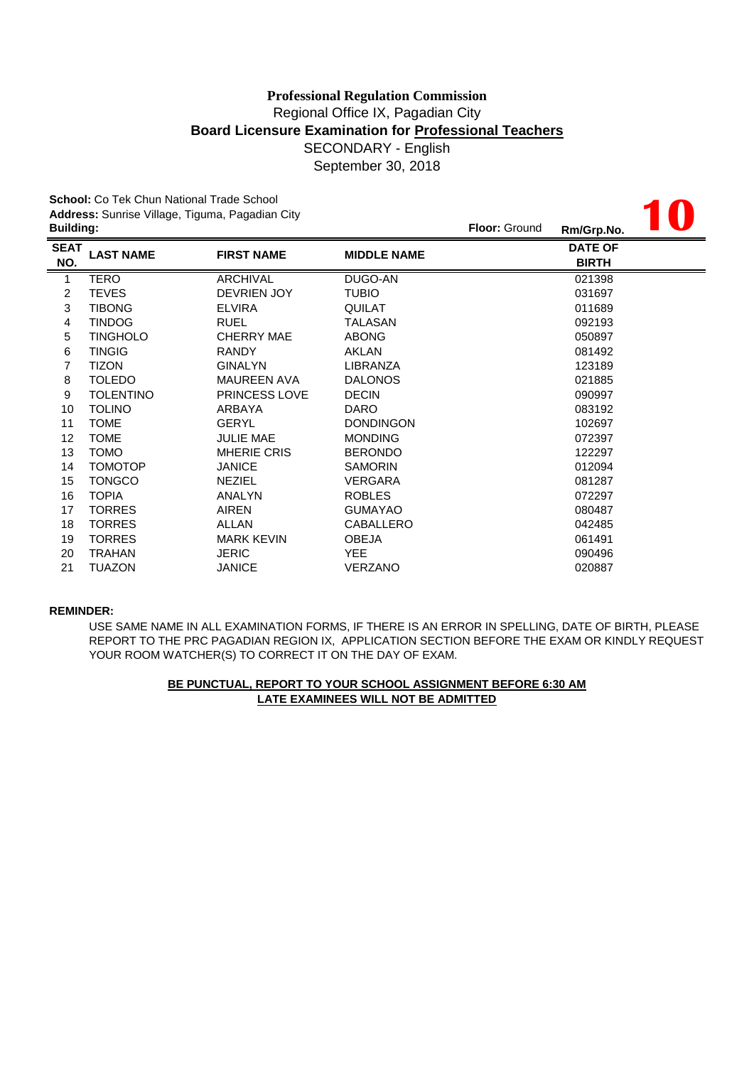# **Board Licensure Examination for Professional Teachers** SECONDARY - English **Professional Regulation Commission** Regional Office IX, Pagadian City

September 30, 2018

|                  | <b>School:</b> Co Tek Chun National Trade School |                      |                    |               |                |  |
|------------------|--------------------------------------------------|----------------------|--------------------|---------------|----------------|--|
|                  | Address: Sunrise Village, Tiguma, Pagadian City  |                      |                    |               |                |  |
| <b>Building:</b> |                                                  |                      |                    | Floor: Ground | Rm/Grp.No.     |  |
| <b>SEAT</b>      | <b>LAST NAME</b>                                 | <b>FIRST NAME</b>    | <b>MIDDLE NAME</b> |               | <b>DATE OF</b> |  |
| NO.              |                                                  |                      |                    |               | <b>BIRTH</b>   |  |
| $\mathbf{1}$     | <b>TERO</b>                                      | <b>ARCHIVAL</b>      | DUGO-AN            |               | 021398         |  |
| 2                | <b>TEVES</b>                                     | <b>DEVRIEN JOY</b>   | <b>TUBIO</b>       |               | 031697         |  |
| 3                | <b>TIBONG</b>                                    | <b>ELVIRA</b>        | <b>QUILAT</b>      |               | 011689         |  |
| 4                | <b>TINDOG</b>                                    | <b>RUEL</b>          | <b>TALASAN</b>     |               | 092193         |  |
| 5                | <b>TINGHOLO</b>                                  | <b>CHERRY MAE</b>    | <b>ABONG</b>       |               | 050897         |  |
| 6                | <b>TINGIG</b>                                    | <b>RANDY</b>         | AKLAN              |               | 081492         |  |
| 7                | <b>TIZON</b>                                     | <b>GINALYN</b>       | <b>LIBRANZA</b>    |               | 123189         |  |
| 8                | <b>TOLEDO</b>                                    | <b>MAUREEN AVA</b>   | <b>DALONOS</b>     |               | 021885         |  |
| 9                | <b>TOLENTINO</b>                                 | <b>PRINCESS LOVE</b> | <b>DECIN</b>       |               | 090997         |  |
| 10               | <b>TOLINO</b>                                    | ARBAYA               | <b>DARO</b>        |               | 083192         |  |
| 11               | <b>TOME</b>                                      | <b>GERYL</b>         | <b>DONDINGON</b>   |               | 102697         |  |
| 12               | <b>TOME</b>                                      | <b>JULIE MAE</b>     | <b>MONDING</b>     |               | 072397         |  |
| 13               | <b>TOMO</b>                                      | <b>MHERIE CRIS</b>   | <b>BERONDO</b>     |               | 122297         |  |
| 14               | <b>TOMOTOP</b>                                   | <b>JANICE</b>        | <b>SAMORIN</b>     |               | 012094         |  |
| 15               | <b>TONGCO</b>                                    | <b>NEZIEL</b>        | <b>VERGARA</b>     |               | 081287         |  |
| 16               | <b>TOPIA</b>                                     | ANALYN               | <b>ROBLES</b>      |               | 072297         |  |
| 17               | <b>TORRES</b>                                    | <b>AIREN</b>         | <b>GUMAYAO</b>     |               | 080487         |  |
| 18               | <b>TORRES</b>                                    | <b>ALLAN</b>         | <b>CABALLERO</b>   |               | 042485         |  |
| 19               | <b>TORRES</b>                                    | <b>MARK KEVIN</b>    | <b>OBEJA</b>       |               | 061491         |  |
| 20               | <b>TRAHAN</b>                                    | <b>JERIC</b>         | <b>YEE</b>         |               | 090496         |  |
| 21               | <b>TUAZON</b>                                    | <b>JANICE</b>        | <b>VERZANO</b>     |               | 020887         |  |

#### **REMINDER:**

USE SAME NAME IN ALL EXAMINATION FORMS, IF THERE IS AN ERROR IN SPELLING, DATE OF BIRTH, PLEASE REPORT TO THE PRC PAGADIAN REGION IX, APPLICATION SECTION BEFORE THE EXAM OR KINDLY REQUEST YOUR ROOM WATCHER(S) TO CORRECT IT ON THE DAY OF EXAM.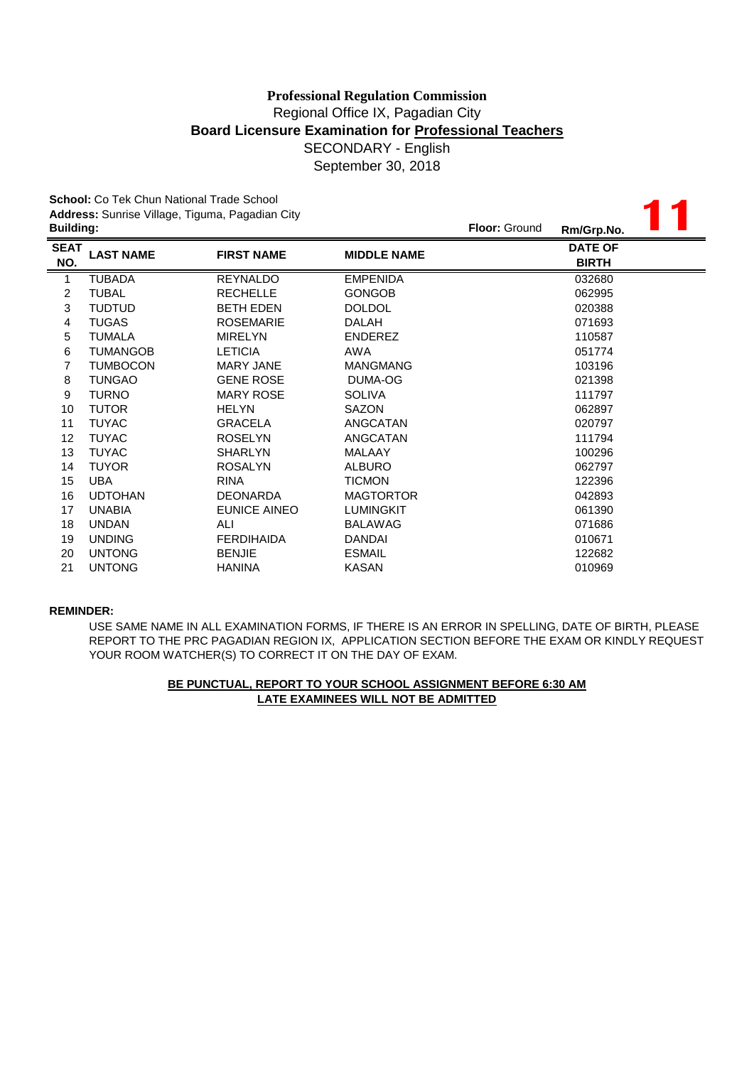# SECONDARY - English **Professional Regulation Commission** Regional Office IX, Pagadian City **Board Licensure Examination for Professional Teachers**

September 30, 2018

| <b>Building:</b>        | <b>School:</b> Co Tek Chun National Trade School<br>Address: Sunrise Village, Tiguma, Pagadian City |                   | <b>Floor: Ground</b> | Rm/Grp.No. |                                |  |
|-------------------------|-----------------------------------------------------------------------------------------------------|-------------------|----------------------|------------|--------------------------------|--|
| <b>SEAT</b><br>NO.      | <b>LAST NAME</b>                                                                                    | <b>FIRST NAME</b> | <b>MIDDLE NAME</b>   |            | <b>DATE OF</b><br><b>BIRTH</b> |  |
| 1                       | <b>TUBADA</b>                                                                                       | <b>REYNALDO</b>   | <b>EMPENIDA</b>      |            | 032680                         |  |
| $\overline{\mathbf{c}}$ | <b>TUBAL</b>                                                                                        | <b>RECHELLE</b>   | <b>GONGOB</b>        |            | 062995                         |  |
| 3                       | <b>TUDTUD</b>                                                                                       | <b>BETH EDEN</b>  | <b>DOLDOL</b>        |            | 020388                         |  |
| 4                       | <b>TUGAS</b>                                                                                        | <b>ROSEMARIE</b>  | <b>DALAH</b>         |            | 071693                         |  |
| 5                       | <b>TUMALA</b>                                                                                       | <b>MIRELYN</b>    | <b>ENDEREZ</b>       |            | 110587                         |  |
| 6                       | <b>TUMANGOB</b>                                                                                     | <b>LETICIA</b>    | <b>AWA</b>           |            | 051774                         |  |
| 7                       | <b>TUMBOCON</b>                                                                                     | <b>MARY JANE</b>  | <b>MANGMANG</b>      |            | 103196                         |  |
| 8                       | <b>TUNGAO</b>                                                                                       | <b>GENE ROSE</b>  | DUMA-OG              |            | 021398                         |  |
| 9                       | <b>TURNO</b>                                                                                        | <b>MARY ROSE</b>  | <b>SOLIVA</b>        |            | 111797                         |  |
| 10                      | <b>TUTOR</b>                                                                                        | <b>HELYN</b>      | <b>SAZON</b>         |            | 062897                         |  |
| 11                      | <b>TUYAC</b>                                                                                        | <b>GRACELA</b>    | ANGCATAN             |            | 020797                         |  |
| 12                      | <b>TUYAC</b>                                                                                        | <b>ROSELYN</b>    | ANGCATAN             |            | 111794                         |  |
| 13                      | <b>TUYAC</b>                                                                                        | <b>SHARLYN</b>    | <b>MALAAY</b>        |            | 100296                         |  |
| 14                      | <b>TUYOR</b>                                                                                        | <b>ROSALYN</b>    | <b>ALBURO</b>        |            | 062797                         |  |
| 15                      | <b>UBA</b>                                                                                          | <b>RINA</b>       | <b>TICMON</b>        |            | 122396                         |  |
| 16                      | <b>UDTOHAN</b>                                                                                      | <b>DEONARDA</b>   | <b>MAGTORTOR</b>     |            | 042893                         |  |
| 17                      | <b>UNABIA</b>                                                                                       | EUNICE AINEO      | <b>LUMINGKIT</b>     |            | 061390                         |  |
| 18                      | <b>UNDAN</b>                                                                                        | ALI               | <b>BALAWAG</b>       |            | 071686                         |  |
| 19                      | <b>UNDING</b>                                                                                       | <b>FERDIHAIDA</b> | <b>DANDAI</b>        |            | 010671                         |  |
| 20                      | <b>UNTONG</b>                                                                                       | <b>BENJIE</b>     | <b>ESMAIL</b>        |            | 122682                         |  |
| 21                      | <b>UNTONG</b>                                                                                       | <b>HANINA</b>     | <b>KASAN</b>         |            | 010969                         |  |

#### **REMINDER:**

USE SAME NAME IN ALL EXAMINATION FORMS, IF THERE IS AN ERROR IN SPELLING, DATE OF BIRTH, PLEASE REPORT TO THE PRC PAGADIAN REGION IX, APPLICATION SECTION BEFORE THE EXAM OR KINDLY REQUEST YOUR ROOM WATCHER(S) TO CORRECT IT ON THE DAY OF EXAM.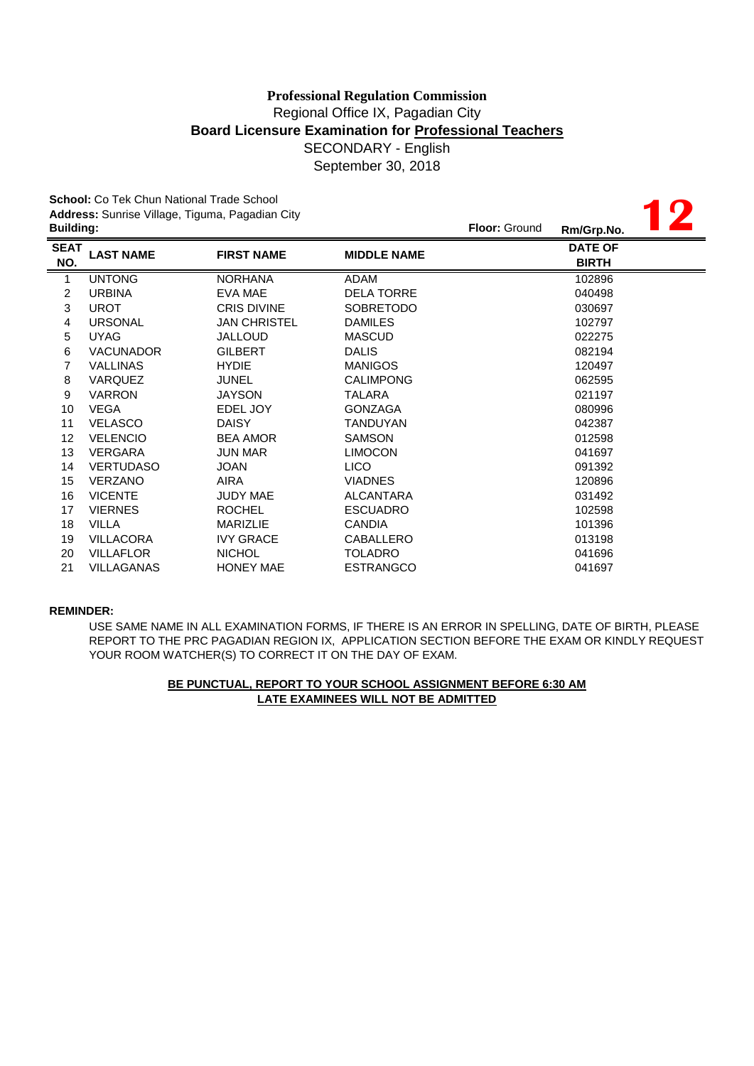**12**

**School:** Co Tek Chun National Trade School **Address:** Sunrise Village, Tiguma, Pagadian City

| <b>Building:</b>   |                   |                    |                    | <b>Floor: Ground</b> | Rm/Grp.No.                     |  |
|--------------------|-------------------|--------------------|--------------------|----------------------|--------------------------------|--|
| <b>SEAT</b><br>NO. | <b>LAST NAME</b>  | <b>FIRST NAME</b>  | <b>MIDDLE NAME</b> |                      | <b>DATE OF</b><br><b>BIRTH</b> |  |
| $\mathbf{1}$       | <b>UNTONG</b>     | <b>NORHANA</b>     | <b>ADAM</b>        |                      | 102896                         |  |
| $\overline{c}$     | <b>URBINA</b>     | EVA MAE            | <b>DELA TORRE</b>  |                      | 040498                         |  |
| 3                  | <b>UROT</b>       | <b>CRIS DIVINE</b> | <b>SOBRETODO</b>   |                      | 030697                         |  |
| $\overline{4}$     | <b>URSONAL</b>    | JAN CHRISTEL       | <b>DAMILES</b>     |                      | 102797                         |  |
| 5                  | <b>UYAG</b>       | JALLOUD            | <b>MASCUD</b>      |                      | 022275                         |  |
| 6                  | <b>VACUNADOR</b>  | <b>GILBERT</b>     | <b>DALIS</b>       |                      | 082194                         |  |
| 7                  | <b>VALLINAS</b>   | <b>HYDIE</b>       | <b>MANIGOS</b>     |                      | 120497                         |  |
| 8                  | <b>VARQUEZ</b>    | <b>JUNEL</b>       | <b>CALIMPONG</b>   |                      | 062595                         |  |
| 9                  | <b>VARRON</b>     | JAYSON             | TALARA             |                      | 021197                         |  |
| 10                 | VEGA              | EDEL JOY           | <b>GONZAGA</b>     |                      | 080996                         |  |
| 11                 | <b>VELASCO</b>    | <b>DAISY</b>       | TANDUYAN           |                      | 042387                         |  |
| 12                 | <b>VELENCIO</b>   | <b>BEA AMOR</b>    | <b>SAMSON</b>      |                      | 012598                         |  |
| 13                 | <b>VERGARA</b>    | <b>JUN MAR</b>     | <b>LIMOCON</b>     |                      | 041697                         |  |
| 14                 | <b>VERTUDASO</b>  | <b>JOAN</b>        | <b>LICO</b>        |                      | 091392                         |  |
| 15                 | <b>VERZANO</b>    | AIRA               | <b>VIADNES</b>     |                      | 120896                         |  |
| 16                 | <b>VICENTE</b>    | JUDY MAE           | ALCANTARA          |                      | 031492                         |  |
| 17                 | <b>VIERNES</b>    | <b>ROCHEL</b>      | <b>ESCUADRO</b>    |                      | 102598                         |  |
| 18                 | <b>VILLA</b>      | <b>MARIZLIE</b>    | <b>CANDIA</b>      |                      | 101396                         |  |
| 19                 | <b>VILLACORA</b>  | <b>IVY GRACE</b>   | CABALLERO          |                      | 013198                         |  |
| 20                 | <b>VILLAFLOR</b>  | <b>NICHOL</b>      | <b>TOLADRO</b>     |                      | 041696                         |  |
| 21                 | <b>VILLAGANAS</b> | <b>HONEY MAE</b>   | <b>ESTRANGCO</b>   |                      | 041697                         |  |
|                    |                   |                    |                    |                      |                                |  |

### **REMINDER:**

USE SAME NAME IN ALL EXAMINATION FORMS, IF THERE IS AN ERROR IN SPELLING, DATE OF BIRTH, PLEASE REPORT TO THE PRC PAGADIAN REGION IX, APPLICATION SECTION BEFORE THE EXAM OR KINDLY REQUEST YOUR ROOM WATCHER(S) TO CORRECT IT ON THE DAY OF EXAM.